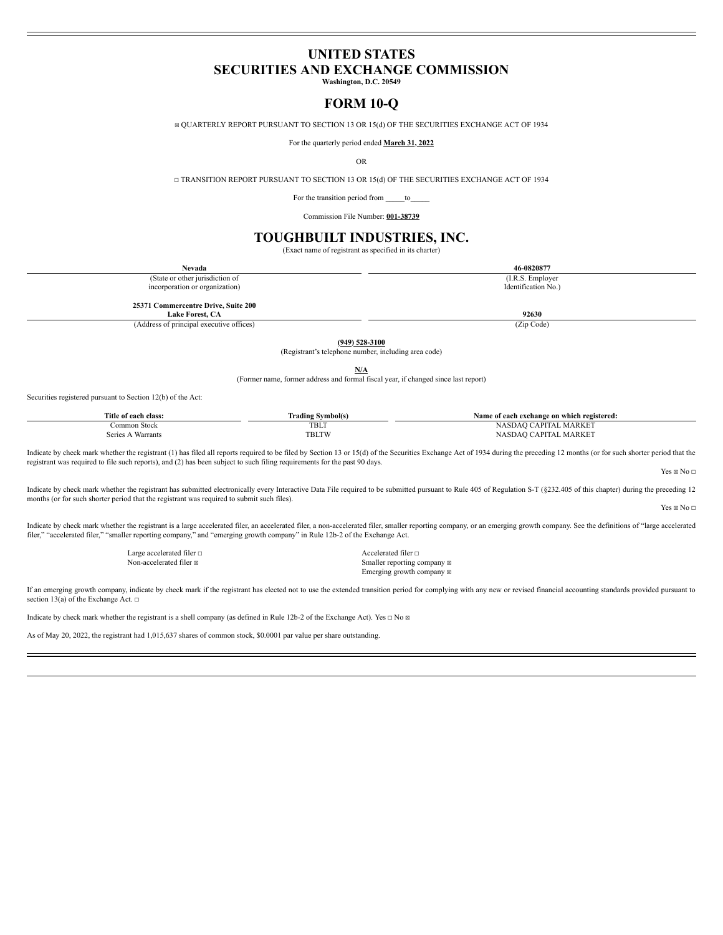# **UNITED STATES SECURITIES AND EXCHANGE COMMISSION**

**Washington, D.C. 20549**

# **FORM 10-Q**

☒ QUARTERLY REPORT PURSUANT TO SECTION 13 OR 15(d) OF THE SECURITIES EXCHANGE ACT OF 1934

For the quarterly period ended **March 31, 2022**

OR

 $\Box$  TRANSITION REPORT PURSUANT TO SECTION 13 OR 15(d) OF THE SECURITIES EXCHANGE ACT OF 1934

For the transition period from \_\_\_\_\_to\_\_\_\_\_

Commission File Number: **001-38739**

# **TOUGHBUILT INDUSTRIES, INC.**

(Exact name of registrant as specified in its charter)

| Nevada                                                                                                                                     |                                                                                           | 46-0820877                                                                                                                                                                                                                                                  |  |  |  |  |  |  |
|--------------------------------------------------------------------------------------------------------------------------------------------|-------------------------------------------------------------------------------------------|-------------------------------------------------------------------------------------------------------------------------------------------------------------------------------------------------------------------------------------------------------------|--|--|--|--|--|--|
| (State or other jurisdiction of                                                                                                            |                                                                                           |                                                                                                                                                                                                                                                             |  |  |  |  |  |  |
|                                                                                                                                            |                                                                                           | (I.R.S. Employer                                                                                                                                                                                                                                            |  |  |  |  |  |  |
| incorporation or organization)                                                                                                             |                                                                                           | Identification No.)                                                                                                                                                                                                                                         |  |  |  |  |  |  |
| 25371 Commercentre Drive, Suite 200                                                                                                        |                                                                                           |                                                                                                                                                                                                                                                             |  |  |  |  |  |  |
| Lake Forest, CA                                                                                                                            |                                                                                           | 92630                                                                                                                                                                                                                                                       |  |  |  |  |  |  |
| (Address of principal executive offices)                                                                                                   |                                                                                           | (Zip Code)                                                                                                                                                                                                                                                  |  |  |  |  |  |  |
|                                                                                                                                            | $(949)$ 528-3100<br>(Registrant's telephone number, including area code)                  |                                                                                                                                                                                                                                                             |  |  |  |  |  |  |
|                                                                                                                                            | N/A<br>(Former name, former address and formal fiscal year, if changed since last report) |                                                                                                                                                                                                                                                             |  |  |  |  |  |  |
| Securities registered pursuant to Section 12(b) of the Act:                                                                                |                                                                                           |                                                                                                                                                                                                                                                             |  |  |  |  |  |  |
| Title of each class:                                                                                                                       | <b>Trading Symbol(s)</b>                                                                  | Name of each exchange on which registered:                                                                                                                                                                                                                  |  |  |  |  |  |  |
| Common Stock                                                                                                                               | <b>TBLT</b>                                                                               | NASDAQ CAPITAL MARKET                                                                                                                                                                                                                                       |  |  |  |  |  |  |
| Series A Warrants                                                                                                                          | <b>TBLTW</b>                                                                              | NASDAQ CAPITAL MARKET                                                                                                                                                                                                                                       |  |  |  |  |  |  |
| registrant was required to file such reports), and (2) has been subject to such filing requirements for the past 90 days.                  |                                                                                           | Indicate by check mark whether the registrant (1) has filed all reports required to be filed by Section 13 or 15(d) of the Securities Exchange Act of 1934 during the preceding 12 months (or for such shorter period that the<br>Yes $\boxtimes$ No $\Box$ |  |  |  |  |  |  |
| months (or for such shorter period that the registrant was required to submit such files).                                                 |                                                                                           | Indicate by check mark whether the registrant has submitted electronically every Interactive Data File required to be submitted pursuant to Rule 405 of Regulation S-T (§232.405 of this chapter) during the preceding 12<br>Yes $\boxtimes$ No $\Box$      |  |  |  |  |  |  |
|                                                                                                                                            |                                                                                           |                                                                                                                                                                                                                                                             |  |  |  |  |  |  |
| filer," "accelerated filer," "smaller reporting company," and "emerging growth company" in Rule 12b-2 of the Exchange Act.                 |                                                                                           | Indicate by check mark whether the registrant is a large accelerated filer, an accelerated filer, an accelerated filer, an on-accelerated filer, smaller reporting company, or an emerging growth company. See the definitions                              |  |  |  |  |  |  |
| Large accelerated filer $\Box$<br>Non-accelerated filer ⊠                                                                                  |                                                                                           | Accelerated filer $\sqcap$<br>Smaller reporting company ⊠<br>Emerging growth company $\boxtimes$                                                                                                                                                            |  |  |  |  |  |  |
| section 13(a) of the Exchange Act. $\square$                                                                                               |                                                                                           | If an emerging growth company, indicate by check mark if the registrant has elected not to use the extended transition period for complying with any new or revised financial accounting standards provided pursuant to                                     |  |  |  |  |  |  |
| Indicate by check mark whether the registrant is a shell company (as defined in Rule 12b-2 of the Exchange Act). Yes $\Box$ No $\boxtimes$ |                                                                                           |                                                                                                                                                                                                                                                             |  |  |  |  |  |  |
| As of May 20, 2022, the registrant had 1,015,637 shares of common stock, \$0.0001 par value per share outstanding.                         |                                                                                           |                                                                                                                                                                                                                                                             |  |  |  |  |  |  |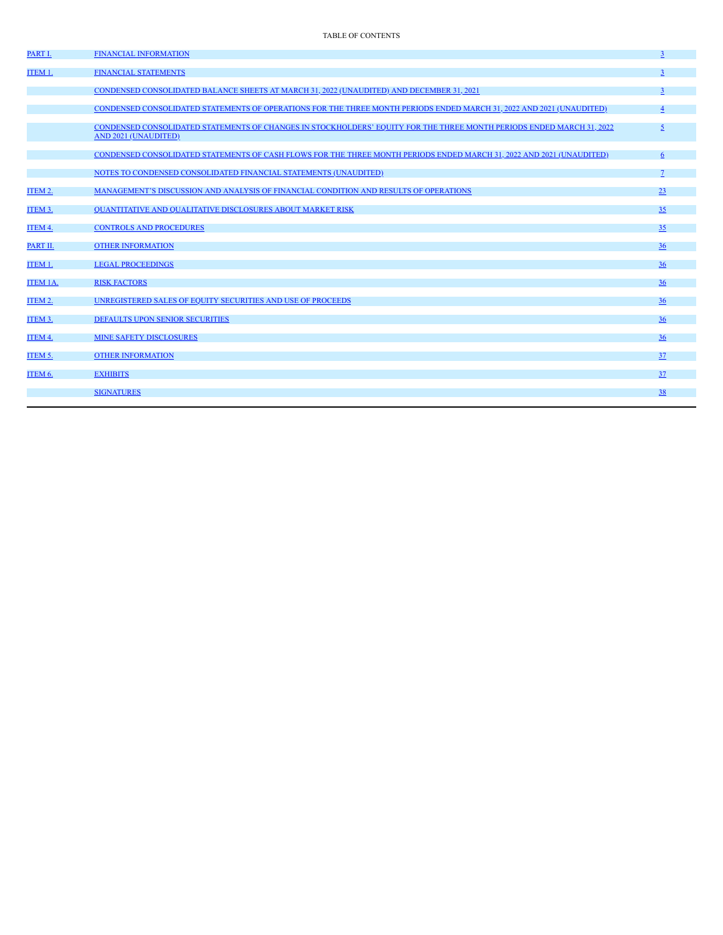# TABLE OF CONTENTS

| PART I.             | <b>FINANCIAL INFORMATION</b>                                                                                                                         | $\overline{3}$   |
|---------------------|------------------------------------------------------------------------------------------------------------------------------------------------------|------------------|
| ITEM 1.             | <b>FINANCIAL STATEMENTS</b>                                                                                                                          | $\overline{3}$   |
|                     | CONDENSED CONSOLIDATED BALANCE SHEETS AT MARCH 31, 2022 (UNAUDITED) AND DECEMBER 31, 2021                                                            | 3                |
|                     | CONDENSED CONSOLIDATED STATEMENTS OF OPERATIONS FOR THE THREE MONTH PERIODS ENDED MARCH 31, 2022 AND 2021 (UNAUDITED)                                | 4                |
|                     | CONDENSED CONSOLIDATED STATEMENTS OF CHANGES IN STOCKHOLDERS' EQUITY FOR THE THREE MONTH PERIODS ENDED MARCH 31, 2022<br><b>AND 2021 (UNAUDITED)</b> | $\overline{2}$   |
|                     | CONDENSED CONSOLIDATED STATEMENTS OF CASH FLOWS FOR THE THREE MONTH PERIODS ENDED MARCH 31, 2022 AND 2021 (UNAUDITED)                                | $6 \overline{6}$ |
|                     | NOTES TO CONDENSED CONSOLIDATED FINANCIAL STATEMENTS (UNAUDITED)                                                                                     | $7\overline{ }$  |
| ITEM 2.             | MANAGEMENT'S DISCUSSION AND ANALYSIS OF FINANCIAL CONDITION AND RESULTS OF OPERATIONS                                                                | 23               |
| ITEM <sub>3</sub> . | <b>OUANTITATIVE AND QUALITATIVE DISCLOSURES ABOUT MARKET RISK</b>                                                                                    | 35               |
| ITEM 4.             | <b>CONTROLS AND PROCEDURES</b>                                                                                                                       | 35               |
| PART II.            | <b>OTHER INFORMATION</b>                                                                                                                             | 36               |
| ITEM 1.             | <b>LEGAL PROCEEDINGS</b>                                                                                                                             | 36               |
| <b>ITEM 1A.</b>     | <b>RISK FACTORS</b>                                                                                                                                  | 36               |
| ITEM 2.             | UNREGISTERED SALES OF EOUITY SECURITIES AND USE OF PROCEEDS                                                                                          | 36               |
| ITEM 3.             | DEFAULTS UPON SENIOR SECURITIES                                                                                                                      | 36               |
| ITEM 4.             | <b>MINE SAFETY DISCLOSURES</b>                                                                                                                       | 36               |
| ITEM 5.             | <b>OTHER INFORMATION</b>                                                                                                                             | 37               |
| ITEM 6.             | <b>EXHIBITS</b>                                                                                                                                      | 37               |
|                     | <b>SIGNATURES</b>                                                                                                                                    | 38               |
|                     |                                                                                                                                                      |                  |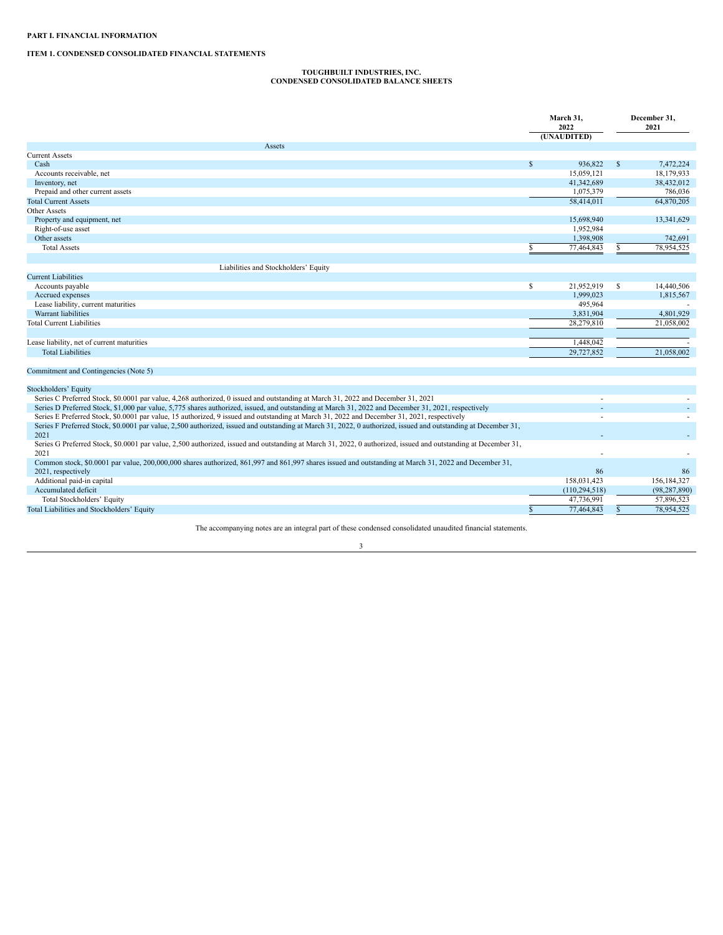# <span id="page-2-0"></span>**PART I. FINANCIAL INFORMATION**

# <span id="page-2-1"></span>**ITEM 1. CONDENSED CONSOLIDATED FINANCIAL STATEMENTS**

# <span id="page-2-2"></span>**TOUGHBUILT INDUSTRIES, INC. CONDENSED CONSOLIDATED BALANCE SHEETS**

|                                                                                                                                                                        |             | March 31,<br>2022 |              | December 31,<br>2021 |
|------------------------------------------------------------------------------------------------------------------------------------------------------------------------|-------------|-------------------|--------------|----------------------|
|                                                                                                                                                                        |             | (UNAUDITED)       |              |                      |
| Assets                                                                                                                                                                 |             |                   |              |                      |
| <b>Current Assets</b>                                                                                                                                                  |             |                   |              |                      |
| Cash                                                                                                                                                                   | $\mathbf S$ | 936.822           | $\mathbf{s}$ | 7,472,224            |
| Accounts receivable, net                                                                                                                                               |             | 15.059.121        |              | 18,179,933           |
| Inventory, net                                                                                                                                                         |             | 41,342,689        |              | 38,432,012           |
| Prepaid and other current assets                                                                                                                                       |             | 1,075,379         |              | 786,036              |
| <b>Total Current Assets</b>                                                                                                                                            |             | 58,414,011        |              | 64,870,205           |
| <b>Other Assets</b>                                                                                                                                                    |             |                   |              |                      |
| Property and equipment, net                                                                                                                                            |             | 15,698,940        |              | 13,341,629           |
| Right-of-use asset                                                                                                                                                     |             | 1,952,984         |              |                      |
| Other assets                                                                                                                                                           |             | 1,398,908         |              | 742,691              |
| <b>Total Assets</b>                                                                                                                                                    | S           | 77,464,843        | S.           | 78,954,525           |
| Liabilities and Stockholders' Equity                                                                                                                                   |             |                   |              |                      |
| <b>Current Liabilities</b>                                                                                                                                             |             |                   |              |                      |
| Accounts payable                                                                                                                                                       | S           | 21,952,919        | S            | 14,440,506           |
| Accrued expenses                                                                                                                                                       |             | 1,999,023         |              | 1,815,567            |
| Lease liability, current maturities                                                                                                                                    |             | 495,964           |              |                      |
| Warrant liabilities                                                                                                                                                    |             | 3,831,904         |              | 4,801,929            |
| <b>Total Current Liabilities</b>                                                                                                                                       |             | 28,279,810        |              | 21,058,002           |
|                                                                                                                                                                        |             |                   |              |                      |
| Lease liability, net of current maturities                                                                                                                             |             | 1,448,042         |              |                      |
| <b>Total Liabilities</b>                                                                                                                                               |             | 29.727.852        |              | 21,058,002           |
| Commitment and Contingencies (Note 5)                                                                                                                                  |             |                   |              |                      |
|                                                                                                                                                                        |             |                   |              |                      |
| Stockholders' Equity                                                                                                                                                   |             |                   |              |                      |
| Series C Preferred Stock, \$0.0001 par value, 4,268 authorized, 0 issued and outstanding at March 31, 2022 and December 31, 2021                                       |             |                   |              |                      |
| Series D Preferred Stock, \$1,000 par value, 5,775 shares authorized, issued, and outstanding at March 31, 2022 and December 31, 2021, respectively                    |             |                   |              |                      |
| Series E Preferred Stock, \$0.0001 par value, 15 authorized, 9 issued and outstanding at March 31, 2022 and December 31, 2021, respectively                            |             |                   |              |                      |
| Series F Preferred Stock, \$0.0001 par value, 2,500 authorized, issued and outstanding at March 31, 2022, 0 authorized, issued and outstanding at December 31,         |             |                   |              |                      |
| 2021                                                                                                                                                                   |             |                   |              |                      |
| Series G Preferred Stock, \$0.0001 par value, 2,500 authorized, issued and outstanding at March 31, 2022, 0 authorized, issued and outstanding at December 31,<br>2021 |             |                   |              |                      |
| Common stock, \$0.0001 par value, 200,000,000 shares authorized, 861,997 and 861,997 shares issued and outstanding at March 31, 2022 and December 31,                  |             |                   |              |                      |
| 2021, respectively                                                                                                                                                     |             | 86                |              | 86                   |
| Additional paid-in capital                                                                                                                                             |             | 158,031,423       |              | 156, 184, 327        |
| Accumulated deficit                                                                                                                                                    |             | (110, 294, 518)   |              | (98, 287, 890)       |
| Total Stockholders' Equity                                                                                                                                             |             | 47,736,991        |              | 57,896,523           |
| Total Liabilities and Stockholders' Equity                                                                                                                             | $\mathbf S$ | 77.464.843        | $\mathbf{s}$ | 78.954.525           |

The accompanying notes are an integral part of these condensed consolidated unaudited financial statements.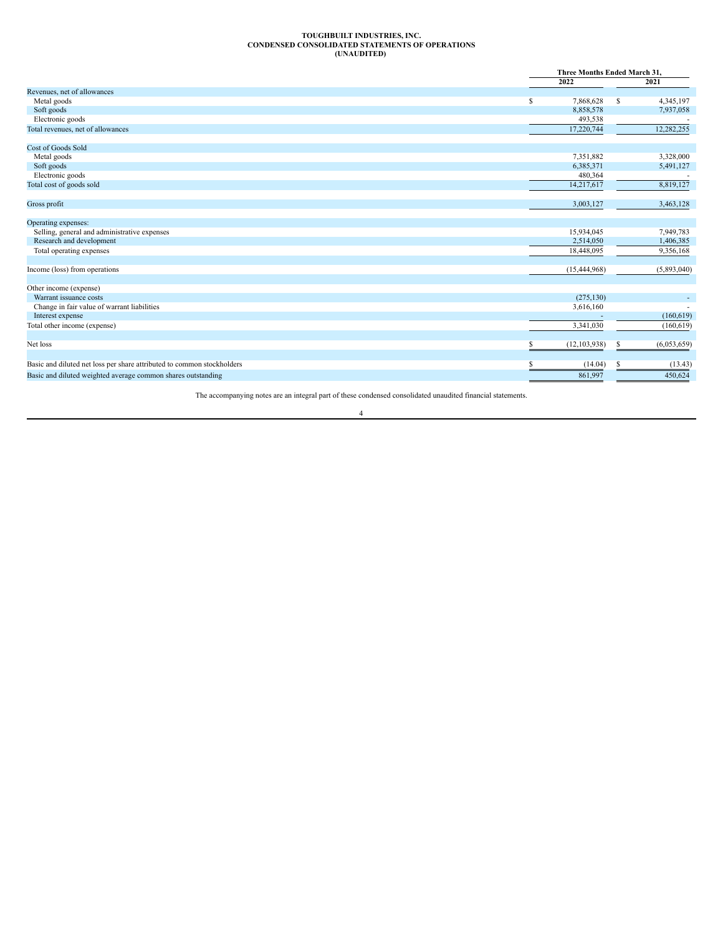# <span id="page-3-0"></span>**TOUGHBUILT INDUSTRIES, INC. CONDENSED CONSOLIDATED STATEMENTS OF OPERATIONS (UNAUDITED)**

|                                                                        |                     | Three Months Ended March 31, |
|------------------------------------------------------------------------|---------------------|------------------------------|
|                                                                        | 2022                | 2021                         |
| Revenues, net of allowances                                            |                     |                              |
| Metal goods                                                            | \$<br>7,868,628     | 4,345,197<br>S               |
| Soft goods                                                             | 8,858,578           | 7,937,058                    |
| Electronic goods                                                       | 493,538             |                              |
| Total revenues, net of allowances                                      | 17,220,744          | 12,282,255                   |
| <b>Cost of Goods Sold</b>                                              |                     |                              |
| Metal goods                                                            | 7,351,882           | 3,328,000                    |
| Soft goods                                                             | 6,385,371           | 5,491,127                    |
| Electronic goods                                                       | 480,364             |                              |
| Total cost of goods sold                                               | 14,217,617          | 8,819,127                    |
| Gross profit                                                           | 3,003,127           | 3,463,128                    |
| Operating expenses:                                                    |                     |                              |
| Selling, general and administrative expenses                           | 15,934,045          | 7,949,783                    |
| Research and development                                               | 2,514,050           | 1,406,385                    |
| Total operating expenses                                               | 18,448,095          | 9,356,168                    |
| Income (loss) from operations                                          | (15, 444, 968)      | (5,893,040)                  |
| Other income (expense)                                                 |                     |                              |
| Warrant issuance costs                                                 | (275, 130)          |                              |
| Change in fair value of warrant liabilities                            | 3,616,160           |                              |
| Interest expense                                                       |                     | (160, 619)                   |
| Total other income (expense)                                           | 3,341,030           | (160, 619)                   |
| Net loss                                                               | (12, 103, 938)<br>S | (6,053,659)<br>S             |
| Basic and diluted net loss per share attributed to common stockholders | S<br>(14.04)        | (13.43)<br>\$.               |
| Basic and diluted weighted average common shares outstanding           | 861,997             | 450,624                      |

The accompanying notes are an integral part of these condensed consolidated unaudited financial statements.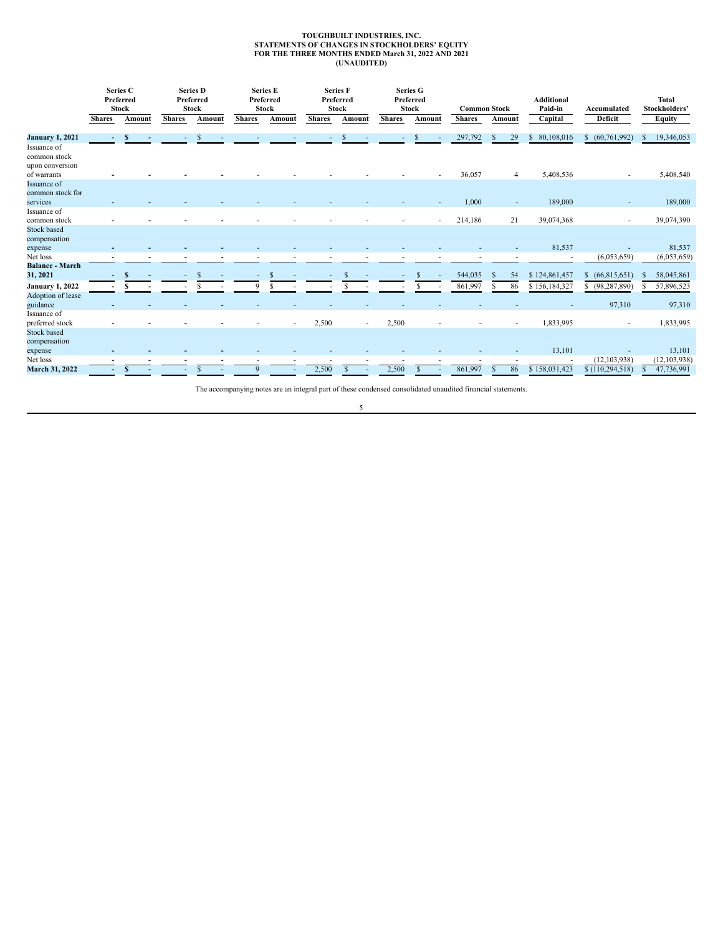# <span id="page-4-0"></span>TOUGHBUILT INDUSTRIES, INC.<br>STATEMENTS OF CHANGES IN STOCKHOLDERS' EQUITY<br>FOR THE THREE MONTHS ENDED March 31, 2022 AND 2021<br>(UNAUDITED)

|                                                                          | Series C<br>Preferred<br><b>Stock</b> |               |               | <b>Series D</b><br>Preferred<br><b>Stock</b> |               | <b>Series E</b><br>Preferred<br><b>Stock</b> | <b>Series F</b><br>Preferred<br><b>Stock</b> |               |               | <b>Series G</b><br>Preferred<br><b>Stock</b> | <b>Common Stock</b> |                | Additional<br>Paid-in | Accumulated       | <b>Total</b><br>Stockholders' |
|--------------------------------------------------------------------------|---------------------------------------|---------------|---------------|----------------------------------------------|---------------|----------------------------------------------|----------------------------------------------|---------------|---------------|----------------------------------------------|---------------------|----------------|-----------------------|-------------------|-------------------------------|
|                                                                          | <b>Shares</b>                         | Amount        | <b>Shares</b> | Amount                                       | <b>Shares</b> | Amount                                       | <b>Shares</b>                                | Amount        | <b>Shares</b> | Amount                                       | <b>Shares</b>       | Amount         | Capital               | <b>Deficit</b>    | <b>Equity</b>                 |
| <b>January 1, 2021</b><br>Issuance of<br>common stock<br>upon conversion |                                       |               |               |                                              |               |                                              |                                              |               |               |                                              | 297,792             | 29             | 80,108,016            | \$ (60, 761, 992) | 19,346,053<br>X.              |
| of warrants                                                              |                                       |               |               |                                              |               |                                              |                                              |               |               |                                              | 36,057              | $\overline{4}$ | 5,408,536             |                   | 5,408,540                     |
| Issuance of<br>common stock for<br>services                              |                                       |               |               |                                              |               |                                              |                                              |               |               |                                              | 1,000               |                | 189,000               | ٠                 | 189,000                       |
| Issuance of                                                              |                                       |               |               |                                              |               |                                              |                                              |               |               |                                              |                     |                |                       |                   |                               |
| common stock                                                             |                                       |               |               |                                              |               |                                              |                                              |               |               |                                              | 214,186             | 21             | 39,074,368            |                   | 39,074,390                    |
| Stock based<br>compensation<br>expense                                   |                                       |               |               |                                              |               |                                              |                                              |               |               |                                              |                     |                | 81,537                |                   | 81,537                        |
| Net loss                                                                 |                                       |               |               |                                              |               |                                              |                                              |               |               |                                              |                     |                |                       | (6,053,659)       | (6,053,659)                   |
| <b>Balance - March</b><br>31, 2021                                       |                                       |               |               |                                              |               |                                              |                                              |               |               |                                              | 544,035             | 54             | \$124,861,457         | \$ (66,815,651)   | 58,045,861<br>\$.             |
| <b>January 1, 2022</b>                                                   |                                       | -S            |               |                                              |               |                                              |                                              |               |               |                                              | 861,997             | 86<br>S.       | \$156,184,327         | (98, 287, 890)    | 57,896,523<br>S               |
| Adoption of lease                                                        |                                       |               |               |                                              |               |                                              |                                              |               |               |                                              |                     |                |                       |                   |                               |
| guidance                                                                 |                                       |               |               |                                              |               |                                              |                                              |               |               |                                              |                     |                |                       | 97,310            | 97,310                        |
| Issuance of                                                              |                                       |               |               |                                              |               |                                              |                                              |               |               |                                              |                     |                |                       |                   |                               |
| preferred stock                                                          |                                       |               |               |                                              |               |                                              | 2,500                                        |               | 2,500         |                                              |                     |                | 1,833,995             |                   | 1,833,995                     |
| <b>Stock based</b><br>compensation                                       |                                       |               |               |                                              |               |                                              |                                              |               |               |                                              |                     |                |                       |                   |                               |
| expense                                                                  |                                       |               |               |                                              |               |                                              |                                              |               |               |                                              |                     |                | 13,101                |                   | 13,101                        |
| Net loss                                                                 |                                       |               |               |                                              |               |                                              |                                              |               |               |                                              |                     |                |                       | (12, 103, 938)    | (12, 103, 938)                |
| <b>March 31, 2022</b>                                                    |                                       | <sup>\$</sup> |               |                                              |               |                                              | 2,500                                        | <sup>\$</sup> | 2,500         |                                              | 861,997             | 86<br>S.       | \$158,031,423         | \$(110, 294, 518) | 47,736,991<br>-S              |

The accompanying notes are an integral part of these condensed consolidated unaudited financial statements.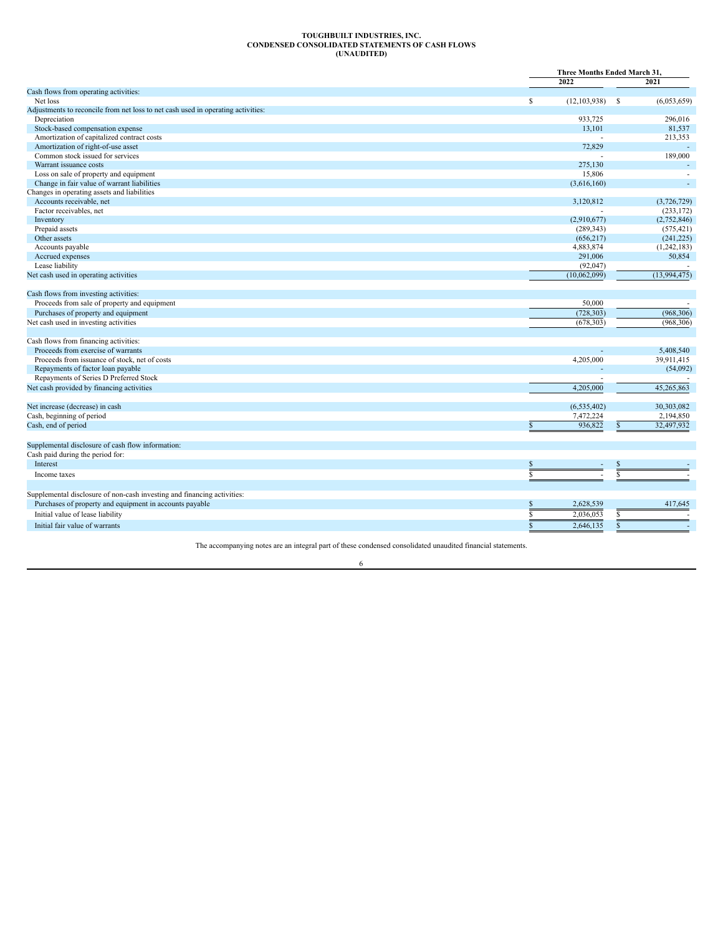# <span id="page-5-0"></span>**TOUGHBUILT INDUSTRIES, INC. CONDENSED CONSOLIDATED STATEMENTS OF CASH FLOWS (UNAUDITED)**

|                                                                                  | <b>Three Months Ended March 31.</b> |                          |
|----------------------------------------------------------------------------------|-------------------------------------|--------------------------|
|                                                                                  | 2022                                | 2021                     |
| Cash flows from operating activities:                                            |                                     |                          |
| Net loss                                                                         | S<br>(12, 103, 938)                 | (6,053,659)<br>-S        |
| Adjustments to reconcile from net loss to net cash used in operating activities: |                                     |                          |
| Depreciation                                                                     | 933,725                             | 296.016                  |
| Stock-based compensation expense                                                 | 13,101                              | 81,537                   |
| Amortization of capitalized contract costs                                       |                                     | 213,353                  |
| Amortization of right-of-use asset                                               | 72.829                              |                          |
| Common stock issued for services                                                 |                                     | 189,000                  |
| Warrant issuance costs                                                           | 275,130                             |                          |
| Loss on sale of property and equipment                                           | 15,806                              | $\overline{\phantom{a}}$ |
| Change in fair value of warrant liabilities                                      | (3,616,160)                         |                          |
| Changes in operating assets and liabilities                                      |                                     |                          |
| Accounts receivable, net                                                         | 3,120,812                           | (3,726,729)              |
| Factor receivables, net                                                          |                                     | (233, 172)               |
| Inventory                                                                        | (2,910,677)                         | (2,752,846)              |
| Prepaid assets                                                                   | (289, 343)                          | (575, 421)               |
| Other assets                                                                     | (656, 217)                          | (241, 225)               |
| Accounts payable                                                                 | 4,883,874                           | (1,242,183)              |
| Accrued expenses                                                                 | 291,006                             | 50,854                   |
| Lease liability                                                                  | (92, 047)                           |                          |
| Net cash used in operating activities                                            | (10,062,099)                        | (13,994,475)             |
| Cash flows from investing activities:                                            |                                     |                          |
| Proceeds from sale of property and equipment                                     | 50,000                              |                          |
| Purchases of property and equipment                                              | (728, 303)                          | (968, 306)               |
| Net cash used in investing activities                                            | (678, 303)                          | (968, 306)               |
|                                                                                  |                                     |                          |
| Cash flows from financing activities:                                            |                                     |                          |
| Proceeds from exercise of warrants                                               |                                     | 5,408,540                |
| Proceeds from issuance of stock, net of costs                                    | 4,205,000                           | 39,911,415               |
| Repayments of factor loan payable                                                |                                     | (54,092)                 |
| Repayments of Series D Preferred Stock                                           |                                     |                          |
| Net cash provided by financing activities                                        | 4.205.000                           | 45,265,863               |
| Net increase (decrease) in cash                                                  | (6, 535, 402)                       | 30,303,082               |
| Cash, beginning of period                                                        | 7,472,224                           | 2,194,850                |
| Cash, end of period                                                              | 936,822<br>S                        | 32,497,932<br>\$         |
|                                                                                  |                                     |                          |
| Supplemental disclosure of cash flow information:                                |                                     |                          |
| Cash paid during the period for:                                                 |                                     |                          |
| Interest                                                                         | $\mathbb{S}$                        | S                        |
| Income taxes                                                                     | $\overline{\mathbf{S}}$             | $\overline{s}$           |
| Supplemental disclosure of non-cash investing and financing activities:          |                                     |                          |
| Purchases of property and equipment in accounts payable                          | $\mathbf S$<br>2,628,539            | 417,645                  |
| Initial value of lease liability                                                 | \$<br>2,036,053                     | S                        |
|                                                                                  | 2,646,135<br>$\mathbf{s}$           |                          |
| Initial fair value of warrants                                                   |                                     | $\mathbf{s}$             |

The accompanying notes are an integral part of these condensed consolidated unaudited financial statements.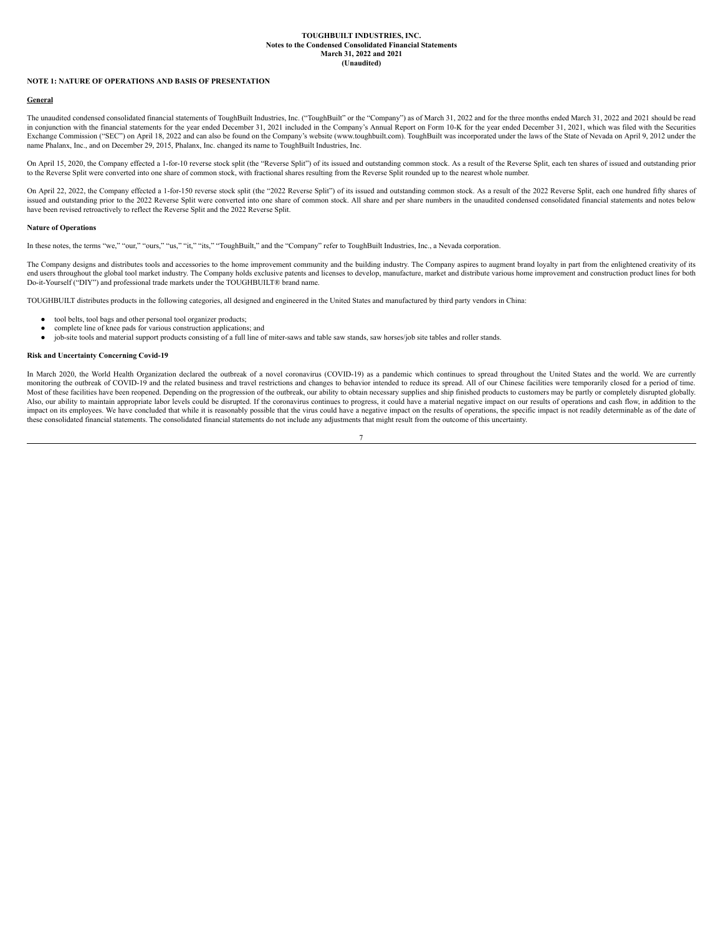#### <span id="page-6-0"></span>**TOUGHBUILT INDUSTRIES, INC. Notes to the Condensed Consolidated Financial Statements March 31, 2022 and 2021 (Unaudited)**

#### **NOTE 1: NATURE OF OPERATIONS AND BASIS OF PRESENTATION**

#### **General**

The unaudited condensed consolidated financial statements of ToughBuilt Industries, Inc. ("ToughBuilt" or the "Company") as of March 31, 2022 and for the three months ended March 31, 2022 and 2021 should be read in conjunction with the financial statements for the year ended December 31, 2021 included in the Company's Annual Report on Form 10-K for the year ended December 31, 2021, which was filed with the Securities Exchange Commission ("SEC") on April 18, 2022 and can also be found on the Company's website (www.toughbuilt.com). ToughBuilt was incorporated under the laws of the State of Nevada on April 9, 2012 under the name Phalanx, Inc., and on December 29, 2015, Phalanx, Inc. changed its name to ToughBuilt Industries, Inc.

On April 15, 2020, the Company effected a 1-for-10 reverse stock split (the "Reverse Split") of its issued and outstanding common stock. As a result of the Reverse Split, each ten shares of issued and outstanding prior to the Reverse Split were converted into one share of common stock, with fractional shares resulting from the Reverse Split rounded up to the nearest whole number.

On April 22, 2022, the Company effected a 1-for-150 reverse stock split (the "2022 Reverse Split") of its issued and outstanding common stock. As a result of the 2022 Reverse Split, each one hundred fifty shares of issued and outstanding prior to the 2022 Reverse Split were converted into one share of common stock. All share and per share numbers in the unaudited condensed consolidated financial statements and notes below have been revised retroactively to reflect the Reverse Split and the 2022 Reverse Split.

#### **Nature of Operations**

In these notes, the terms "we," "our," "ours," "us," "it," "its," "ToughBuilt," and the "Company" refer to ToughBuilt Industries, Inc., a Nevada corporation.

The Company designs and distributes tools and accessories to the home improvement community and the building industry. The Company aspires to augment brand loyalty in part from the enlightened creativity of its end users throughout the global tool market industry. The Company holds exclusive patents and licenses to develop, manufacture, market and distribute various home improvement and construction product lines for both Do-it-Yourself ("DIY") and professional trade markets under the TOUGHBUILT® brand name.

TOUGHBUILT distributes products in the following categories, all designed and engineered in the United States and manufactured by third party vendors in China:

- tool belts, tool bags and other personal tool organizer products;
- complete line of knee pads for various construction applications; and
- job-site tools and material support products consisting of a full line of miter-saws and table saw stands, saw horses/job site tables and roller stands.

#### **Risk and Uncertainty Concerning Covid-19**

In March 2020, the World Health Organization declared the outbreak of a novel coronavirus (COVID-19) as a pandemic which continues to spread throughout the United States and the world. We are currently monitoring the outbreak of COVID-19 and the related business and travel restrictions and changes to behavior intended to reduce its spread. All of our Chinese facilities were temporarily closed for a period of time. Most of these facilities have been reopened. Depending on the progression of the outbreak, our ability to obtain necessary supplies and ship finished products to customers may be partly or completely disrupted globally. Also, our ability to maintain appropriate labor levels could be disrupted. If the coronavirus continues to progress, it could have a material negative impact on our results of operations and cash flow, in addition to the impact on its employees. We have concluded that while it is reasonably possible that the virus could have a negative impact on the results of operations, the specific impact is not readily determinable as of the date of these consolidated financial statements. The consolidated financial statements do not include any adjustments that might result from the outcome of this uncertainty.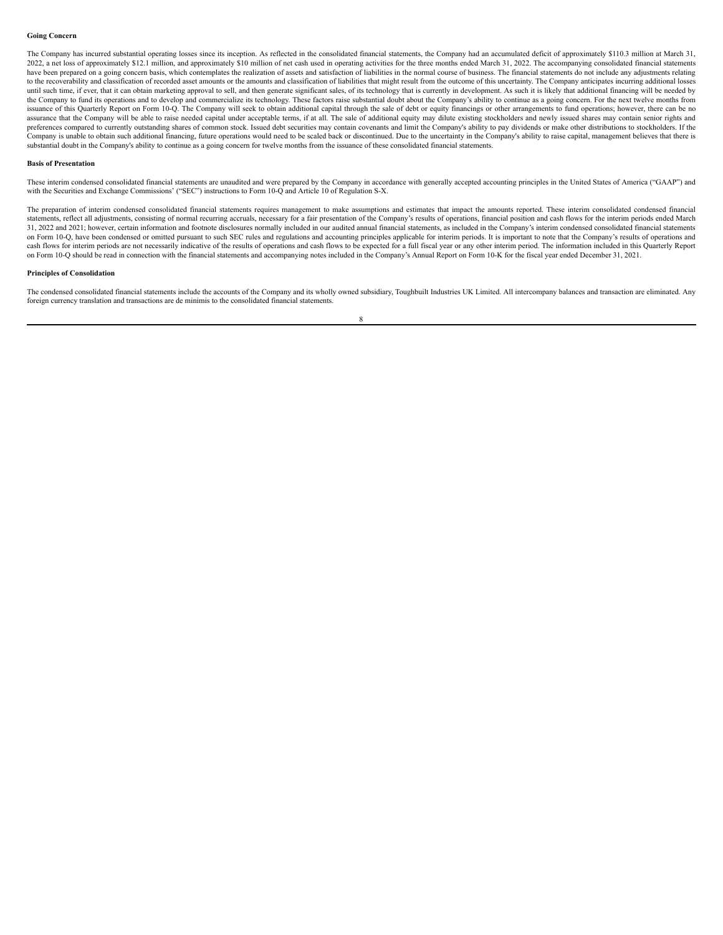#### **Going Concern**

The Company has incurred substantial operating losses since its inception. As reflected in the consolidated financial statements, the Company had an accumulated deficit of approximately \$110.3 million at March 31, 2022, a net loss of approximately \$12.1 million, and approximately \$10 million of net cash used in operating activities for the three months ended March 31, 2022. The accompanying consolidated financial statements have been prepared on a going concern basis, which contemplates the realization of assets and satisfaction of liabilities in the normal course of business. The financial statements do not include any adjustments relating to the recoverability and classification of recorded asset amounts or the amounts and classification of liabilities that might result from the outcome of this uncertainty. The Company anticipates incurring additional losse until such time, if ever, that it can obtain marketing approval to sell, and then generate significant sales, of its technology that is currently in development. As such it is likely that additional financing will be neede the Company to fund its operations and to develop and commercialize its technology. These factors raise substantial doubt about the Company's ability to continue as a going concern. For the next twelve months from issuance of this Quarterly Report on Form 10-Q. The Company will seek to obtain additional capital through the sale of debt or equity financings or other arrangements to fund operations; however, there can be no assurance that the Company will be able to raise needed capital under acceptable terms, if at all. The sale of additional equity may dilute existing stockholders and newly issued shares may contain senior rights and preferences compared to currently outstanding shares of common stock. Issued debt securities may contain covenants and limit the Company's ability to pay dividends or make other distributions to stockholders. If the Company is unable to obtain such additional financing, future operations would need to be scaled back or discontinued. Due to the uncertainty in the Company's ability to raise capital, management believes that there is substantial doubt in the Company's ability to continue as a going concern for twelve months from the issuance of these consolidated financial statements.

#### **Basis of Presentation**

These interim condensed consolidated financial statements are unaudited and were prepared by the Company in accordance with generally accepted accounting principles in the United States of America ("GAAP") and with the Securities and Exchange Commissions' ("SEC") instructions to Form 10-Q and Article 10 of Regulation S-X.

The preparation of interim condensed consolidated financial statements requires management to make assumptions and estimates that impact the amounts reported. These interim consolidated condensed financial statements, reflect all adjustments, consisting of normal recurring accruals, necessary for a fair presentation of the Company's results of operations, financial position and cash flows for the interim periods ended March 31, 2022 and 2021; however, certain information and footnote disclosures normally included in our audited annual financial statements, as included in the Company's interim condensed consolidated financial statements on Form 10-Q, have been condensed or omitted pursuant to such SEC rules and regulations and accounting principles applicable for interim periods. It is important to note that the Company's results of operations and cash flows for interim periods are not necessarily indicative of the results of operations and cash flows to be expected for a full fiscal year or any other interim period. The information included in this Quarterly Report on Form 10-Q should be read in connection with the financial statements and accompanying notes included in the Company's Annual Report on Form 10-K for the fiscal year ended December 31, 2021.

#### **Principles of Consolidation**

The condensed consolidated financial statements include the accounts of the Company and its wholly owned subsidiary, Toughbuilt Industries UK Limited. All intercompany balances and transaction are eliminated. Any foreign currency translation and transactions are de minimis to the consolidated financial statements.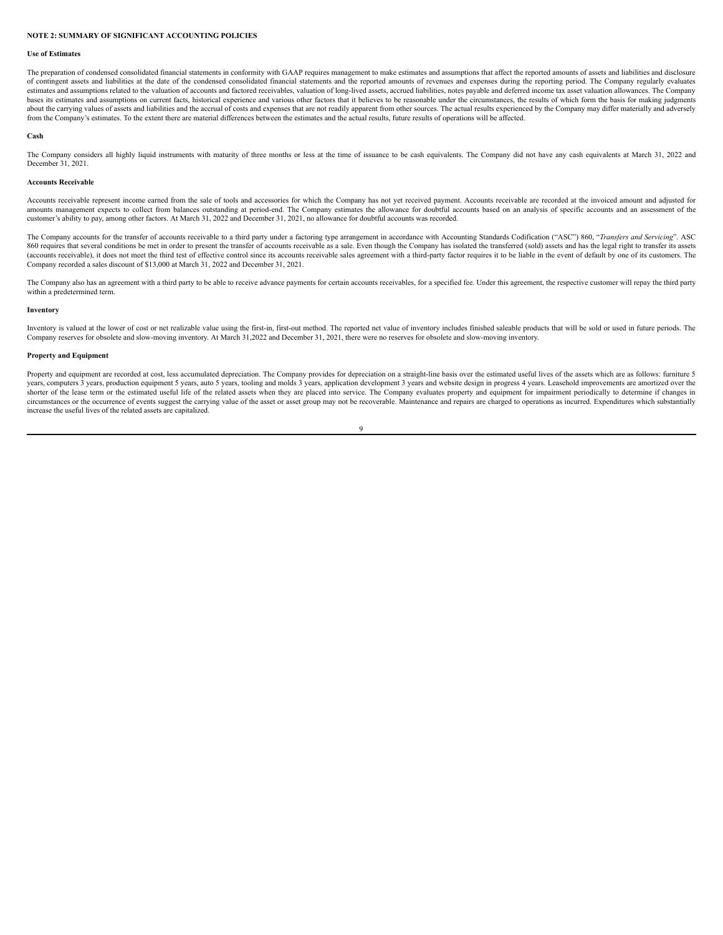#### **NOTE 2: SUMMARY OF SIGNIFICANT ACCOUNTING POLICIES**

#### **Use of Estimates**

The preparation of condensed consolidated financial statements in conformity with GAAP requires management to make estimates and assumptions that affect the reported amounts of assets and liabilities and disclosure of contingent assets and liabilities at the date of the condensed consolidated financial statements and the reported amounts of revenues and expenses during the reporting period. The Company regularly evaluates estimates and assumptions related to the valuation of accounts and factored receivables, valuation of long-lived assets, accrued liabilities, notes payable and deferred income tax asset valuation allowances. The Company bases its estimates and assumptions on current facts, historical experience and various other factors that it believes to be reasonable under the circumstances, the results of which form the basis for making judgments about the carrying values of assets and liabilities and the accrual of costs and expenses that are not readily apparent from other sources. The actual results experienced by the Company may differ materially and adversely from the Company's estimates. To the extent there are material differences between the estimates and the actual results, future results of operations will be affected.

#### **Cash**

The Company considers all highly liquid instruments with maturity of three months or less at the time of issuance to be cash equivalents. The Company did not have any cash equivalents at March 31, 2022 and December 31, 2021.

#### **Accounts Receivable**

Accounts receivable represent income earned from the sale of tools and accessories for which the Company has not vet received payment. Accounts receivable are recorded at the invoiced amount and adjusted for amounts management expects to collect from balances outstanding at period-end. The Company estimates the allowance for doubtful accounts based on an analysis of specific accounts and an assessment of the customer's ability to pay, among other factors. At March 31, 2022 and December 31, 2021, no allowance for doubtful accounts was recorded.

The Company accounts for the transfer of accounts receivable to a third party under a factoring type arrangement in accordance with Accounting Standards Codification ("ASC") 860, "Transfers and Servicing". ASC 860 requires that several conditions be met in order to present the transfer of accounts receivable as a sale. Even though the Company has isolated the transferred (sold) assets and has the legal right to transfer its asse (accounts receivable), it does not meet the third test of effective control since its accounts receivable sales agreement with a third-party factor requires it to be liable in the event of default by one of its customers. Company recorded a sales discount of \$13,000 at March 31, 2022 and December 31, 2021.

The Company also has an agreement with a third party to be able to receive advance payments for certain accounts receivables, for a specified fee. Under this agreement, the respective customer will repay the third party within a predetermined term.

#### **Inventory**

Inventory is valued at the lower of cost or net realizable value using the first-in, first-out method. The reported net value of inventory includes finished saleable products that will be sold or used in future periods. The Company reserves for obsolete and slow-moving inventory. At March 31,2022 and December 31, 2021, there were no reserves for obsolete and slow-moving inventory.

#### **Property and Equipment**

Property and equipment are recorded at cost, less accumulated depreciation. The Company provides for depreciation on a straight-line basis over the estimated useful lives of the assets which are as follows: furniture 5 years, computers 3 years, production equipment 5 years, auto 5 years, tooling and molds 3 years, application development 3 years and website design in progress 4 years. Leasehold improvements are amortized over the shorter of the lease term or the estimated useful life of the related assets when they are placed into service. The Company evaluates property and equipment for impairment periodically to determine if changes in circumstances or the occurrence of events suggest the carrying value of the asset or asset group may not be recoverable. Maintenance and repairs are charged to operations as incurred. Expenditures which substantially increase the useful lives of the related assets are capitalized.

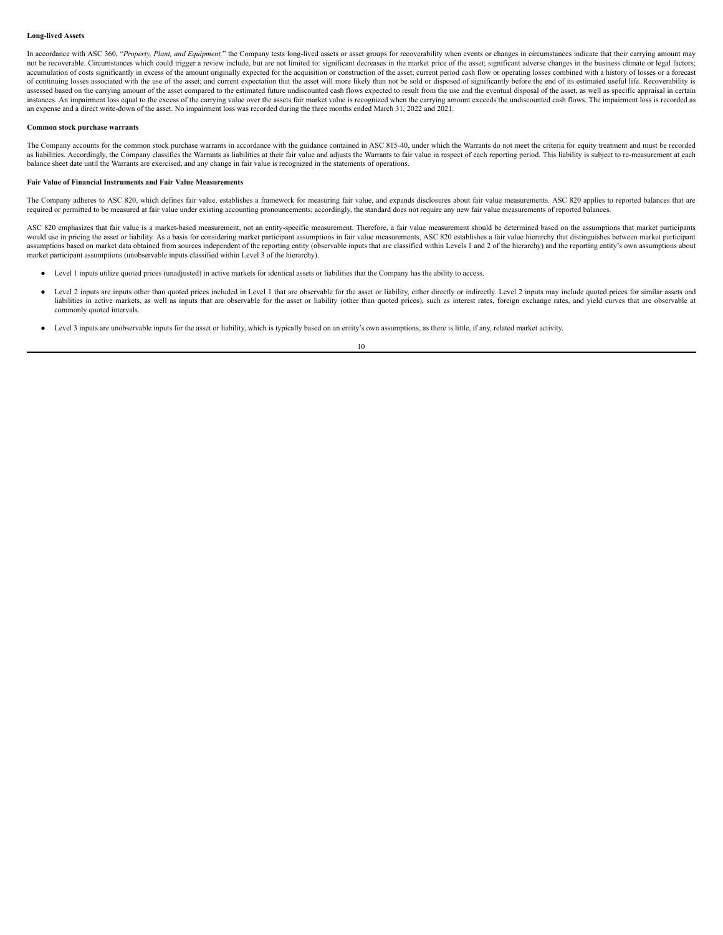#### **Long-lived Assets**

In accordance with ASC 360, "Property, Plant, and Equipment," the Company tests long-lived assets or asset groups for recoverability when events or changes in circumstances indicate that their carrying amount may not be recoverable. Circumstances which could trigger a review include, but are not limited to: significant decreases in the market price of the asset; significant adverse changes in the business climate or legal factors; accumulation of costs significantly in excess of the amount originally expected for the acquisition or construction of the asset; current period cash flow or operating losses combined with a history of losses or a forecast of continuing losses associated with the use of the asset; and current expectation that the asset will more likely than not be sold or disposed of significantly before the end of its estimated useful life. Recoverability is assessed based on the carrying amount of the asset compared to the estimated future undiscounted cash flows expected to result from the use and the eventual disposal of the asset, as well as specific appraisal in certain instances. An impairment loss equal to the excess of the carrying value over the assets fair market value is recognized when the carrying amount exceeds the undiscounted cash flows. The impairment loss is recorded as an expense and a direct write-down of the asset. No impairment loss was recorded during the three months ended March 31, 2022 and 2021.

#### **Common stock purchase warrants**

The Company accounts for the common stock purchase warrants in accordance with the guidance contained in ASC 815-40, under which the Warrants do not meet the criteria for equity treatment and must be recorded as liabilities. Accordingly, the Company classifies the Warrants as liabilities at their fair value and adjusts the Warrants to fair value in respect of each reporting period. This liability is subject to re-measurement at balance sheet date until the Warrants are exercised, and any change in fair value is recognized in the statements of operations.

#### **Fair Value of Financial Instruments and Fair Value Measurements**

The Company adheres to ASC 820, which defines fair value, establishes a framework for measuring fair value, and expands disclosures about fair value measurements. ASC 820 applies to reported balances that are required or permitted to be measured at fair value under existing accounting pronouncements; accordingly, the standard does not require any new fair value measurements of reported balances.

ASC 820 emphasizes that fair value is a market-based measurement, not an entity-specific measurement. Therefore, a fair value measurement should be determined based on the assumptions that market participants would use in pricing the asset or liability. As a basis for considering market participant assumptions in fair value measurements, ASC 820 establishes a fair value hierarchy that distinguishes between market participant assumptions based on market data obtained from sources independent of the reporting entity (observable inputs that are classified within Levels 1 and 2 of the hierarchy) and the reporting entity's own assumptions about market participant assumptions (unobservable inputs classified within Level 3 of the hierarchy).

- Level 1 inputs utilize quoted prices (unadjusted) in active markets for identical assets or liabilities that the Company has the ability to access.
- Level 2 inputs are inputs other than quoted prices included in Level 1 that are observable for the asset or liability, either directly or indirectly. Level 2 inputs may include quoted prices for similar assets and liabilities in active markets, as well as inputs that are observable for the asset or liability (other than quoted prices), such as interest rates, foreign exchange rates, and yield curves that are observable at commonly quoted intervals.
- Level 3 inputs are unobservable inputs for the asset or liability, which is typically based on an entity's own assumptions, as there is little, if any, related market activity.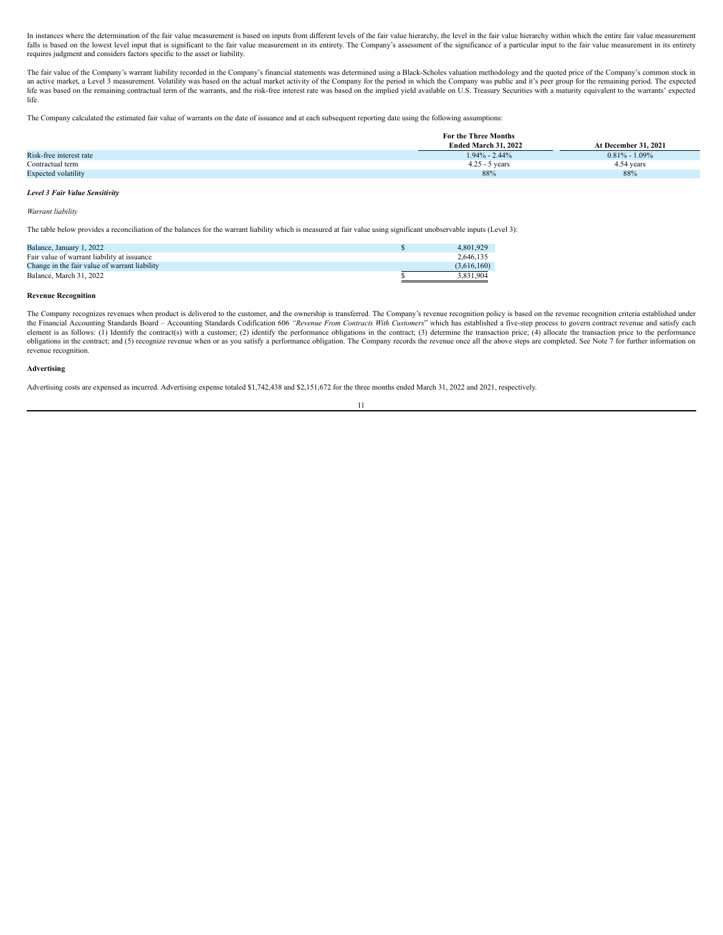In instances where the determination of the fair value measurement is based on inputs from different levels of the fair value hierarchy, the level in the fair value hierarchy within which the entire fair value measurement falls is based on the lowest level input that is significant to the fair value measurement in its entirety. The Company's assessment of the significance of a particular input to the fair value measurement in its entirety requires judgment and considers factors specific to the asset or liability.

The fair value of the Company's warrant liability recorded in the Company's financial statements was determined using a Black-Scholes valuation methodology and the quoted price of the Company's common stock in an active market, a Level 3 measurement. Volatility was based on the actual market activity of the Company for the period in which the Company was public and it's peer group for the remaining period. The expected life was based on the remaining contractual term of the warrants, and the risk-free interest rate was based on the implied yield available on U.S. Treasury Securities with a maturity equivalent to the warrants' expected life.

The Company calculated the estimated fair value of warrants on the date of issuance and at each subsequent reporting date using the following assumptions:

|                            | <b>For the Three Months</b> |                      |
|----------------------------|-----------------------------|----------------------|
|                            | <b>Ended March 31, 2022</b> | At December 31, 2021 |
| Risk-free interest rate    | $1.94\% - 2.44\%$           | $0.81\% - 1.09\%$    |
| Contractual term           | $4.25 - 5$ years            | 4.54 years           |
| <b>Expected volatility</b> | 88%                         | 88%                  |

# *Level 3 Fair Value Sensitivity*

*Warrant liability*

The table below provides a reconciliation of the balances for the warrant liability which is measured at fair value using significant unobservable inputs (Level 3):

| Balance, January 1, 2022                      | 4.801.929   |
|-----------------------------------------------|-------------|
| Fair value of warrant liability at issuance   | 2.646.135   |
| Change in the fair value of warrant liability | (3.616.160) |
| Balance, March 31, 2022                       | 3.831.904   |

#### **Revenue Recognition**

The Company recognizes revenues when product is delivered to the customer, and the ownership is transferred. The Company's revenue recognition policy is based on the revenue recognition criteria established under the Financial Accounting Standards Board - Accounting Standards Codification 606 "Revenue From Contracts With Customers" which has established a five-step process to govern contract revenue and satisfy each element is as follows: (1) Identify the contract(s) with a customer; (2) identify the performance obligations in the contract; (3) determine the transaction price; (4) allocate the transaction price to the performance obligations in the contract; and (5) recognize revenue when or as you satisfy a performance obligation. The Company records the revenue once all the above steps are completed. See Note 7 for further information on revenue recognition.

#### **Advertising**

Advertising costs are expensed as incurred. Advertising expense totaled \$1,742,438 and \$2,151,672 for the three months ended March 31, 2022 and 2021, respectively.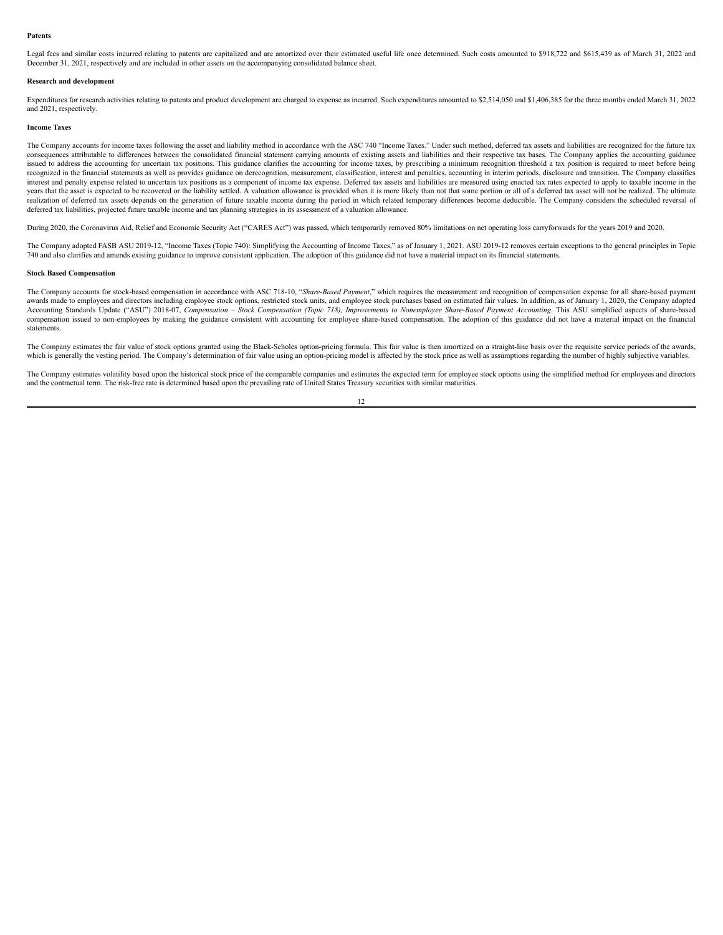#### **Patents**

Legal fees and similar costs incurred relating to patents are capitalized and are amortized over their estimated useful life once determined. Such costs amounted to \$918.722 and \$615.439 as of March 31, 2022 and December 31, 2021, respectively and are included in other assets on the accompanying consolidated balance sheet.

#### **Research and development**

Expenditures for research activities relating to patents and product development are charged to expense as incurred. Such expenditures amounted to \$2,514,050 and \$1,406,385 for the three months ended March 31, 2022 and 2021, respectively.

#### **Income Taxes**

The Company accounts for income taxes following the asset and liability method in accordance with the ASC 740 "Income Taxes." Under such method, deferred tax assets and liabilities are recognized for the future tax consequences attributable to differences between the consolidated financial statement carrying amounts of existing assets and liabilities and their respective tax bases. The Company applies the accounting guidance issued to address the accounting for uncertain tax positions. This guidance clarifies the accounting for income taxes, by prescribing a minimum recognition threshold a tax position is required to meet before being recognized in the financial statements as well as provides guidance on derecognition, measurement, classification, interest and penalties, accounting in interim periods, disclosure and transition. The Company classifies interest and penalty expense related to uncertain tax positions as a component of income tax expense. Deferred tax assets and liabilities are measured using enacted tax rates expected to apply to taxable income in the years that the asset is expected to be recovered or the liability settled. A valuation allowance is provided when it is more likely than not that some portion or all of a deferred tax asset will not be realized. The ultima realization of deferred tax assets depends on the generation of future taxable income during the period in which related temporary differences become deductible. The Company considers the scheduled reversal of deferred tax liabilities, projected future taxable income and tax planning strategies in its assessment of a valuation allowance.

During 2020, the Coronavirus Aid, Relief and Economic Security Act ("CARES Act") was passed, which temporarily removed 80% limitations on net operating loss carryforwards for the years 2019 and 2020.

The Company adopted FASB ASU 2019-12, "Income Taxes (Topic 740): Simplifying the Accounting of Income Taxes," as of January 1, 2021. ASU 2019-12 removes certain exceptions to the general principles in Topic 740 and also clarifies and amends existing guidance to improve consistent application. The adoption of this guidance did not have a material impact on its financial statements.

#### **Stock Based Compensation**

The Company accounts for stock-based compensation in accordance with ASC 718-10, "*Share-Based Payment*," which requires the measurement and recognition of compensation expense for all share-based payment awards made to employees and directors including employee stock options, restricted stock units, and employee stock purchases based on estimated fair values. In addition, as of January 1, 2020, the Company adopted Accounting Standards Update ("ASU") 2018-07, Compensation - Stock Compensation (Topic 718), Improvements to Nonemployee Share-Based Payment Accounting. This ASU simplified aspects of share-based compensation issued to non-employees by making the guidance consistent with accounting for employee share-based compensation. The adoption of this guidance did not have a material impact on the financial statements.

The Company estimates the fair value of stock options granted using the Black-Scholes option-pricing formula. This fair value is then amortized on a straight-line basis over the requisite service periods of the awards, which is generally the vesting period. The Company's determination of fair value using an option-pricing model is affected by the stock price as well as assumptions regarding the number of highly subjective variables.

The Company estimates volatility based upon the historical stock price of the comparable companies and estimates the expected term for employee stock options using the simplified method for employees and directors and the contractual term. The risk-free rate is determined based upon the prevailing rate of United States Treasury securities with similar maturities.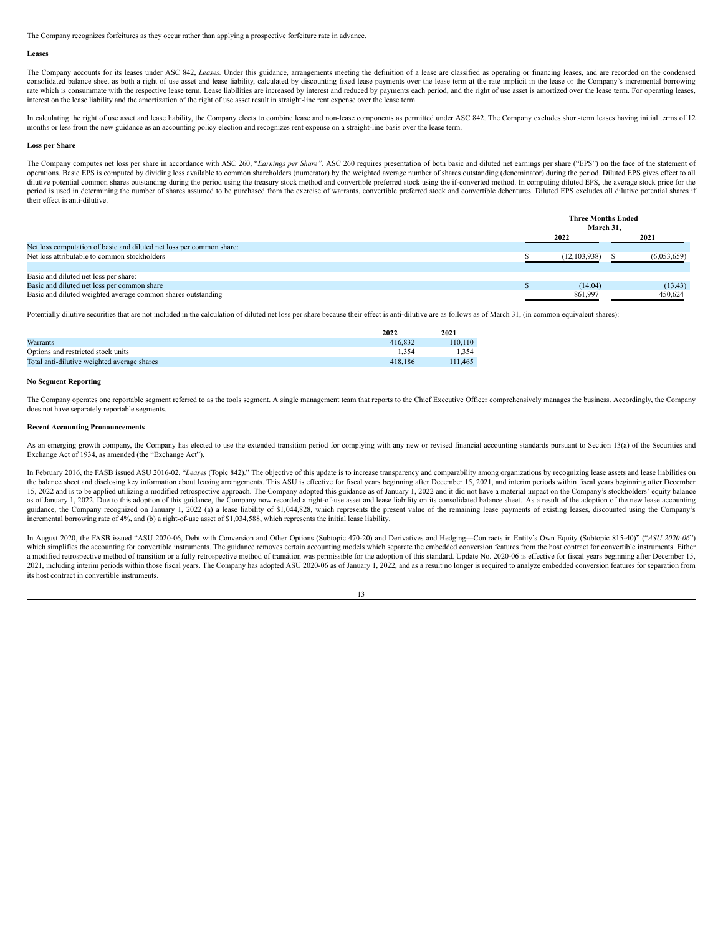The Company recognizes forfeitures as they occur rather than applying a prospective forfeiture rate in advance.

#### **Leases**

The Company accounts for its leases under ASC 842, Leases. Under this guidance, arrangements meeting the definition of a lease are classified as operating or financing leases, and are recorded on the condensed consolidated balance sheet as both a right of use asset and lease lability, calculated by discounting fixed lease payments over the lease term at the rate implicit in the lease or the Company's incremental borrowing rate which is consummate with the respective lease term. Lease liabilities are increased by interest and reduced by payments each period, and the right of use asset is amortized over the lease term. For operating leases, interest on the lease liability and the amortization of the right of use asset result in straight-line rent expense over the lease term.

In calculating the right of use asset and lease liability, the Company elects to combine lease and non-lease components as permitted under ASC 842. The Company excludes short-term leases having initial terms of 12 months or less from the new guidance as an accounting policy election and recognizes rent expense on a straight-line basis over the lease term.

#### **Loss per Share**

The Company computes net loss per share in accordance with ASC 260, "Earnings per Share". ASC 260 requires presentation of both basic and diluted net earnings per share ("EPS") on the face of the statement of operations. Basic EPS is computed by dividing loss available to common shareholders (numerator) by the weighted average number of shares outstanding (denominator) during the period. Diluted EPS gives effect to all dilutive potential common shares outstanding during the period using the treasury stock method and convertible preferred stock using the if-converted method. In computing diluted EPS, the average stock price for the period is used in determining the number of shares assumed to be purchased from the exercise of warrants, convertible preferred stock and convertible debentures. Diluted EPS excludes all dilutive potential shares if their effect is anti-dilutive.

|                                                                      | <b>Three Months Ended</b><br>March 31. |             |
|----------------------------------------------------------------------|----------------------------------------|-------------|
|                                                                      | 2022                                   | 2021        |
| Net loss computation of basic and diluted net loss per common share: |                                        |             |
| Net loss attributable to common stockholders                         | (12, 103, 938)                         | (6,053,659) |
|                                                                      |                                        |             |
| Basic and diluted net loss per share:                                |                                        |             |
| Basic and diluted net loss per common share                          | (14.04)                                | (13.43)     |
| Basic and diluted weighted average common shares outstanding         | 861.997                                | 450.624     |

Potentially dilutive securities that are not included in the calculation of diluted net loss per share because their effect is anti-dilutive are as follows as of March 31, (in common equivalent shares):

|                                             | 2022    | 2021   |
|---------------------------------------------|---------|--------|
| <b>Warrants</b>                             | 416832  | 10.110 |
| Options and restricted stock units          |         | . 354  |
| Total anti-dilutive weighted average shares | 418.186 | 11.465 |

#### **No Segment Reporting**

The Company operates one reportable segment referred to as the tools segment. A single management team that reports to the Chief Executive Officer comprehensively manages the business. Accordingly, the Company does not have separately reportable segments.

#### **Recent Accounting Pronouncements**

As an emerging growth company, the Company has elected to use the extended transition period for complying with any new or revised financial accounting standards pursuant to Section 13(a) of the Securities and Exchange Act of 1934, as amended (the "Exchange Act").

In February 2016, the FASB issued ASU 2016-02, "*Leases* (Topic 842)." The objective of this update is to increase transparency and comparability among organizations by recognizing lease assets and lease liabilities on the balance sheet and disclosing key information about leasing arrangements. This ASU is effective for fiscal years beginning after December 15, 2021, and interim periods within fiscal years beginning after December 15, 2022 and is to be applied utilizing a modified retrospective approach. The Company adopted this guidance as of January 1, 2022 and it did not have a material impact on the Company's stockholders' equity balance as of January 1, 2022. Due to this adoption of this guidance, the Company now recorded a right-of-use asset and lease liability on its consolidated balance sheet. As a result of the adoption of the new lease accounting gui incremental borrowing rate of 4%, and (b) a right-of-use asset of \$1,034,588, which represents the initial lease liability.

In August 2020, the FASB issued "ASU 2020-06, Debt with Conversion and Other Options (Subtopic 470-20) and Derivatives and Hedging—Contracts in Entity's Own Equity (Subtopic 815-40)" ("*ASU 2020-06*") which simplifies the accounting for convertible instruments. The guidance removes certain accounting models which separate the embedded conversion features from the host contract for convertible instruments. Either a modified retrospective method of transition or a fully retrospective method of transition was permissible for the adoption of this standard. Update No. 2020-06 is effective for fiscal years beginning after December 15, 2021, including interim periods within those fiscal years. The Company has adopted ASU 2020-06 as of January 1, 2022, and as a result no longer is required to analyze embedded conversion features for separation from its host contract in convertible instruments.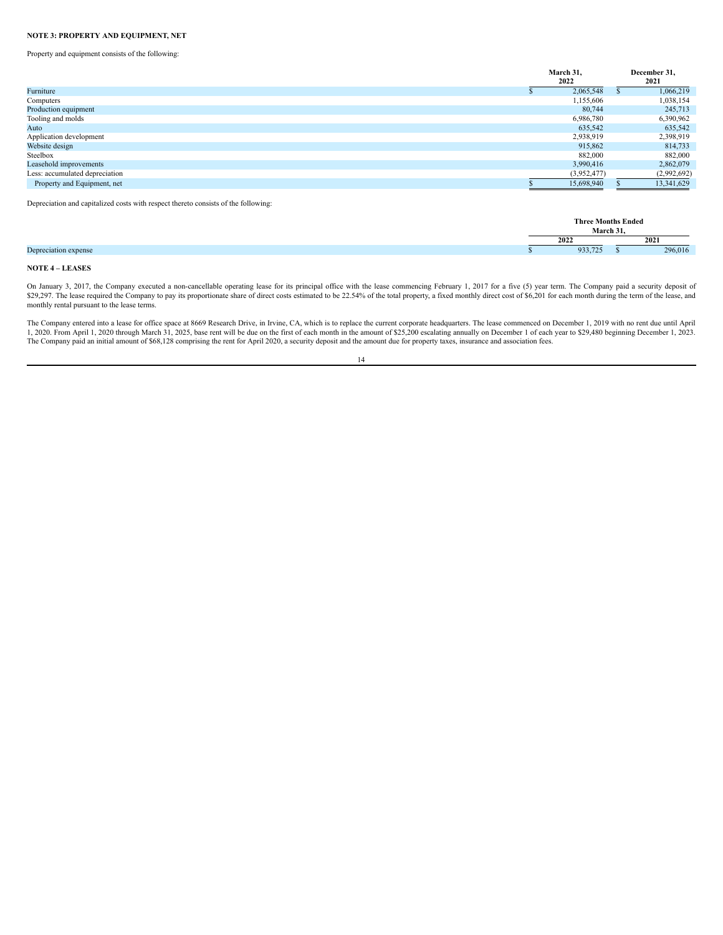# **NOTE 3: PROPERTY AND EQUIPMENT, NET**

Property and equipment consists of the following:

|                                | March 31,<br>2022 | December 31,<br>2021 |
|--------------------------------|-------------------|----------------------|
| Furniture                      | 2,065,548         | 1,066,219            |
| Computers                      | 1,155,606         | 1,038,154            |
| Production equipment           | 80,744            | 245,713              |
| Tooling and molds              | 6,986,780         | 6,390,962            |
| Auto                           | 635,542           | 635,542              |
| Application development        | 2,938,919         | 2,398,919            |
| Website design                 | 915,862           | 814,733              |
| Steelbox                       | 882,000           | 882,000              |
| Leasehold improvements         | 3,990,416         | 2,862,079            |
| Less: accumulated depreciation | (3,952,477)       | (2,992,692)          |
| Property and Equipment, net    | 15,698,940        | 13,341,629           |

Depreciation and capitalized costs with respect thereto consists of the following:

|                      | <b>Three Months Ended</b> |         |
|----------------------|---------------------------|---------|
|                      | March                     |         |
|                      | 2022                      | 2021    |
| Depreciation expense | 933,725                   | 296,016 |

#### **NOTE 4 – LEASES**

On January 3, 2017, the Company executed a non-cancellable operating lease for its principal office with the lease commencing February 1, 2017 for a five (5) year term. The Company paid a security deposit of \$29,297. The lease required the Company to pay its proportionate share of direct costs estimated to be 22.54% of the total property, a fixed monthly direct cost of \$6,201 for each month during the term of the lease, and monthly rental pursuant to the lease terms.

The Company entered into a lease for office space at 8669 Research Drive, in Irvine, CA, which is to replace the current corporate headquarters. The lease commenced on December 1, 2019 with no rent due until April<br>1, 2020. The Company paid an initial amount of \$68,128 comprising the rent for April 2020, a security deposit and the amount due for property taxes, insurance and association fees.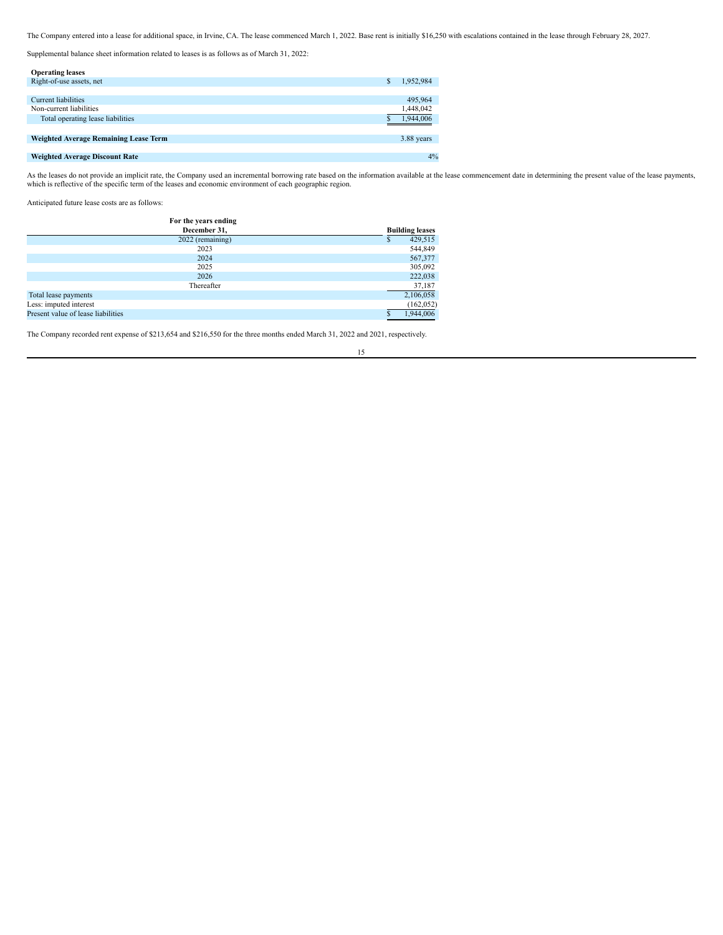The Company entered into a lease for additional space, in Irvine, CA. The lease commenced March 1, 2022. Base rent is initially \$16,250 with escalations contained in the lease through February 28, 2027.

Supplemental balance sheet information related to leases is as follows as of March 31, 2022:

| <b>Operating leases</b>                      |            |
|----------------------------------------------|------------|
| Right-of-use assets, net                     | 1,952,984  |
|                                              |            |
| Current liabilities                          | 495,964    |
| Non-current liabilities                      | 1,448,042  |
| Total operating lease liabilities            | 1,944,006  |
|                                              |            |
| <b>Weighted Average Remaining Lease Term</b> | 3.88 years |
|                                              |            |
| <b>Weighted Average Discount Rate</b>        | 4%         |

As the leases do not provide an implicit rate, the Company used an incremental borrowing rate based on the information available at the lease commencement date in determining the present value of the lease payments, which

Anticipated future lease costs are as follows:

| For the years ending               |                        |
|------------------------------------|------------------------|
| December 31,                       | <b>Building leases</b> |
| 2022 (remaining)                   | 429,515<br>Φ           |
| 2023                               | 544,849                |
| 2024                               | 567,377                |
| 2025                               | 305,092                |
| 2026                               | 222,038                |
| Thereafter                         | 37,187                 |
| Total lease payments               | 2,106,058              |
| Less: imputed interest             | (162, 052)             |
| Present value of lease liabilities | 1,944,006              |

The Company recorded rent expense of \$213,654 and \$216,550 for the three months ended March 31, 2022 and 2021, respectively.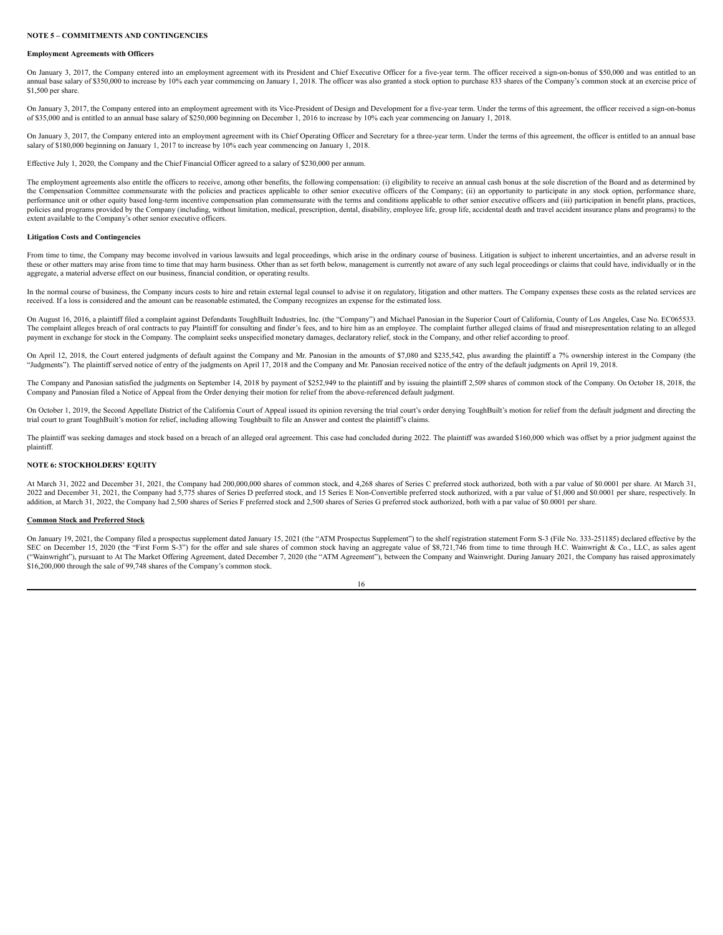#### **NOTE 5 – COMMITMENTS AND CONTINGENCIES**

#### **Employment Agreements with Officers**

On January 3, 2017, the Company entered into an employment agreement with its President and Chief Executive Officer for a five-year term. The officer received a sign-on-bonus of \$50,000 and was entitled to an annual base salary of \$350,000 to increase by 10% each year commencing on January 1, 2018. The officer was also granted a stock option to purchase 833 shares of the Company's common stock at an exercise price of \$1,500 per share.

On January 3, 2017, the Company entered into an employment agreement with its Vice-President of Design and Development for a five-year term. Under the terms of this agreement, the officer received a sign-on-bonus of \$35,000 and is entitled to an annual base salary of \$250,000 beginning on December 1, 2016 to increase by 10% each year commencing on January 1, 2018.

On January 3, 2017, the Company entered into an employment agreement with its Chief Operating Officer and Secretary for a three-year term. Under the terms of this agreement, the officer is entitled to an annual base salary of \$180,000 beginning on January 1, 2017 to increase by 10% each year commencing on January 1, 2018.

Effective July 1, 2020, the Company and the Chief Financial Officer agreed to a salary of \$230,000 per annum.

The employment agreements also entitle the officers to receive, among other benefits, the following compensation: (i) eligibility to receive an annual cash bonus at the sole discretion of the Board and as determined by the Compensation Committee commensurate with the policies and practices applicable to other senior executive officers of the Company; (ii) an opportunity to participate in any stock option, performance share, performance unit or other equity based long-term incentive compensation plan commensurate with the terms and conditions applicable to other senior executive officers and (iii) participation in benefit plans, practices, policies and programs provided by the Company (including, without limitation, medical, prescription, dental, disability, employee life, group life, accidental death and travel accident insurance plans and programs) to the extent available to the Company's other senior executive officers.

#### **Litigation Costs and Contingencies**

From time to time, the Company may become involved in various lawsuits and legal proceedings, which arise in the ordinary course of business. Litigation is subject to inherent uncertainties, and an adverse result in these or other matters may arise from time to time that may harm business. Other than as set forth below, management is currently not aware of any such legal proceedings or claims that could have, individually or in the aggregate, a material adverse effect on our business, financial condition, or operating results.

In the normal course of business, the Company incurs costs to hire and retain external legal counsel to advise it on regulatory, litigation and other matters. The Company expenses these costs as the related services are received. If a loss is considered and the amount can be reasonable estimated, the Company recognizes an expense for the estimated loss.

On August 16, 2016, a plaintiff filed a complaint against Defendants ToughBuilt Industries. Inc. (the "Company") and Michael Panosian in the Superior Court of California, County of Los Angeles, Case No. EC065533. The complaint alleges breach of oral contracts to pay Plaintiff for consulting and finder's fees, and to hire him as an employee. The complaint further alleged claims of fraud and misrepresentation relating to an alleged payment in exchange for stock in the Company. The complaint seeks unspecified monetary damages, declaratory relief, stock in the Company, and other relief according to proof.

On April 12, 2018, the Court entered judgments of default against the Company and Mr. Panosian in the amounts of \$7,080 and \$235,542, plus awarding the plaintiff a 7% ownership interest in the Company (the "Judgments"). The plaintiff served notice of entry of the judgments on April 17, 2018 and the Company and Mr. Panosian received notice of the entry of the default judgments on April 19, 2018.

The Company and Panosian satisfied the judgments on September 14, 2018 by payment of \$252,949 to the plaintiff and by issuing the plaintiff 2,509 shares of common stock of the Company. On October 18, 2018, the Company and Panosian filed a Notice of Appeal from the Order denying their motion for relief from the above-referenced default judgment.

On October 1, 2019, the Second Appellate District of the California Court of Appeal issued its opinion reversing the trial court's order denying ToughBuilt's motion for relief from the default judgment and directing the trial court to grant ToughBuilt's motion for relief, including allowing Toughbuilt to file an Answer and contest the plaintiff's claims.

The plaintiff was seeking damages and stock based on a breach of an alleged oral agreement. This case had concluded during 2022. The plaintiff was awarded \$160,000 which was offset by a prior judgment against the plaintiff.

# **NOTE 6: STOCKHOLDERS' EQUITY**

At March 31, 2022 and December 31, 2021, the Company had 200,000,000 shares of common stock, and 4,268 shares of Series C preferred stock authorized, both with a par value of \$0.0001 per share. At March 31, 2022 and December 31, 2021, the Company had 5,775 shares of Series D preferred stock, and 15 Series E Non-Convertible preferred stock authorized, with a par value of \$1,000 and \$0.0001 per share, respectively. In addition, at March 31, 2022, the Company had 2,500 shares of Series F preferred stock and 2,500 shares of Series G preferred stock authorized, both with a par value of \$0.0001 per share.

#### **Common Stock and Preferred Stock**

On January 19, 2021, the Company filed a prospectus supplement dated January 15, 2021 (the "ATM Prospectus Supplement") to the shelf registration statement Form S-3 (File No. 333-251185) declared effective by the SEC on December 15, 2020 (the "First Form S-3") for the offer and sale shares of common stock having an aggregate value of \$8,721,746 from time to time through H.C. Wainwright & Co., LLC, as sales agent ("Wainwright"), pursuant to At The Market Offering Agreement, dated December 7, 2020 (the "ATM Agreement"), between the Company and Wainwright. During January 2021, the Company has raised approximately \$16,200,000 through the sale of 99,748 shares of the Company's common stock.

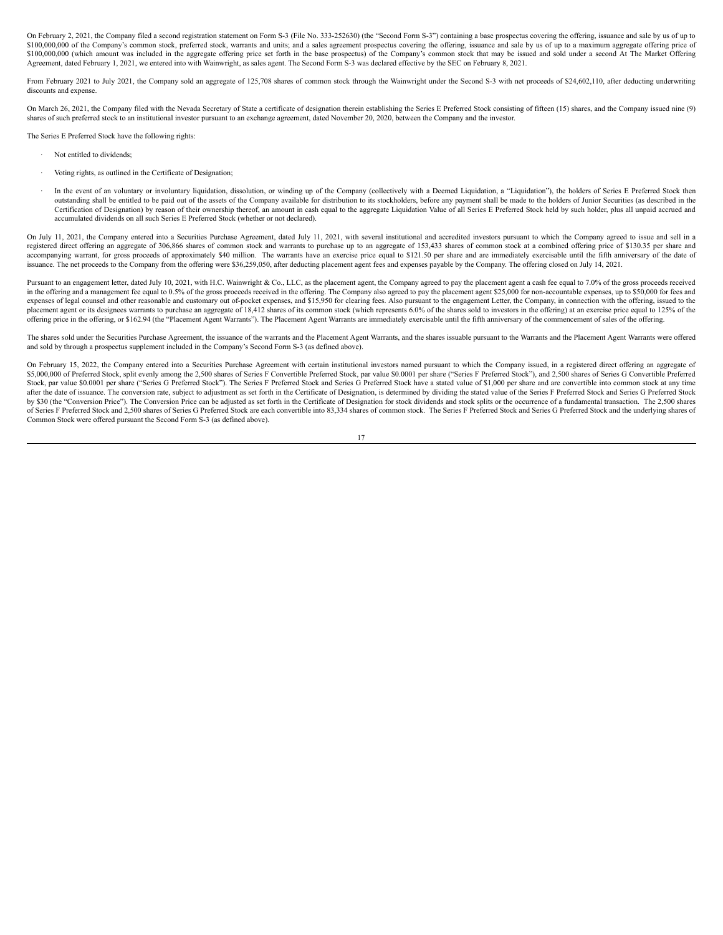On February 2, 2021, the Company filed a second registration statement on Form S-3 (File No. 333-252630) (the "Second Form S-3") containing a base prospectus covering the offering, issuance and sale by us of up to \$100,000,000 of the Company's common stock, preferred stock, warrants and units; and a sales agreement prospectus covering the offering, issuance and sale by us of up to a maximum aggregate offering price of \$100,000,000 (which amount was included in the aggregate offering price set forth in the base prospectus) of the Company's common stock that may be issued and sold under a second At The Market Offering Agreement, dated February 1, 2021, we entered into with Wainwright, as sales agent. The Second Form S-3 was declared effective by the SEC on February 8, 2021.

From February 2021 to July 2021, the Company sold an aggregate of 125,708 shares of common stock through the Wainwright under the Second S-3 with net proceeds of \$24,602,110, after deducting underwriting discounts and expense.

On March 26, 2021, the Company filed with the Nevada Secretary of State a certificate of designation therein establishing the Series E Preferred Stock consisting of fifteen (15) shares, and the Company issued nine (9) shares of such preferred stock to an institutional investor pursuant to an exchange agreement, dated November 20, 2020, between the Company and the investor.

The Series E Preferred Stock have the following rights:

- · Not entitled to dividends;
- Voting rights, as outlined in the Certificate of Designation;
- In the event of an voluntary or involuntary liquidation, dissolution, or winding up of the Company (collectively with a Deemed Liquidation, a "Liquidation"), the holders of Series E Preferred Stock then outstanding shall be entitled to be paid out of the assets of the Company available for distribution to its stockholders, before any payment shall be made to the holders of Junior Securities (as described in the Certification of Designation) by reason of their ownership thereof, an amount in cash equal to the aggregate Liquidation Value of all Series E Preferred Stock held by such holder, plus all unpaid accrued and accumulated dividends on all such Series E Preferred Stock (whether or not declared).

On July 11, 2021, the Company entered into a Securities Purchase Agreement, dated July 11, 2021, with several institutional and accredited investors pursuant to which the Company agreed to issue and sell in a registered direct offering an aggregate of 306,866 shares of common stock and warrants to purchase up to an aggregate of 153,433 shares of common stock at a combined offering price of \$130.35 per share and accompanying warrant, for gross proceeds of approximately \$40 million. The warrants have an exercise price equal to \$121.50 per share and are immediately exercisable until the fifth anniversary of the date of issuance. The net proceeds to the Company from the offering were \$36,259,050, after deducting placement agent fees and expenses payable by the Company. The offering closed on July 14, 2021.

Pursuant to an engagement letter, dated July 10, 2021, with H.C. Wainwright & Co., LLC, as the placement agent, the Company agreed to pay the placement agent a cash fee equal to 7.0% of the gross proceeds received in the offering and a management fee equal to 0.5% of the gross proceeds received in the offering. The Company also agreed to pay the placement agent \$25,000 for non-accountable expenses, up to \$50,000 for fees and expenses of legal counsel and other reasonable and customary out of-pocket expenses, and \$15,950 for clearing fees. Also pursuant to the engagement Letter, the Company, in connection with the offering, issued to the placement agent or its designees warrants to purchase an aggregate of 18,412 shares of its common stock (which represents 6.0% of the shares sold to investors in the offering) at an exercise price equal to 125% of the offering price in the offering, or \$162.94 (the "Placement Agent Warrants"). The Placement Agent Warrants are immediately exercisable until the fifth anniversary of the commencement of sales of the offering.

The shares sold under the Securities Purchase Agreement, the issuance of the warrants and the Placement Agent Warrants, and the shares issuable pursuant to the Warrants and the Placement Agent Warrants were offered and sold by through a prospectus supplement included in the Company's Second Form S-3 (as defined above).

On February 15, 2022, the Company entered into a Securities Purchase Agreement with certain institutional investors named pursuant to which the Company issued, in a registered direct offering an aggregate of \$5,000,000 of Preferred Stock, split evenly among the 2,500 shares of Series F Convertible Preferred Stock, par value \$0.0001 per share ("Series F Preferred Stock"), and 2,500 shares of Series G Convertible Preferred Stock, par value \$0.0001 per share ("Series G Preferred Stock"). The Series F Preferred Stock and Series G Preferred Stock have a stated value of \$1,000 per share and are convertible into common stock at any time after the date of issuance. The conversion rate, subject to adjustment as set forth in the Certificate of Designation, is determined by dividing the stated value of the Series F Preferred Stock and Series G Preferred Stock by \$30 (the "Conversion Price"). The Conversion Price can be adjusted as set forth in the Certificate of Designation for stock dividends and stock splits or the occurrence of a fundamental transaction. The 2,500 shares of Series F Preferred Stock and 2,500 shares of Series G Preferred Stock are each convertible into 83,334 shares of common stock. The Series F Preferred Stock and Series G Preferred Stock and the underlying shares of Common Stock were offered pursuant the Second Form S-3 (as defined above).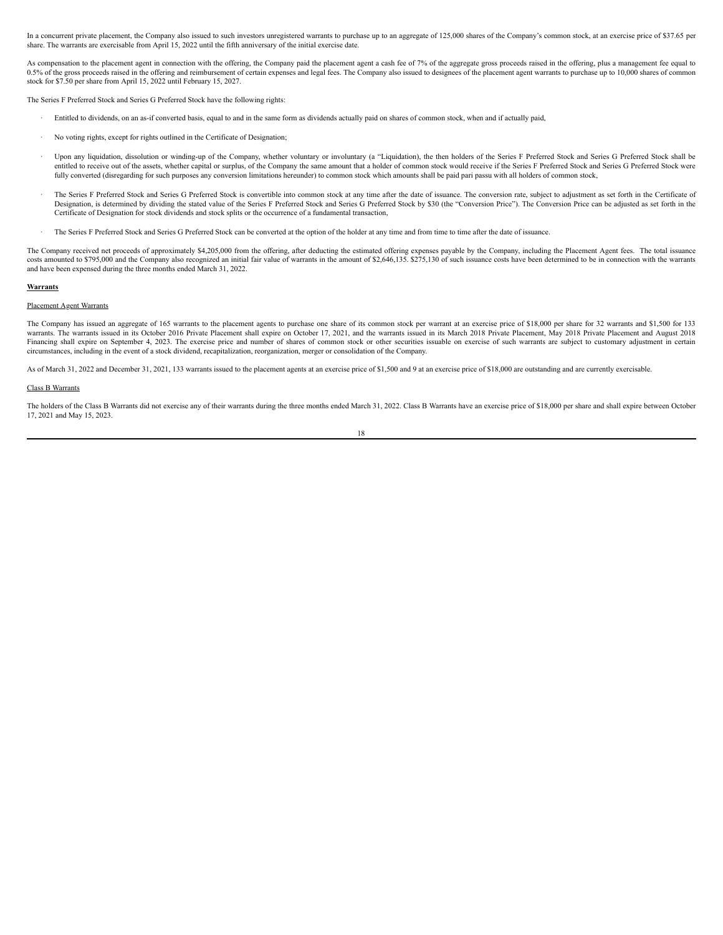In a concurrent private placement, the Company also issued to such investors unregistered warrants to purchase up to an aggregate of 125,000 shares of the Company's common stock, at an exercise price of \$37.65 per share. The warrants are exercisable from April 15, 2022 until the fifth anniversary of the initial exercise date.

As compensation to the placement agent in connection with the offering, the Company paid the placement agent a cash fee of 7% of the aggregate gross proceeds raised in the offering, plus a management fee equal to 0.5% of the gross proceeds raised in the offering and reimbursement of certain expenses and legal fees. The Company also issued to designees of the placement agent warrants to purchase up to 10,000 shares of common stock for \$7.50 per share from April 15, 2022 until February 15, 2027.

The Series F Preferred Stock and Series G Preferred Stock have the following rights:

- · Entitled to dividends, on an as-if converted basis, equal to and in the same form as dividends actually paid on shares of common stock, when and if actually paid,
- · No voting rights, except for rights outlined in the Certificate of Designation;
- Upon any liquidation, dissolution or winding-up of the Company, whether voluntary or involuntary (a "Liquidation), the then holders of the Series F Preferred Stock and Series G Preferred Stock shall be entitled to receive out of the assets, whether capital or surplus, of the Company the same amount that a holder of common stock would receive if the Series F Preferred Stock and Series G Preferred Stock were fully converted (disregarding for such purposes any conversion limitations hereunder) to common stock which amounts shall be paid pari passu with all holders of common stock,
- The Series F Preferred Stock and Series G Preferred Stock is convertible into common stock at any time after the date of issuance. The conversion rate, subject to adjustment as set forth in the Certificate of Designation, is determined by dividing the stated value of the Series F Preferred Stock and Series G Preferred Stock by \$30 (the "Conversion Price"). The Conversion Price can be adjusted as set forth in the Certificate of Designation for stock dividends and stock splits or the occurrence of a fundamental transaction,
- · The Series F Preferred Stock and Series G Preferred Stock can be converted at the option of the holder at any time and from time to time after the date of issuance.

The Company received net proceeds of approximately \$4,205,000 from the offering, after deducting the estimated offering expenses payable by the Company, including the Placement Agent fees. The total issuance costs amounted and have been expensed during the three months ended March 31, 2022.

#### **Warrants**

#### Placement Agent Warrants

The Company has issued an aggregate of 165 warrants to the placement agents to purchase one share of its common stock per warrant at an exercise price of \$18,000 per share for 32 warrants and \$1,500 for 133 warrants. The warrants issued in its October 2016 Private Placement shall expire on October 17, 2021, and the warrants issued in its March 2018 Private Placement, May 2018 Private Placement and August 2018 Financing shall expire on September 4, 2023. The exercise price and number of shares of common stock or other securities issuable on exercise of such warrants are subject to customary adjustment in certain circumstances, including in the event of a stock dividend, recapitalization, reorganization, merger or consolidation of the Company.

As of March 31, 2022 and December 31, 2021, 133 warrants issued to the placement agents at an exercise price of \$1,500 and 9 at an exercise price of \$18,000 are outstanding and are currently exercisable.

#### Class B Warrants

The holders of the Class B Warrants did not exercise any of their warrants during the three months ended March 31, 2022. Class B Warrants have an exercise price of \$18,000 per share and shall expire between October 17, 2021 and May 15, 2023.

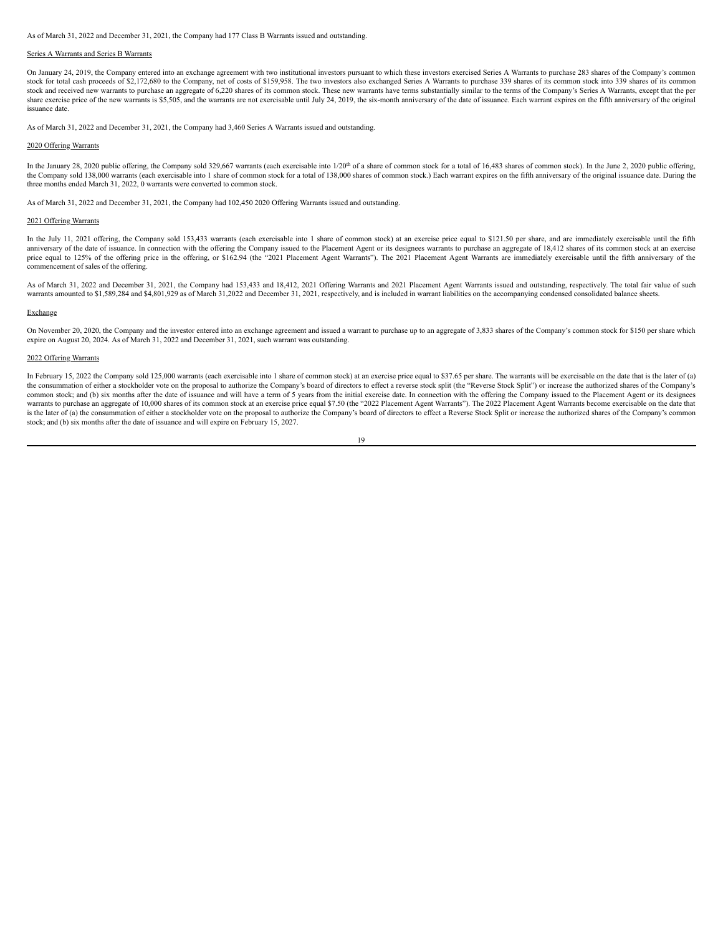As of March 31, 2022 and December 31, 2021, the Company had 177 Class B Warrants issued and outstanding.

#### Series A Warrants and Series B Warrants

On January 24, 2019, the Company entered into an exchange agreement with two institutional investors pursuant to which these investors exercised Series A Warrants to purchase 283 shares of the Company's common stock for total cash proceeds of \$2,172,680 to the Company, net of costs of \$159,958. The two investors also exchanged Series A Warrants to purchase 339 shares of its common stock into 339 shares of its common stock and received new warrants to purchase an aggregate of 6,220 shares of its common stock. These new warrants have terms substantially similar to the terms of the Company's Series A Warrants, except that the per share exercise price of the new warrants is \$5,505, and the warrants are not exercisable until July 24, 2019, the six-month anniversary of the date of issuance. Each warrant expires on the fifth anniversary of the original issuance date.

As of March 31, 2022 and December 31, 2021, the Company had 3,460 Series A Warrants issued and outstanding.

#### 2020 Offering Warrants

In the January 28, 2020 public offering, the Company sold 329,667 warrants (each exercisable into 1/20<sup>th</sup> of a share of common stock for a total of 16,483 shares of common stock). In the June 2, 2020 public offering, the Company sold 138,000 warrants (each exercisable into 1 share of common stock for a total of 138,000 shares of common stock.) Each warrant expires on the fifth anniversary of the original issuance date. During the three months ended March 31, 2022, 0 warrants were converted to common stock.

As of March 31, 2022 and December 31, 2021, the Company had 102,450 2020 Offering Warrants issued and outstanding.

#### 2021 Offering Warrants

In the July 11, 2021 offering, the Company sold 153,433 warrants (each exercisable into 1 share of common stock) at an exercise price equal to \$121.50 per share, and are immediately exercisable until the fifth anniversary of the date of issuance. In connection with the offering the Company issued to the Placement Agent or its designees warrants to purchase an aggregate of 18,412 shares of its common stock at an exercise price equal to 125% of the offering price in the offering, or \$162.94 (the "2021 Placement Agent Warrants"). The 2021 Placement Agent Warrants are immediately exercisable until the fifth anniversary of the commencement of sales of the offering.

As of March 31, 2022 and December 31, 2021, the Company had 153,433 and 18,412, 2021 Offering Warrants and 2021 Placement Agent Warrants issued and outstanding, respectively. The total fair value of such warrants amounted to \$1,589,284 and \$4,801,929 as of March 31,2022 and December 31, 2021, respectively, and is included in warrant liabilities on the accompanying condensed consolidated balance sheets.

#### Exchange

On November 20, 2020, the Company and the investor entered into an exchange agreement and issued a warrant to purchase up to an aggregate of 3,833 shares of the Company's common stock for \$150 per share which expire on August 20, 2024. As of March 31, 2022 and December 31, 2021, such warrant was outstanding.

#### 2022 Offering Warrants

In February 15, 2022 the Company sold 125,000 warrants (each exercisable into 1 share of common stock) at an exercise price equal to \$37.65 per share. The warrants will be exercisable on the date that is the later of (a) the consummation of either a stockholder vote on the proposal to authorize the Company's board of directors to effect a reverse stock split (the "Reverse Stock Split") or increase the authorized shares of the Company's common stock; and (b) six months after the date of issuance and will have a term of 5 years from the initial exercise date. In connection with the offering the Company issued to the Placement Agent or its designees warrants to purchase an aggregate of 10,000 shares of its common stock at an exercise price equal \$7.50 (the "2022 Placement Agent Warrants"). The 2022 Placement Agent Warrants become exercisable on the date that is the later of (a) the consummation of either a stockholder vote on the proposal to authorize the Company's board of directors to effect a Reverse Stock Split or increase the authorized shares of the Company's common stock; and (b) six months after the date of issuance and will expire on February 15, 2027.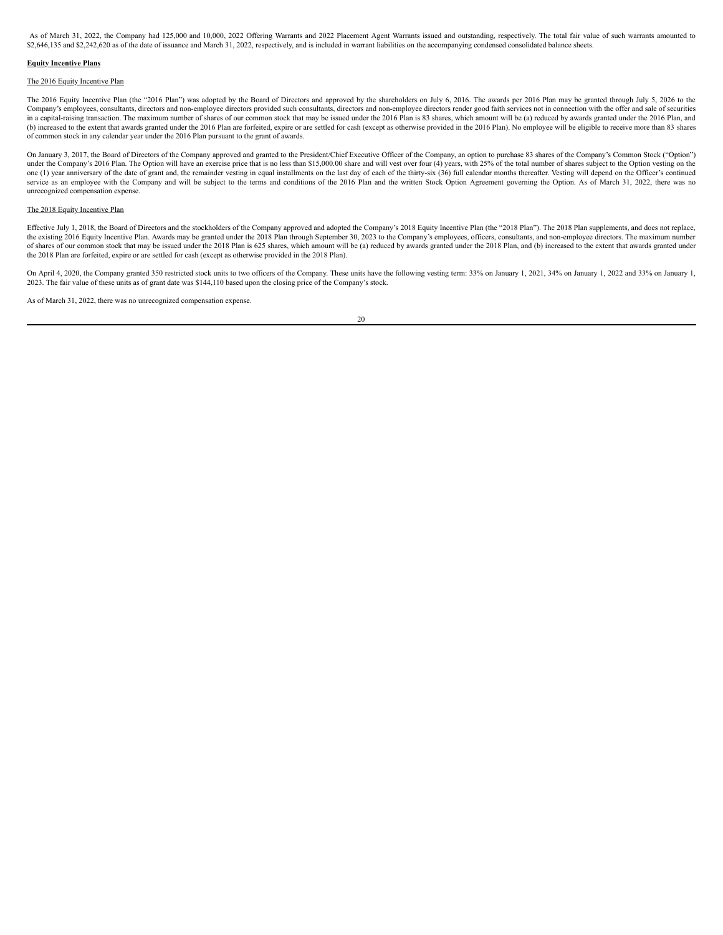As of March 31. 2022. the Company had 125,000 and 10,000, 2022 Offering Warrants and 2022 Placement Agent Warrants issued and outstanding, respectively. The total fair value of such warrants amounted to \$2,646,135 and \$2,242,620 as of the date of issuance and March 31, 2022, respectively, and is included in warrant liabilities on the accompanying condensed consolidated balance sheets.

#### **Equity Incentive Plans**

#### The 2016 Equity Incentive Plan

The 2016 Equity Incentive Plan (the "2016 Plan") was adopted by the Board of Directors and approved by the shareholders on July 6, 2016. The awards per 2016 Plan may be granted through July 5, 2026 to the Company's employees, consultants, directors and non-employee directors provided such consultants, directors and non-employee directors render good faith services not in connection with the offer and sale of securities in a capital-raising transaction. The maximum number of shares of our common stock that may be issued under the 2016 Plan is 83 shares, which amount will be (a) reduced by awards granted under the 2016 Plan, and (b) increased to the extent that awards granted under the 2016 Plan are forfeited, expire or are settled for cash (except as otherwise provided in the 2016 Plan). No employee will be eligible to receive more than 83 shares of common stock in any calendar year under the 2016 Plan pursuant to the grant of awards.

On January 3, 2017, the Board of Directors of the Company approved and granted to the President/Chief Executive Officer of the Company, an option to purchase 83 shares of the Company's Common Stock ("Option") under the Company's 2016 Plan. The Option will have an exercise price that is no less than \$15,000.00 share and will vest over four (4) years, with 25% of the total number of shares subject to the Option vesting on the one (1) year anniversary of the date of grant and, the remainder vesting in equal installments on the last day of each of the thirty-six (36) full calendar months thereafter. Vesting will depend on the Officer's continued service as an employee with the Company and will be subject to the terms and conditions of the 2016 Plan and the written Stock Option Agreement governing the Option. As of March 31, 2022, there was no unrecognized compensation expense.

#### The 2018 Equity Incentive Plan

Effective July 1, 2018, the Board of Directors and the stockholders of the Company approved and adopted the Company's 2018 Equity Incentive Plan (the "2018 Plan"). The 2018 Plan supplements, and does not replace, the existing 2016 Equity Incentive Plan. Awards may be granted under the 2018 Plan through September 30, 2023 to the Company's employees, officers, consultants, and non-employee directors. The maximum number of shares of our common stock that may be issued under the 2018 Plan is 625 shares, which amount will be (a) reduced by awards granted under the 2018 Plan, and (b) increased to the extent that awards granted under the 2018 Plan are forfeited, expire or are settled for cash (except as otherwise provided in the 2018 Plan).

On April 4, 2020, the Company granted 350 restricted stock units to two officers of the Company. These units have the following vesting term: 33% on January 1, 2021, 34% on January 1, 2022 and 33% on January 1, 2023. The fair value of these units as of grant date was \$144,110 based upon the closing price of the Company's stock.

As of March 31, 2022, there was no unrecognized compensation expense.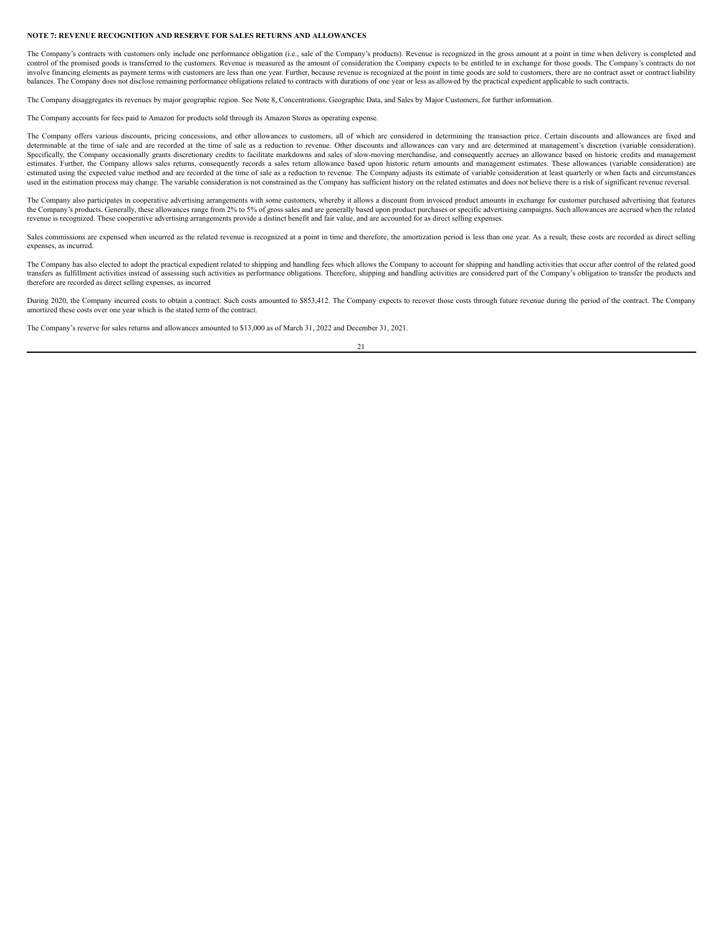#### **NOTE 7: REVENUE RECOGNITION AND RESERVE FOR SALES RETURNS AND ALLOWANCES**

The Company's contracts with customers only include one performance obligation (i.e., sale of the Company's products). Revenue is recognized in the gross amount at a point in time when delivery is completed and control of the promised goods is transferred to the customers. Revenue is measured as the amount of consideration the Company expects to be entitled to in exchange for those goods. The Company's contracts do not involve financing elements as payment terms with customers are less than one year. Further, because revenue is recognized at the point in time goods are sold to customers, there are no contract asset or contract liability balances. The Company does not disclose remaining performance obligations related to contracts with durations of one year or less as allowed by the practical expedient applicable to such contracts.

The Company disaggregates its revenues by major geographic region. See Note 8, Concentrations, Geographic Data, and Sales by Major Customers, for further information.

The Company accounts for fees paid to Amazon for products sold through its Amazon Stores as operating expense.

The Company offers various discounts, pricing concessions, and other allowances to customers, all of which are considered in determining the transaction price. Certain discounts and allowances are fixed and determinable at the time of sale and are recorded at the time of sale as a reduction to revenue. Other discounts and allowances can vary and are determined at management's discretion (variable consideration). Specifically, the Company occasionally grants discretionary credits to facilitate markdowns and sales of slow-moving merchandise, and consequently accrues an allowance based on historic credits and management estimates. Further, the Company allows sales returns, consequently records a sales return allowance based upon historic return amounts and management estimates. These allowances (variable consideration) are estimated using the expected value method and are recorded at the time of sale as a reduction to revenue. The Company adjusts its estimate of variable consideration at least quarterly or when facts and circumstances used in the estimation process may change. The variable consideration is not constrained as the Company has sufficient history on the related estimates and does not believe there is a risk of significant revenue reversal.

The Company also participates in cooperative advertising arrangements with some customers, whereby it allows a discount from invoiced product amounts in exchange for customer purchased advertising that features the Company's products. Generally, these allowances range from 2% to 5% of gross sales and are generally based upon product purchases or specific advertising campaigns. Such allowances are accrued when the related revenue is recognized. These cooperative advertising arrangements provide a distinct benefit and fair value, and are accounted for as direct selling expenses.

Sales commissions are expensed when incurred as the related revenue is recognized at a point in time and therefore, the amortization period is less than one year. As a result, these costs are recorded as direct selling expenses, as incurred.

The Company has also elected to adopt the practical expedient related to shipping and handling fees which allows the Company to account for shipping and handling activities that occur after control of the related good transfers as fulfillment activities instead of assessing such activities as performance obligations. Therefore, shipping and handling activities are considered part of the Company's obligation to transfer the products and therefore are recorded as direct selling expenses, as incurred

During 2020, the Company incurred costs to obtain a contract. Such costs amounted to \$853,412. The Company expects to recover those costs through future revenue during the period of the contract. The Company amortized these costs over one year which is the stated term of the contract.

The Company's reserve for sales returns and allowances amounted to \$13,000 as of March 31, 2022 and December 31, 2021.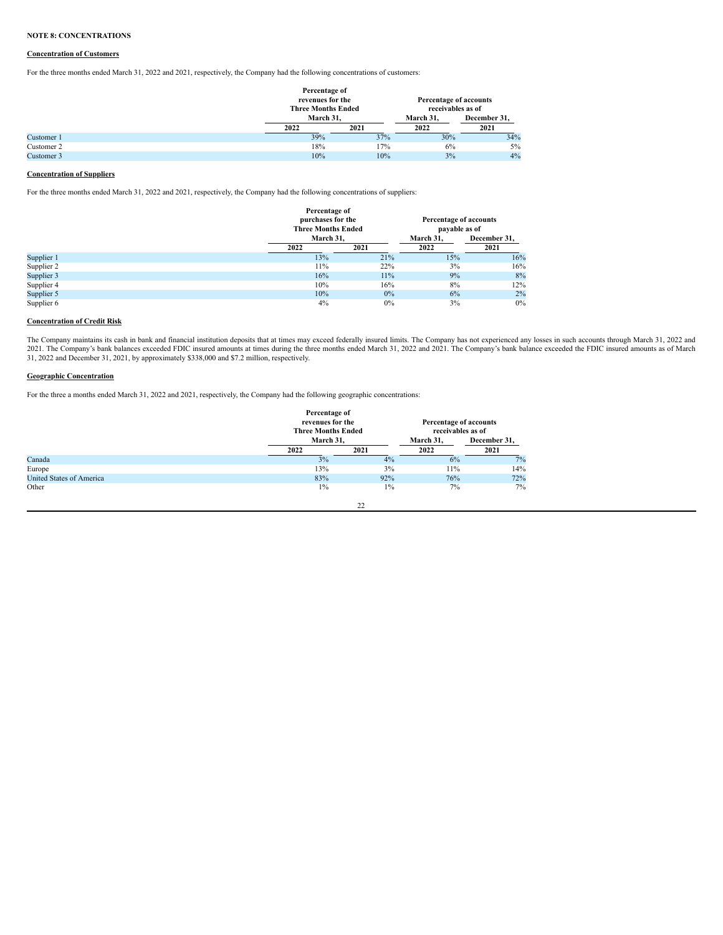# **NOTE 8: CONCENTRATIONS**

# **Concentration of Customers**

For the three months ended March 31, 2022 and 2021, respectively, the Company had the following concentrations of customers:

|            | Percentage of<br>revenues for the<br><b>Three Months Ended</b> |      | Percentage of accounts<br>receivables as of |              |
|------------|----------------------------------------------------------------|------|---------------------------------------------|--------------|
|            | March 31.                                                      |      | March 31.                                   | December 31. |
|            | 2022                                                           | 2021 | 2022                                        | 2021         |
| Customer 1 | 39%                                                            | 37%  | 30%                                         | 34%          |
| Customer 2 | 18%                                                            | 17%  | 6%                                          | 5%           |
| Customer 3 | 10%                                                            | 10%  | 3%                                          | 4%           |

# **Concentration of Suppliers**

For the three months ended March 31, 2022 and 2021, respectively, the Company had the following concentrations of suppliers:

|            | Percentage of<br>purchases for the<br><b>Three Months Ended</b> |       | Percentage of accounts<br>payable as of |              |
|------------|-----------------------------------------------------------------|-------|-----------------------------------------|--------------|
|            | March 31.                                                       |       | March 31,                               | December 31. |
|            | 2022                                                            | 2021  | 2022                                    | 2021         |
| Supplier 1 | 13%                                                             | 21%   | 15%                                     | 16%          |
| Supplier 2 | 11%                                                             | 22%   | 3%                                      | 16%          |
| Supplier 3 | 16%                                                             | 11%   | 9%                                      | 8%           |
| Supplier 4 | 10%                                                             | 16%   | 8%                                      | 12%          |
| Supplier 5 | 10%                                                             | $0\%$ | 6%                                      | 2%           |
| Supplier 6 | 4%                                                              | $0\%$ | 3%                                      | 0%           |

## **Concentration of Credit Risk**

The Company maintains its cash in bank and financial institution deposits that at times may exceed federally insured limits. The Company has not experienced any losses in such accounts through March 31, 2022 and<br>2021. The 31, 2022 and December 31, 2021, by approximately \$338,000 and \$7.2 million, respectively.

# **Geographic Concentration**

For the three a months ended March 31, 2022 and 2021, respectively, the Company had the following geographic concentrations:

|                                 | Percentage of<br>revenues for the<br><b>Three Months Ended</b> |       | Percentage of accounts<br>receivables as of |              |
|---------------------------------|----------------------------------------------------------------|-------|---------------------------------------------|--------------|
|                                 | March 31,                                                      |       | March 31,                                   | December 31, |
|                                 | 2022                                                           | 2021  | 2022                                        | 2021         |
| Canada                          | 3%                                                             | 4%    | 6%                                          | 7%           |
| Europe                          | 13%                                                            | 3%    | 11%                                         | 14%          |
| <b>United States of America</b> | 83%                                                            | 92%   | 76%                                         | 72%          |
| Other                           | $1\%$                                                          | $1\%$ | 7%                                          | 7%           |
|                                 |                                                                | 22    |                                             |              |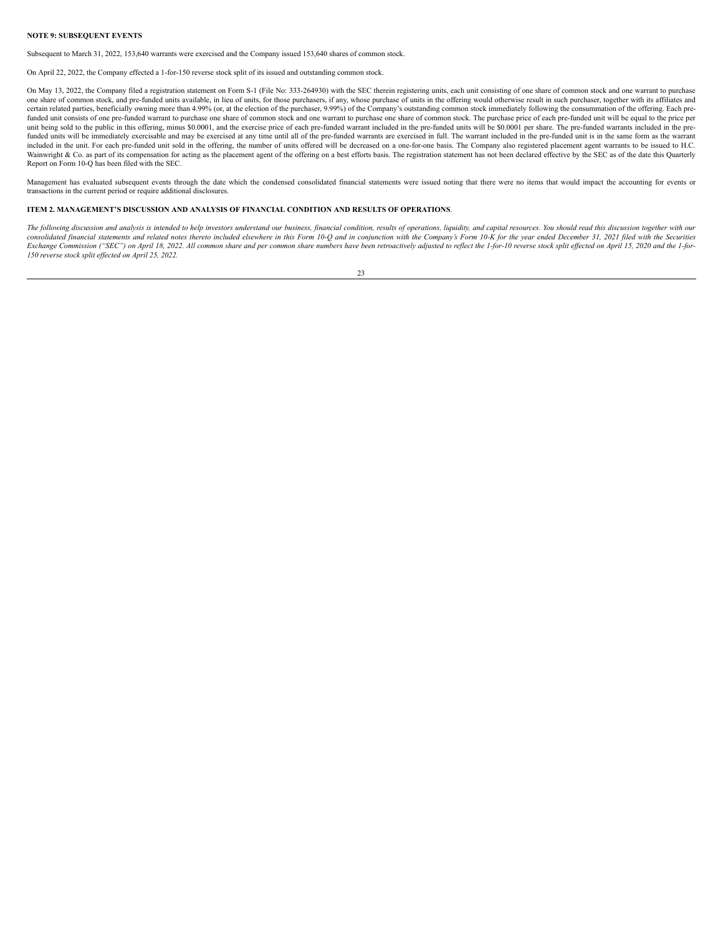# **NOTE 9: SUBSEQUENT EVENTS**

Subsequent to March 31, 2022, 153,640 warrants were exercised and the Company issued 153,640 shares of common stock.

On April 22, 2022, the Company effected a 1-for-150 reverse stock split of its issued and outstanding common stock.

On May 13, 2022, the Company filed a registration statement on Form S-1 (File No: 333-264930) with the SEC therein registering units, each unit consisting of one share of common stock and one warrant to purchase one share of common stock, and pre-funded units available, in lieu of units, for those purchasers, if any, whose purchase of units in the offering would otherwise result in such purchaser, together with its affiliates and certain related parties, beneficially owning more than 4.99% (or, at the election of the purchaser, 9.99%) of the Company's outstanding common stock immediately following the consummation of the offering. Each prefunded unit consists of one pre-funded warrant to purchase one share of common stock and one warrant to purchase one share of common stock. The purchase price of each pre-funded unit will be equal to the price per unit being sold to the public in this offering, minus \$0.0001, and the exercise price of each pre-funded warrant included in the pre-funded units will be \$0.0001 per share. The pre-funded warrants included in the prefunded units will be immediately exercisable and may be exercised at any time until all of the pre-funded warrants are exercised in full. The warrant included in the pre-funded unit is in the same form as the warrant included in the unit. For each pre-funded unit sold in the offering, the number of units offered will be decreased on a one-for-one basis. The Company also registered placement agent warrants to be issued to H.C. Wainwright & Co. as part of its compensation for acting as the placement agent of the offering on a best efforts basis. The registration statement has not been declared effective by the SEC as of the date this Quarterly Report on Form 10-Q has been filed with the SEC.

Management has evaluated subsequent events through the date which the condensed consolidated financial statements were issued noting that there were no items that would impact the accounting for events or transactions in the current period or require additional disclosures.

#### <span id="page-22-0"></span>**ITEM 2. MANAGEMENT'S DISCUSSION AND ANALYSIS OF FINANCIAL CONDITION AND RESULTS OF OPERATIONS**.

The following discussion and analysis is intended to help investors understand our business, financial condition, results of operations, liquidity, and capital resources. You should read this discussion together with our consolidated financial statements and related notes thereto included elsewhere in this Form 10-Q and in conjunction with the Company's Form 10-K for the year ended December 31, 2021 filed with the Securities Exchange Commission ("SEC") on April 18, 2022. All common share and per common share numbers have been retroactively adjusted to reflect the 1-for-10 reverse stock split effected on April 15, 2020 and the 1-for-*150 reverse stock split ef ected on April 25, 2022.*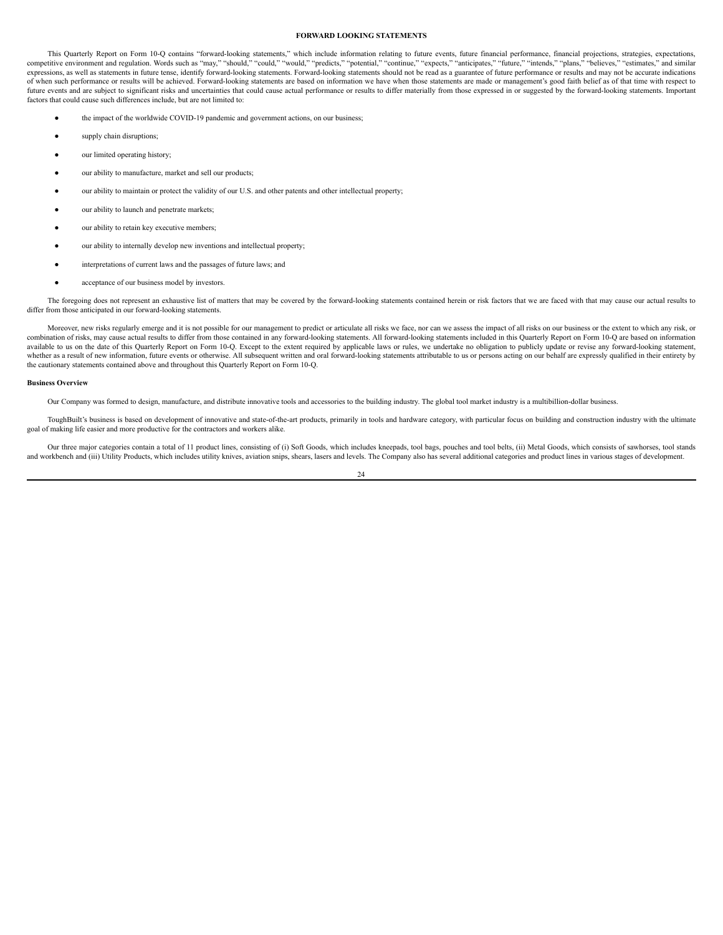#### **FORWARD LOOKING STATEMENTS**

This Quarterly Report on Form 10-Q contains "forward-looking statements," which include information relating to future events, future financial performance, financial projections, strategies, expectations, competitive envi of when such performance or results will be achieved. Forward-looking statements are based on information we have when those statements are made or management's good faith belief as of that time with respect to future events and are subject to significant risks and uncertainties that could cause actual performance or results to differ materially from those expressed in or suggested by the forward-looking statements. Important factors that could cause such differences include, but are not limited to:

- the impact of the worldwide COVID-19 pandemic and government actions, on our business;
- supply chain disruptions;
- our limited operating history;
- our ability to manufacture, market and sell our products;
- our ability to maintain or protect the validity of our U.S. and other patents and other intellectual property;
- our ability to launch and penetrate markets;
- our ability to retain key executive members;
- our ability to internally develop new inventions and intellectual property;
- interpretations of current laws and the passages of future laws; and
- acceptance of our business model by investors.

The foregoing does not represent an exhaustive list of matters that may be covered by the forward-looking statements contained herein or risk factors that we are faced with that may cause our actual results to differ from those anticipated in our forward-looking statements.

Moreover, new risks regularly emerge and it is not possible for our management to predict or articulate all risks we face, nor can we assess the impact of all risks on our business or the extent to which any risk, or combination of risks, may cause actual results to differ from those contained in any forward-looking statements. All forward-looking statements included in this Quarterly Report on Form 10-Q are based on information available to us on the date of this Quarterly Report on Form 10-Q. Except to the extent required by applicable laws or rules, we undertake no obligation to publicly update or revise any forward-looking statement, whether as a result of new information, future events or otherwise. All subsequent written and oral forward-looking statements attributable to us or persons acting on our behalf are expressly qualified in their entirety by the cautionary statements contained above and throughout this Quarterly Report on Form 10-Q.

#### **Business Overview**

Our Company was formed to design, manufacture, and distribute innovative tools and accessories to the building industry. The global tool market industry is a multibillion-dollar business.

ToughBuilt's business is based on development of innovative and state-of-the-art products, primarily in tools and hardware category, with particular focus on building and construction industry with the ultimate goal of making life easier and more productive for the contractors and workers alike.

Our three major categories contain a total of 11 product lines, consisting of (i) Soft Goods, which includes kneepads, tool bags, pouches and tool belts, (ii) Metal Goods, which consists of sawhorses, tool stands and workbench and (iii) Utility Products, which includes utility knives, aviation snips, shears, lasers and levels. The Company also has several additional categories and product lines in various stages of development.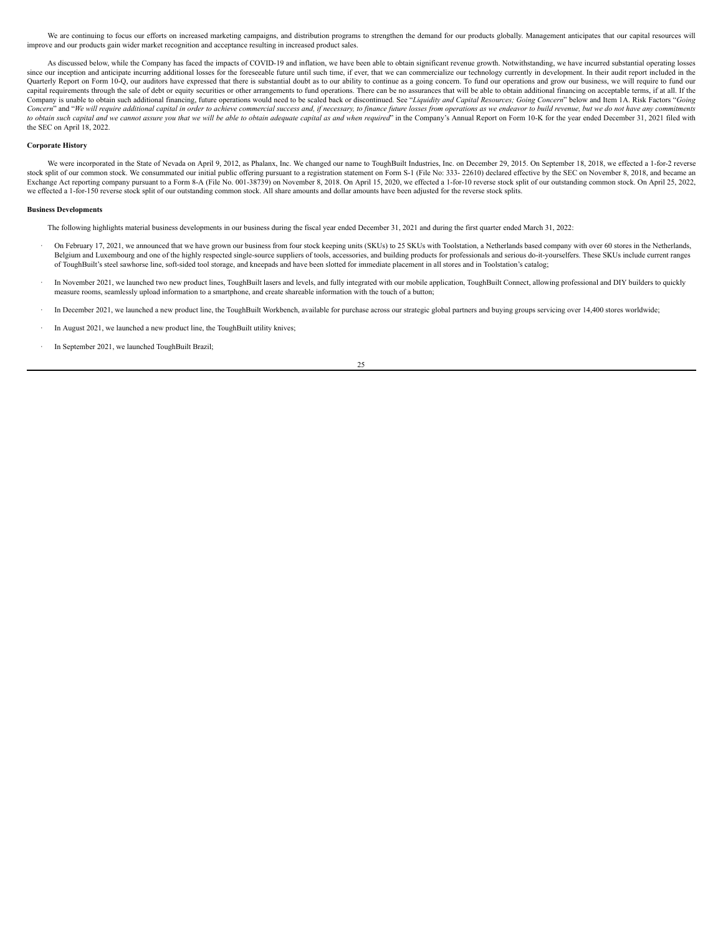We are continuing to focus our efforts on increased marketing campaigns, and distribution programs to strengthen the demand for our products globally. Management anticipates that our capital resources will improve and our products gain wider market recognition and acceptance resulting in increased product sales.

As discussed below, while the Company has faced the impacts of COVID-19 and inflation, we have been able to obtain significant revenue growth. Notwithstanding, we have incurred substantial operating losses since our inception and anticipate incurring additional losses for the foreseeable future until such time, if ever, that we can commercialize our technology currently in development. In their audit report included in the Quarterly Report on Form 10-Q, our auditors have expressed that there is substantial doubt as to our ability to continue as a going concern. To fund our operations and grow our business, we will require to fund our capital requirements through the sale of debt or equity securities or other arrangements to fund operations. There can be no assurances that will be able to obtain additional financing on acceptable terms, if at all. If th Company is unable to obtain such additional financing, future operations would need to be scaled back or discontinued. See "Liquidity and Capital Resources; Going Concern" below and Item 1A. Risk Factors "Going Concern" and "We will require additional capital in order to achieve commercial success and, if necessary, to finance future losses from operations as we endeavor to build revenue, but we do not have any commitments to obtain such capital and we cannot assure you that we will be able to obtain adequate capital as and when required" in the Company's Annual Report on Form 10-K for the year ended December 31, 2021 filed with the SEC on April 18, 2022.

#### **Corporate History**

We were incorporated in the State of Nevada on April 9, 2012, as Phalanx, Inc. We changed our name to ToughBuilt Industries, Inc. on December 29, 2015. On September 18, 2018, we effected a 1-for-2 reverse stock split of our common stock. We consummated our initial public offering pursuant to a registration statement on Form S-1 (File No: 333- 22610) declared effective by the SEC on November 8, 2018, and became an Exchange Act reporting company pursuant to a Form 8-A (File No. 001-38739) on November 8, 2018. On April 15, 2020, we effected a 1-for-10 reverse stock split of our outstanding common stock. On April 25, 2022, we effected a 1-for-150 reverse stock split of our outstanding common stock. All share amounts and dollar amounts have been adjusted for the reverse stock splits.

#### **Business Developments**

The following highlights material business developments in our business during the fiscal year ended December 31, 2021 and during the first quarter ended March 31, 2022:

- On February 17, 2021, we announced that we have grown our business from four stock keeping units (SKUs) to 25 SKUs with Toolstation, a Netherlands based company with over 60 stores in the Netherlands, Belgium and Luxembourg and one of the highly respected single-source suppliers of tools, accessories, and building products for professionals and serious do-it-yourselfers. These SKUs include current ranges of ToughBuilt's steel sawhorse line, soft-sided tool storage, and kneepads and have been slotted for immediate placement in all stores and in Toolstation's catalog;
- · In November 2021, we launched two new product lines, ToughBuilt lasers and levels, and fully integrated with our mobile application, ToughBuilt Connect, allowing professional and DIY builders to quickly measure rooms, seamlessly upload information to a smartphone, and create shareable information with the touch of a button;
- In December 2021, we launched a new product line, the ToughBuilt Workbench, available for purchase across our strategic global partners and buying groups servicing over 14,400 stores worldwide;
- In August 2021, we launched a new product line, the ToughBuilt utility knives;
- In September 2021, we launched ToughBuilt Brazil;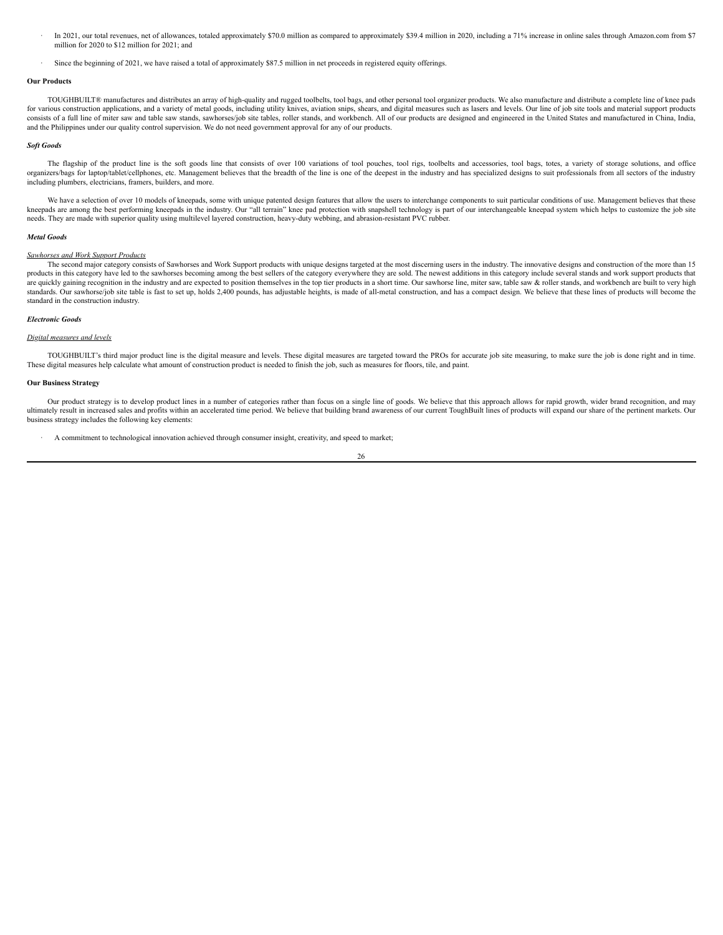- In 2021, our total revenues, net of allowances, totaled approximately \$70.0 million as compared to approximately \$39.4 million in 2020, including a 71% increase in online sales through Amazon com from \$7 million for 2020 to \$12 million for 2021; and
- Since the beginning of 2021, we have raised a total of approximately \$87.5 million in net proceeds in registered equity offerings.

#### **Our Products**

TOUGHBUILT® manufactures and distributes an array of high-quality and rugged toolbelts, tool bags, and other personal tool organizer products. We also manufacture and distribute a complete line of knee pads for various construction applications, and a variety of metal goods, including utility knives, aviation snips, shears, and digital measures such as lasers and levels. Our line of job site tools and material support product consists of a full line of miter saw and table saw stands, sawhorses/job site tables, roller stands, and workbench. All of our products are designed and engineered in the United States and manufactured in China, India, and the Philippines under our quality control supervision. We do not need government approval for any of our products.

#### *Soft Goods*

The flagship of the product line is the soft goods line that consists of over 100 variations of tool pouches, tool rigs, toolbelts and accessories, tool bags, totes, a variety of storage solutions, and office organizers/bags for laptop/tablet/cellphones, etc. Management believes that the breadth of the line is one of the deepest in the industry and has specialized designs to suit professionals from all sectors of the industry including plumbers, electricians, framers, builders, and more.

We have a selection of over 10 models of kneepads, some with unique patented design features that allow the users to interchange components to suit particular conditions of use. Management believes that these kneepads are among the best performing kneepads in the industry. Our "all terrain" knee pad protection with snapshell technology is part of our interchangeable kneepad system which helps to customize the job site needs. They are made with superior quality using multilevel layered construction, heavy-duty webbing, and abrasion-resistant PVC rubber.

#### *Metal Goods*

#### *Sawhorses and Work Support Products*

The second major category consists of Sawhorses and Work Support products with unique designs targeted at the most discerning users in the industry. The innovative designs and construction of the more than 15 products in this category have led to the sawhorses becoming among the best sellers of the category everywhere they are sold. The newest additions in this category include several stands and work support products that are quickly gaining recognition in the industry and are expected to position themselves in the top tier products in a short time. Our sawhorse line, miter saw, table saw & roller stands, and workbench are built to very hig standards. Our sawhorse/job site table is fast to set up, holds 2,400 pounds, has adjustable heights, is made of all-metal construction, and has a compact design. We believe that these lines of products will become the standard in the construction industry.

#### *Electronic Goods*

#### *Digital measures and levels*

TOUGHBUILT's third major product line is the digital measure and levels. These digital measures are targeted toward the PROs for accurate job site measuring, to make sure the job is done right and in time. These digital measures help calculate what amount of construction product is needed to finish the job, such as measures for floors, tile, and paint.

#### **Our Business Strategy**

Our product strategy is to develop product lines in a number of categories rather than focus on a single line of goods. We believe that this approach allows for rapid growth, wider brand recognition, and may ultimately result in increased sales and profits within an accelerated time period. We believe that building brand awareness of our current ToughBuilt lines of products will expand our share of the pertinent markets. Our business strategy includes the following key elements:

· A commitment to technological innovation achieved through consumer insight, creativity, and speed to market;

26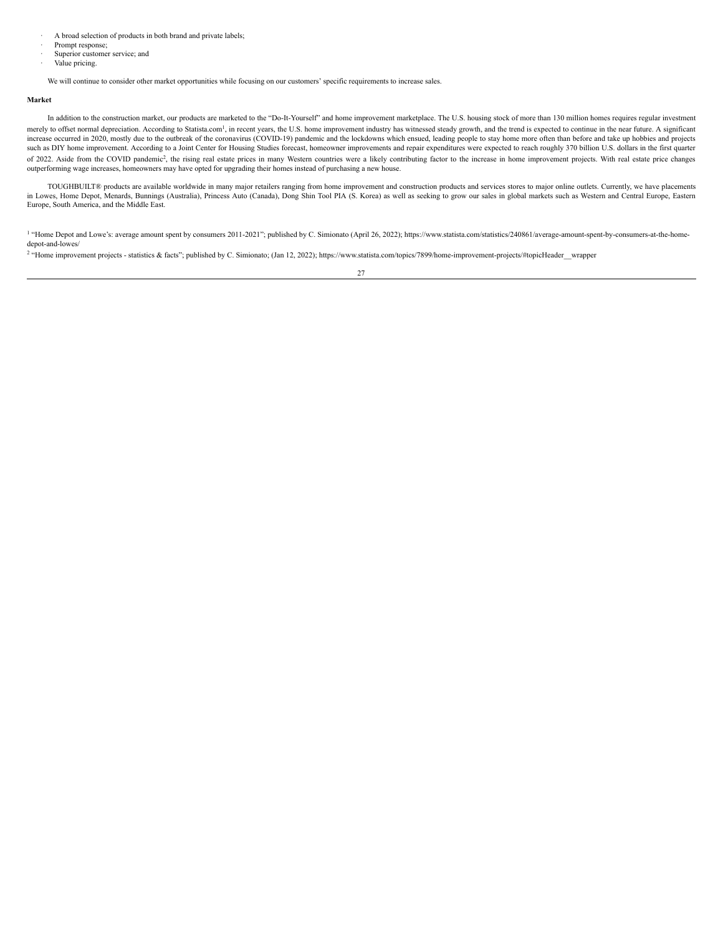- · A broad selection of products in both brand and private labels;
- Prompt response;
- Superior customer service: and
- Value pricing.

We will continue to consider other market opportunities while focusing on our customers' specific requirements to increase sales.

#### **Market**

In addition to the construction market, our products are marketed to the "Do-It-Yourself" and home improvement marketplace. The U.S. housing stock of more than 130 million homes requires regular investment merely to offset normal depreciation. According to Statista.com<sup>1</sup>, in recent years, the U.S. home improvement industry has witnessed steady growth, and the trend is expected to continue in the near future. A significant increase occurred in 2020, mostly due to the outbreak of the coronavirus (COVID-19) pandemic and the lockdowns which ensued, leading people to stay home more often than before and take up hobbies and projects such as DIY home improvement. According to a Joint Center for Housing Studies forecast, homeowner improvements and repair expenditures were expected to reach roughly 370 billion U.S. dollars in the first quarter of 2022. Aside from the COVID pandemic<sup>2</sup>, the rising real estate prices in many Western countries were a likely contributing factor to the increase in home improvement projects. With real estate price changes outperforming wage increases, homeowners may have opted for upgrading their homes instead of purchasing a new house.

TOUGHBUILT® products are available worldwide in many major retailers ranging from home improvement and construction products and services stores to major online outlets. Currently, we have placements in Lowes, Home Depot, Menards, Bunnings (Australia), Princess Auto (Canada), Dong Shin Tool PIA (S. Korea) as well as seeking to grow our sales in global markets such as Western and Central Europe, Eastern Europe, South America, and the Middle East.

<sup>1</sup> "Home Depot and Lowe's: average amount spent by consumers 2011-2021"; published by C. Simionato (April 26, 2022); https://www.statista.com/statistics/240861/average-amount-spent-by-consumers-at-the-homedepot-and-lowes/

<sup>2</sup> "Home improvement projects - statistics & facts"; published by C. Simionato; (Jan 12, 2022); https://www.statista.com/topics/7899/home-improvement-projects/#topicHeader\_\_wrapper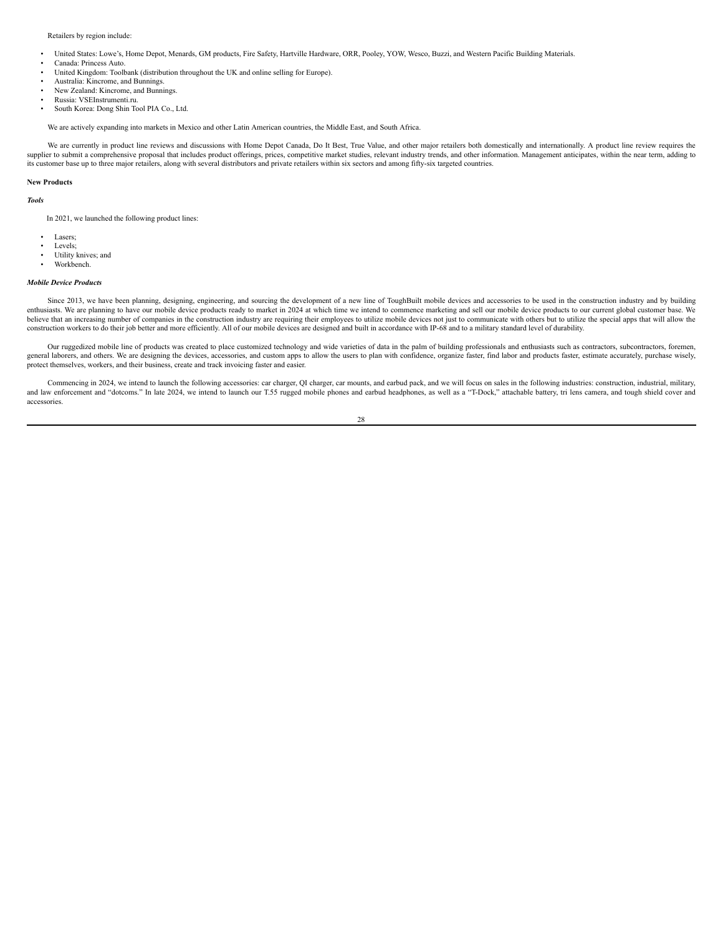#### Retailers by region include:

- United States: Lowe's, Home Depot, Menards, GM products, Fire Safety, Hartville Hardware, ORR, Pooley, YOW, Wesco, Buzzi, and Western Pacific Building Materials.
- Canada: Princess Auto.
- United Kingdom: Toolbank (distribution throughout the UK and online selling for Europe).
- Australia: Kincrome, and Bunnings.<br>Navy Zaaland: Kinggang, and Bunni
- New Zealand: Kincrome, and Bunnings.
- Russia: VSEInstrumenti.ru.
- South Korea: Dong Shin Tool PIA Co., Ltd.

We are actively expanding into markets in Mexico and other Latin American countries, the Middle East, and South Africa.

We are currently in product line reviews and discussions with Home Depot Canada, Do It Best, True Value, and other major retailers both domestically and internationally. A product line review requires the supplier to submit a comprehensive proposal that includes product offerings, prices, competitive market studies, relevant industry trends, and other information. Management anticipates, within the near term, adding to its customer base up to three major retailers, along with several distributors and private retailers within six sectors and among fifty-six targeted countries.

#### **New Products**

#### *Tools*

In 2021, we launched the following product lines:

- Lasers;
- Levels;
- Utility knives; and • Workbench.
- 

#### *Mobile Device Products*

Since 2013, we have been planning, designing, engineering, and sourcing the development of a new line of ToughBuilt mobile devices and accessories to be used in the construction industry and by building enthusiasts. We are planning to have our mobile device products ready to market in 2024 at which time we intend to commence marketing and sell our mobile device products to our current global customer base. We believe that an increasing number of companies in the construction industry are requiring their employees to utilize mobile devices not just to communicate with others but to utilize the special apps that will allow the construction workers to do their job better and more efficiently. All of our mobile devices are designed and built in accordance with IP-68 and to a military standard level of durability.

Our ruggedized mobile line of products was created to place customized technology and wide varieties of data in the palm of building professionals and enthusiasts such as contractors, subcontractors, foremen, general laborers, and others. We are designing the devices, accessories, and custom apps to allow the users to plan with confidence, organize faster, find labor and products faster, estimate accurately, purchase wisely, protect themselves, workers, and their business, create and track invoicing faster and easier.

Commencing in 2024, we intend to launch the following accessories: car charger, QI charger, car mounts, and earbud pack, and we will focus on sales in the following industries: construction, industrial, military, and law enforcement and "dotcoms." In late 2024, we intend to launch our T.55 rugged mobile phones and earbud headphones, as well as a "T-Dock," attachable battery, tri lens camera, and tough shield cover and accessories.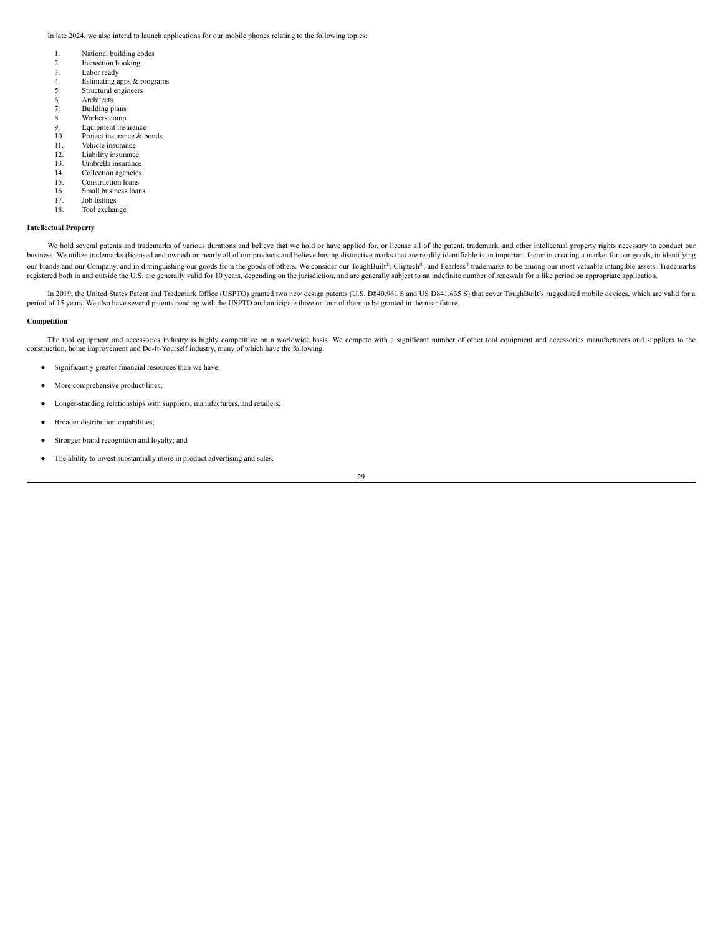In late 2024, we also intend to launch applications for our mobile phones relating to the following topics:

- 1. National building codes<br>2. Inspection booking
- 2. Inspection booking<br>3. Labor ready
- 
- 3. Labor ready<br>4. Estimating a 4. Estimating apps & programs<br>5. Structural engineers
- 5. Structural engineers<br>6. Architects
- 6. Architects<br>7. Building p
- 7. Building plans<br>8. Workers comp
- Workers comp
- 9. Equipment insurance<br>10. Project insurance  $\&$  b
- Project insurance & bonds
- 11. Vehicle insurance
- 12. Liability insurance
- 13. Umbrella insurance<br>14 Collection agencies Collection agencies
- 15. Construction loans
- 16. Small business loans<br>17. Job listings
- Job listings
- 18. Tool exchange

# **Intellectual Property**

We hold several patents and trademarks of various durations and believe that we hold or have applied for, or license all of the patent, trademark, and other intellectual property rights necessary to conduct our business. We utilize trademarks (licensed and owned) on nearly all of our products and believe having distinctive marks that are readily identifiable is an important factor in creating a market for our goods, in identifying our brands and our Company, and in distinguishing our goods from the goods of others. We consider our ToughBuilt®, Cliptech®, and Fearless® trademarks to be among our most valuable intangible assets. Trademarks registered both in and outside the U.S. are generally valid for 10 years, depending on the jurisdiction, and are generally subject to an indefinite number of renewals for a like period on appropriate application.

In 2019, the United States Patent and Trademark Office (USPTO) granted two new design patents (U.S. D840,961 S and US D841,635 S) that cover ToughBuilt's ruggedized mobile devices, which are valid for a period of 15 years.

#### **Competition**

The tool equipment and accessories industry is highly competitive on a worldwide basis. We compete with a significant number of other tool equipment and accessories manufacturers and suppliers to the construction, home improvement and Do-It-Yourself industry, many of which have the following:

● Significantly greater financial resources than we have;

- More comprehensive product lines;
- Longer-standing relationships with suppliers, manufacturers, and retailers;
- Broader distribution capabilities;
- Stronger brand recognition and loyalty; and
- The ability to invest substantially more in product advertising and sales.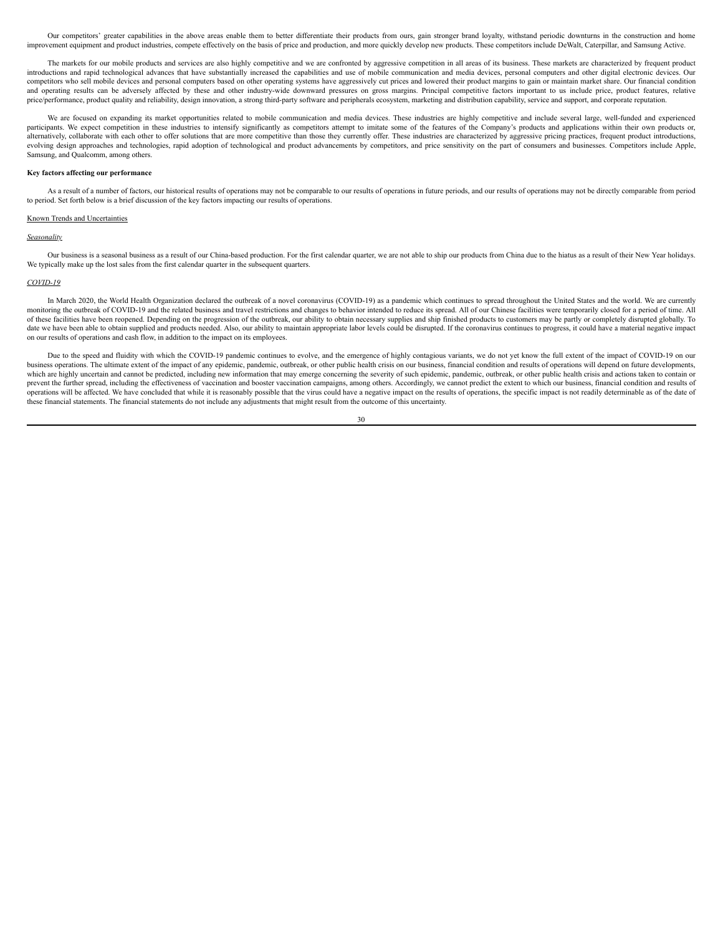Our competitors' greater capabilities in the above areas enable them to better differentiate their products from ours, gain stronger brand loyalty, withstand periodic downturns in the construction and home improvement equipment and product industries, compete effectively on the basis of price and production, and more quickly develop new products. These competitors include DeWalt, Caterpillar, and Samsung Active.

The markets for our mobile products and services are also highly competitive and we are confronted by aggressive competition in all areas of its business. These markets are characterized by frequent product introductions and rapid technological advances that have substantially increased the capabilities and use of mobile communication and media devices, personal computers and other digital electronic devices. Our competitors who sell mobile devices and personal computers based on other operating systems have aggressively cut prices and lowered their product margins to gain or maintain market share. Our financial condition and operating results can be adversely affected by these and other industry-wide downward pressures on gross margins. Principal competitive factors important to us include price, product features, relative price/performance, product quality and reliability, design innovation, a strong third-party software and peripherals ecosystem, marketing and distribution capability, service and support, and corporate reputation.

We are focused on expanding its market opportunities related to mobile communication and media devices. These industries are highly competitive and include several large, well-funded and experienced participants. We expect competition in these industries to intensify significantly as competitors attempt to imitate some of the features of the Company's products and applications within their own products or, alternatively, collaborate with each other to offer solutions that are more competitive than those they currently offer. These industries are characterized by aggressive pricing practices, frequent product introductions, evolving design approaches and technologies, rapid adoption of technological and product advancements by competitors, and price sensitivity on the part of consumers and businesses. Competitors include Apple, Samsung, and Qualcomm, among others.

#### **Key factors affecting our performance**

As a result of a number of factors, our historical results of operations may not be comparable to our results of operations in future periods, and our results of operations may not be directly comparable from period to period. Set forth below is a brief discussion of the key factors impacting our results of operations.

#### Known Trends and Uncertainties

# *Seasonality*

Our business is a seasonal business as a result of our China-based production. For the first calendar quarter, we are not able to ship our products from China due to the hiatus as a result of their New Year holidays. We typically make up the lost sales from the first calendar quarter in the subsequent quarters.

#### *COVID-19*

In March 2020, the World Health Organization declared the outbreak of a novel coronavirus (COVID-19) as a pandemic which continues to spread throughout the United States and the world. We are currently monitoring the outbreak of COVID-19 and the related business and travel restrictions and changes to behavior intended to reduce its spread. All of our Chinese facilities were temporarily closed for a period of time. All of these facilities have been reopened. Depending on the progression of the outbreak, our ability to obtain necessary supplies and ship finished products to customers may be partly or completely disrupted globally. To date we have been able to obtain supplied and products needed. Also, our ability to maintain appropriate labor levels could be disrupted. If the coronavirus continues to progress, it could have a material negative impact on our results of operations and cash flow, in addition to the impact on its employees.

Due to the speed and fluidity with which the COVID-19 pandemic continues to evolve, and the emergence of highly contagious variants, we do not yet know the full extent of the impact of COVID-19 on our business operations. The ultimate extent of the impact of any epidemic, pandemic, outbreak, or other public health crisis on our business, financial condition and results of operations will depend on future developments, which are highly uncertain and cannot be predicted, including new information that may emerge concerning the severity of such epidemic, pandemic, outbreak, or other public health crisis and actions taken to contain or prevent the further spread, including the effectiveness of vaccination and booster vaccination campaigns, among others. Accordingly, we cannot predict the extent to which our business, financial condition and results of operations will be affected. We have concluded that while it is reasonably possible that the virus could have a negative impact on the results of operations, the specific impact is not readily determinable as of the date of these financial statements. The financial statements do not include any adjustments that might result from the outcome of this uncertainty.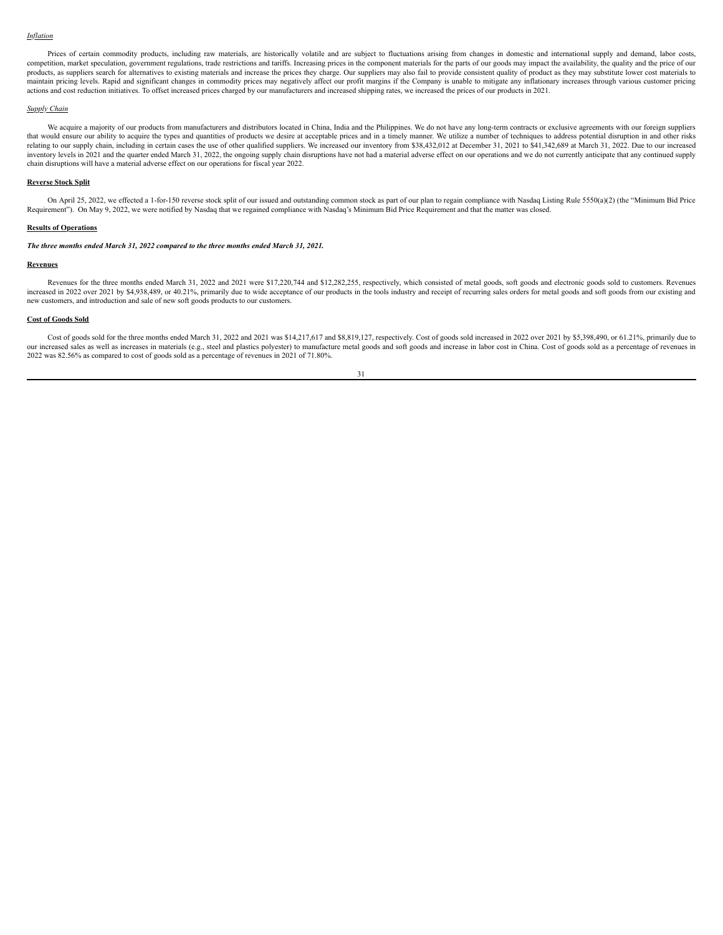#### *Inflation*

Prices of certain commodity products, including raw materials, are historically volatile and are subject to fluctuations arising from changes in domestic and international supply and demand, labor costs, competition, market speculation, government regulations, trade restrictions and tariffs. Increasing prices in the component materials for the parts of our goods may impact the availability, the quality and the price of our products, as suppliers search for alternatives to existing materials and increase the prices they charge. Our suppliers may also fail to provide consistent quality of product as they may substitute lower cost materials to maintain pricing levels. Rapid and significant changes in commodity prices may negatively affect our profit margins if the Company is unable to mitigate any inflationary increases through various customer pricing actions and cost reduction initiatives. To offset increased prices charged by our manufacturers and increased shipping rates, we increased the prices of our products in 2021.

#### *Supply Chain*

We acquire a majority of our products from manufacturers and distributors located in China, India and the Philippines. We do not have any long-term contracts or exclusive agreements with our foreign suppliers that would ensure our ability to acquire the types and quantities of products we desire at acceptable prices and in a timely manner. We utilize a number of techniques to address potential disruption in and other risks relating to our supply chain, including in certain cases the use of other qualified suppliers. We increased our inventory from \$38,432,012 at December 31, 2021 to \$41,342,689 at March 31, 2022. Due to our increased inventory levels in 2021 and the quarter ended March 31, 2022, the ongoing supply chain disruptions have not had a material adverse effect on our operations and we do not currently anticipate that any continued supply chain disruptions will have a material adverse effect on our operations for fiscal year 2022.

#### **Reverse Stock Split**

On April 25, 2022, we effected a 1-for-150 reverse stock split of our issued and outstanding common stock as part of our plan to regain compliance with Nasdaq Listing Rule 5550(a)(2) (the "Minimum Bid Price Requirement"). On May 9, 2022, we were notified by Nasdaq that we regained compliance with Nasdaq's Minimum Bid Price Requirement and that the matter was closed.

#### **Results of Operations**

# *The three months ended March 31, 2022 compared to the three months ended March 31, 2021.*

#### **Revenues**

Revenues for the three months ended March 31, 2022 and 2021 were \$17,220,744 and \$12,282,255, respectively, which consisted of metal goods, soft goods and electronic goods sold to customers. Revenues increased in 2022 over 2021 by \$4,938,489, or 40.21%, primarily due to wide acceptance of our products in the tools industry and receipt of recurring sales orders for metal goods and soft goods from our existing and new customers, and introduction and sale of new soft goods products to our customers.

#### **Cost of Goods Sold**

Cost of goods sold for the three months ended March 31, 2022 and 2021 was \$14,217,617 and \$8,819,127, respectively. Cost of goods sold increased in 2022 over 2021 by \$5,398,490, or 61.21%, primarily due to our increased sales as well as increases in materials (e.g., steel and plastics polyester) to manufacture metal goods and soft goods and increase in labor cost in China. Cost of goods sold as a percentage of revenues in 2022 was 82.56% as compared to cost of goods sold as a percentage of revenues in 2021 of 71.80%.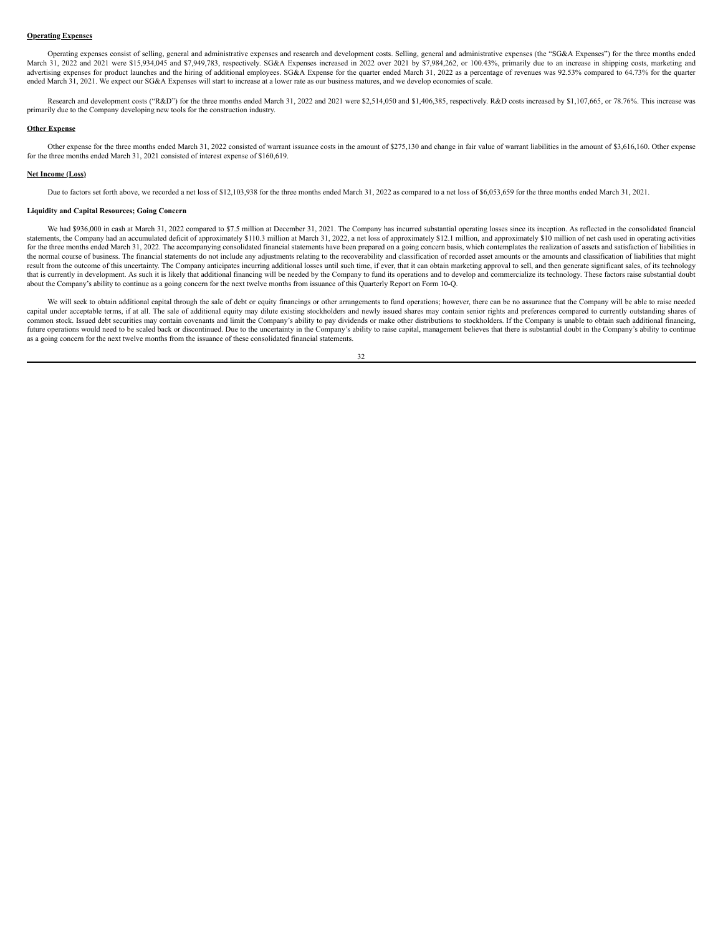#### **Operating Expenses**

Operating expenses consist of selling, general and administrative expenses and research and development costs. Selling, general and administrative expenses (the "SG&A Expenses") for the three months ended March 31, 2022 and 2021 were \$15,934,045 and \$7,949,783, respectively. SG&A Expenses increased in 2022 over 2021 by \$7,984,262, or 100.43%, primarily due to an increase in shipping costs, marketing and advertising expenses for product launches and the hiring of additional employees. SG&A Expense for the quarter ended March 31, 2022 as a percentage of revenues was 92.53% compared to 64.73% for the quarter ended March 31, 2021. We expect our SG&A Expenses will start to increase at a lower rate as our business matures, and we develop economies of scale.

Research and development costs ("R&D") for the three months ended March 31, 2022 and 2021 were \$2,514,050 and \$1,406,385, respectively. R&D costs increased by \$1,107,665, or 78.76%. This increase was primarily due to the Company developing new tools for the construction industry.

#### **Other Expense**

Other expense for the three months ended March 31, 2022 consisted of warrant issuance costs in the amount of \$275,130 and change in fair value of warrant liabilities in the amount of \$3,616,160. Other expense for the three months ended March 31, 2021 consisted of interest expense of \$160,619.

#### **Net Income (Loss)**

Due to factors set forth above, we recorded a net loss of \$12,103,938 for the three months ended March 31, 2022 as compared to a net loss of \$6,053,659 for the three months ended March 31, 2021.

#### **Liquidity and Capital Resources; Going Concern**

We had \$936,000 in cash at March 31, 2022 compared to \$7.5 million at December 31, 2021. The Company has incurred substantial operating losses since its inception. As reflected in the consolidated financial statements, the Company had an accumulated deficit of approximately \$110.3 million at March 31, 2022, a net loss of approximately \$12.1 million, and approximately \$10 million of net cash used in operating activities for the three months ended March 31, 2022. The accompanying consolidated financial statements have been prepared on a going concern basis, which contemplates the realization of assets and satisfaction of liabilities in the normal course of business. The financial statements do not include any adjustments relating to the recoverability and classification of recorded asset amounts or the amounts and classification of liabilities that might result from the outcome of this uncertainty. The Company anticipates incurring additional losses until such time, if ever, that it can obtain marketing approval to sell, and then generate significant sales, of its technology that is currently in development. As such it is likely that additional financing will be needed by the Company to fund its operations and to develop and commercialize its technology. These factors raise substantial doubt about the Company's ability to continue as a going concern for the next twelve months from issuance of this Quarterly Report on Form 10-Q.

We will seek to obtain additional capital through the sale of debt or equity financings or other arrangements to fund operations; however, there can be no assurance that the Company will be able to raise needed capital under acceptable terms, if at all. The sale of additional equity may dilute existing stockholders and newly issued shares may contain senior rights and preferences compared to currently outstanding shares of common stock. Issued debt securities may contain covenants and limit the Company's ability to pay dividends or make other distributions to stockholders. If the Company is unable to obtain such additional financing, future operations would need to be scaled back or discontinued. Due to the uncertainty in the Company's ability to raise capital, management believes that there is substantial doubt in the Company's ability to continue as a going concern for the next twelve months from the issuance of these consolidated financial statements.

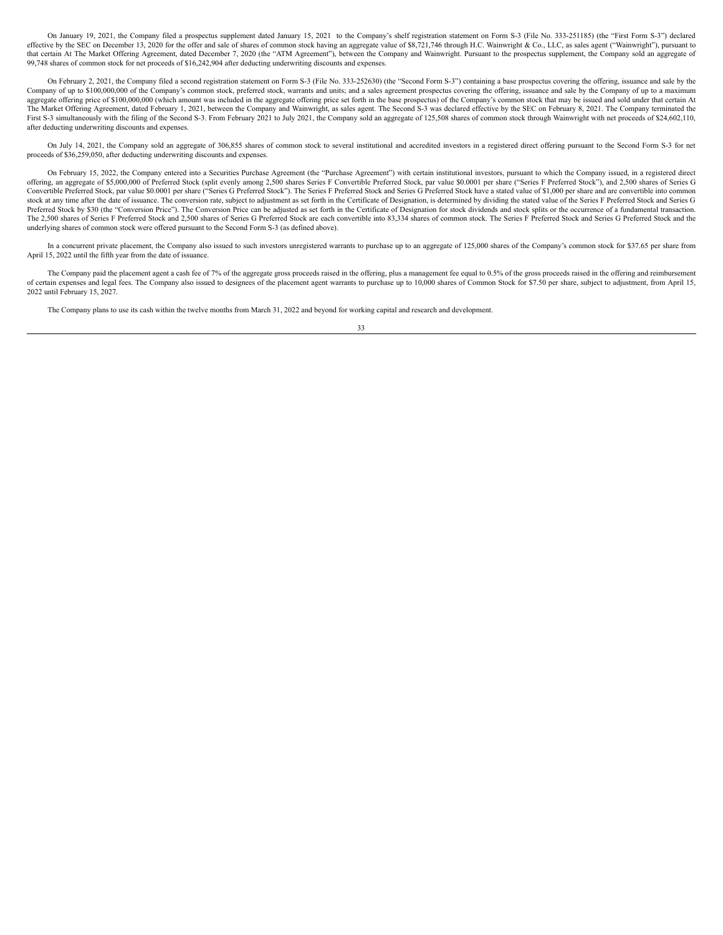On January 19, 2021, the Company filed a prospectus supplement dated January 15, 2021 to the Company's shelf registration statement on Form S-3 (File No. 333-251185) (the "First Form S-3") declared effective by the SEC on December 13, 2020 for the offer and sale of shares of common stock having an aggregate value of \$8,721,746 through H.C. Wainwright & Co., LLC, as sales agent ("Wainwright"), pursuant to that certain At The Market Offering Agreement, dated December 7, 2020 (the "ATM Agreement"), between the Company and Wainwright. Pursuant to the prospectus supplement, the Company sold an aggregate of 99,748 shares of common stock for net proceeds of \$16,242,904 after deducting underwriting discounts and expenses.

On February 2, 2021, the Company filed a second registration statement on Form S-3 (File No. 333-252630) (the "Second Form S-3") containing a base prospectus covering the offering, issuance and sale by the Company of up to \$100,000,000 of the Company's common stock, preferred stock, warrants and units; and a sales agreement prospectus covering the offering, issuance and sale by the Company of up to a maximum aggregate offering price of \$100,000,000 (which amount was included in the aggregate offering price set forth in the base prospectus) of the Company's common stock that may be issued and sold under that certain At The Market Offering Agreement, dated February 1, 2021, between the Company and Wainwright, as sales agent. The Second S-3 was declared effective by the SEC on February 8, 2021. The Company terminated the First S-3 simultaneously with the filing of the Second S-3. From February 2021 to July 2021, the Company sold an aggregate of 125,508 shares of common stock through Wainwright with net proceeds of \$24,602,110, after deducting underwriting discounts and expenses.

On July 14, 2021, the Company sold an aggregate of 306,855 shares of common stock to several institutional and accredited investors in a registered direct offering pursuant to the Second Form S-3 for net proceeds of \$36,259,050, after deducting underwriting discounts and expenses.

On February 15, 2022, the Company entered into a Securities Purchase Agreement (the "Purchase Agreement") with certain institutional investors, pursuant to which the Company issued, in a registered direct offering, an aggregate of \$5,000,000 of Preferred Stock (split evenly among 2,500 shares Series F Convertible Preferred Stock, par value \$0.0001 per share ("Series F Preferred Stock"), and 2,500 shares of Series G Convertible Preferred Stock, par value \$0.0001 per share ("Series G Preferred Stock"). The Series F Preferred Stock and Series G Preferred Stock have a stated value of \$1,000 per share and are convertible into common stock at any time after the date of issuance. The conversion rate, subject to adjustment as set forth in the Certificate of Designation, is determined by dividing the stated value of the Series F Preferred Stock and Series Preferred Stock by \$30 (the "Conversion Price"). The Conversion Price can be adjusted as set forth in the Certificate of Designation for stock dividends and stock splits or the occurrence of a fundamental transaction. The 2,500 shares of Series F Preferred Stock and 2,500 shares of Series G Preferred Stock are each convertible into 83,334 shares of common stock. The Series F Preferred Stock and Series G Preferred Stock and the underlying shares of common stock were offered pursuant to the Second Form S-3 (as defined above).

In a concurrent private placement, the Company also issued to such investors unregistered warrants to purchase up to an aggregate of 125,000 shares of the Company's common stock for \$37.65 per share from April 15, 2022 until the fifth year from the date of issuance.

The Company paid the placement agent a cash fee of 7% of the aggregate gross proceeds raised in the offering, plus a management fee equal to 0.5% of the gross proceeds raised in the offering and reimbursement of certain expenses and legal fees. The Company also issued to designees of the placement agent warrants to purchase up to 10,000 shares of Common Stock for \$7.50 per share, subject to adjustment, from April 15, 2022 until February 15, 2027.

The Company plans to use its cash within the twelve months from March 31, 2022 and beyond for working capital and research and development.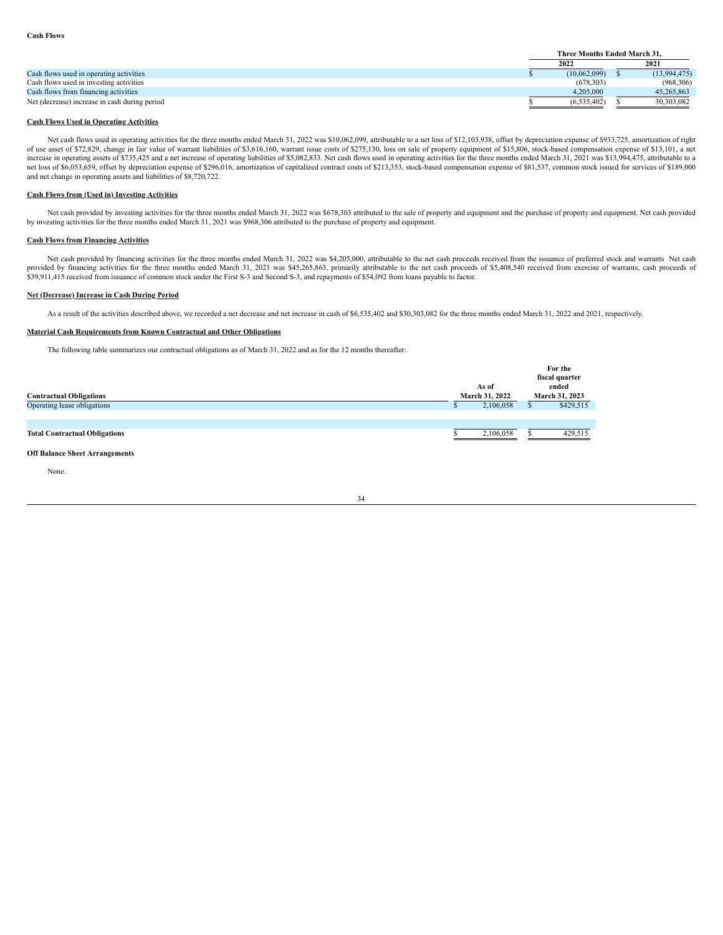|                                               | Three Months Ended March 31. |  |              |
|-----------------------------------------------|------------------------------|--|--------------|
|                                               | 2022                         |  | 2021         |
| Cash flows used in operating activities       | (10,062,099)                 |  | (13,994,475) |
| Cash flows used in investing activities       | (678, 303)                   |  | (968, 306)   |
| Cash flows from financing activities          | 4.205.000                    |  | 45.265.863   |
| Net (decrease) increase in cash during period | (6, 535, 402)                |  | 30.303.082   |

# **Cash Flows Used in Operating Activities**

Net cash flows used in operating activities for the three months ended March 31, 2022 was \$10,062,099, attributable to a net loss of \$12,103,938, offset by depreciation expense of \$933,725, amortization of right of use asset of \$72,829, change in fair value of warrant liabilities of \$3,616,160, warrant issue costs of \$275,130, loss on sale of property equipment of \$15,806, stock-based compensation expense of \$13,101, a net increase in operating assets of \$735,425 and a net increase of operating liabilities of \$5,082,833. Net cash flows used in operating activities for the three months ended March 31, 2021 was \$13,994,475, attributable to a net loss of \$6,053,659, offset by depreciation expense of \$296,016, amortization of capitalized contract costs of \$213,353, stock-based compensation expense of \$81,537, common stock issued for services of \$189,000 and net change in operating assets and liabilities of \$8,720,722.

#### **Cash Flows from (Used in) Investing Activities**

Net cash provided by investing activities for the three months ended March 31, 2022 was \$678,303 attributed to the sale of property and equipment and the purchase of property and equipment. Net cash provided by investing activities for the three months ended March 31, 2021 was \$968,306 attributed to the purchase of property and equipment.

## **Cash Flows from Financing Activities**

Net cash provided by financing activities for the three months ended March 31, 2022 was \$4,205,000, attributable to the net cash proceeds received from the issuance of preferred stock and warrants Net cash provided by financing activities for the three months ended March 31, 2021 was \$45,265,863, primarily attributable to the net cash proceeds of \$5,408,540 received from exercise of warrants, cash proceeds of \$39,911,415 received from issuance of common stock under the First S-3 and Second S-3, and repayments of \$54,092 from loans payable to factor.

34

#### **Net (Decrease) Increase in Cash During Period**

As a result of the activities described above, we recorded a net decrease and net increase in cash of \$6,535,402 and \$30,303,082 for the three months ended March 31, 2022 and 2021, respectively.

# **Material Cash Requirements from Known Contractual and Other Obligations**

The following table summarizes our contractual obligations as of March 31, 2022 and as for the 12 months thereafter:

|                                      |                         |  | For the<br>fiscal quarter<br>ended<br>March 31, 2023 |  |
|--------------------------------------|-------------------------|--|------------------------------------------------------|--|
| <b>Contractual Obligations</b>       | As of<br>March 31, 2022 |  |                                                      |  |
| Operating lease obligations          | 2,106,058               |  | \$429,515                                            |  |
| <b>Total Contractual Obligations</b> | 2,106,058               |  | 429,515                                              |  |

# **Off Balance Sheet Arrangements**

None.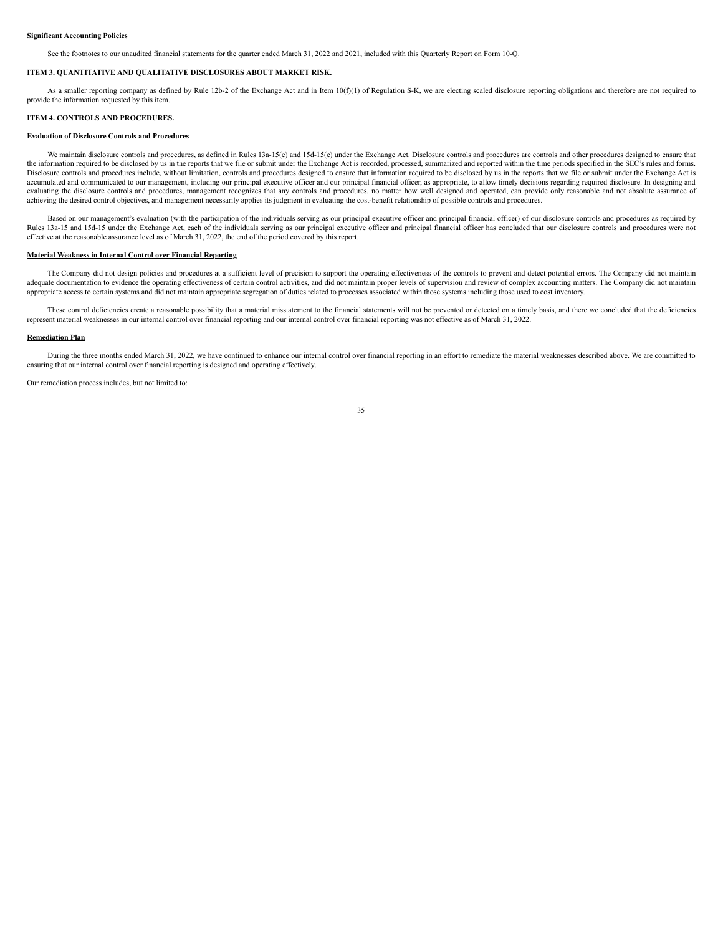#### **Significant Accounting Policies**

See the footnotes to our unaudited financial statements for the quarter ended March 31, 2022 and 2021, included with this Quarterly Report on Form 10-Q.

# <span id="page-34-0"></span>**ITEM 3. QUANTITATIVE AND QUALITATIVE DISCLOSURES ABOUT MARKET RISK.**

As a smaller reporting company as defined by Rule 12b-2 of the Exchange Act and in Item 10(f)(1) of Regulation S-K, we are electing scaled disclosure reporting obligations and therefore are not required to provide the information requested by this item.

#### <span id="page-34-1"></span>**ITEM 4. CONTROLS AND PROCEDURES.**

#### **Evaluation of Disclosure Controls and Procedures**

We maintain disclosure controls and procedures, as defined in Rules 13a-15(e) and 15d-15(e) under the Exchange Act. Disclosure controls and procedures are controls and other procedures designed to ensure that the information required to be disclosed by us in the reports that we file or submit under the Exchange Act is recorded, processed, summarized and reported within the time periods specified in the SEC's rules and forms. Disclosure controls and procedures include, without limitation, controls and procedures designed to ensure that information required to be disclosed by us in the reports that we file or submit under the Exchange Act is accumulated and communicated to our management, including our principal executive officer and our principal financial officer, as appropriate, to allow timely decisions regarding required disclosure. In designing and evaluating the disclosure controls and procedures, management recognizes that any controls and procedures, no matter how well designed and operated, can provide only reasonable and not absolute assurance of achieving the desired control objectives, and management necessarily applies its judgment in evaluating the cost-benefit relationship of possible controls and procedures.

Based on our management's evaluation (with the participation of the individuals serving as our principal executive officer and principal financial officer) of our disclosure controls and procedures as required by Rules 13a-15 and 15d-15 under the Exchange Act, each of the individuals serving as our principal executive officer and principal financial officer has concluded that our disclosure controls and procedures were not effective at the reasonable assurance level as of March 31, 2022, the end of the period covered by this report.

#### **Material Weakness in Internal Control over Financial Reporting**

The Company did not design policies and procedures at a sufficient level of precision to support the operating effectiveness of the controls to prevent and detect potential errors. The Company did not maintain adequate documentation to evidence the operating effectiveness of certain control activities, and did not maintain proper levels of supervision and review of complex accounting matters. The Company did not maintain appropriate access to certain systems and did not maintain appropriate segregation of duties related to processes associated within those systems including those used to cost inventory.

These control deficiencies create a reasonable possibility that a material misstatement to the financial statements will not be prevented or detected on a timely basis, and there we concluded that the deficiencies represent material weaknesses in our internal control over financial reporting and our internal control over financial reporting was not effective as of March 31, 2022.

#### **Remediation Plan**

During the three months ended March 31, 2022, we have continued to enhance our internal control over financial reporting in an effort to remediate the material weaknesses described above. We are committed to ensuring that our internal control over financial reporting is designed and operating effectively.

Our remediation process includes, but not limited to: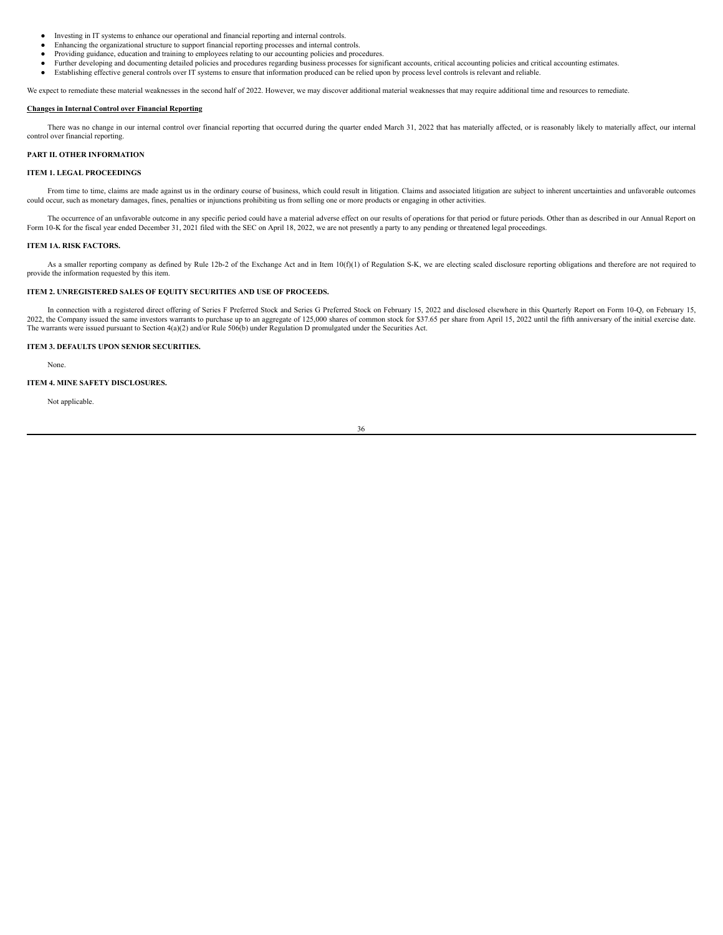- Investing in IT systems to enhance our operational and financial reporting and internal controls.
- Enhancing the organizational structure to support financial reporting processes and internal controls.
- Providing guidance, education and training to employees relating to our accounting policies and procedures.
- Further developing and documenting detailed policies and procedures regarding business processes for significant accounts, critical accounting policies and critical accounting estimates.
- Establishing effective general controls over IT systems to ensure that information produced can be relied upon by process level controls is relevant and reliable.

We expect to remediate these material weaknesses in the second half of 2022. However, we may discover additional material weaknesses that may require additional time and resources to remediate.

# **Changes in Internal Control over Financial Reporting**

There was no change in our internal control over financial reporting that occurred during the quarter ended March 31, 2022 that has materially affected, or is reasonably likely to materially affect, our internal control over financial reporting.

# <span id="page-35-0"></span>**PART II. OTHER INFORMATION**

#### <span id="page-35-1"></span>**ITEM 1. LEGAL PROCEEDINGS**

From time to time, claims are made against us in the ordinary course of business, which could result in litigation. Claims and associated litigation are subject to inherent uncertainties and unfavorable outcomes could occur, such as monetary damages, fines, penalties or injunctions prohibiting us from selling one or more products or engaging in other activities.

The occurrence of an unfavorable outcome in any specific period could have a material adverse effect on our results of operations for that period or future periods. Other than as described in our Annual Report on Form 10-K for the fiscal year ended December 31, 2021 filed with the SEC on April 18, 2022, we are not presently a party to any pending or threatened legal proceedings.

#### <span id="page-35-2"></span>**ITEM 1A. RISK FACTORS.**

As a smaller reporting company as defined by Rule 12b-2 of the Exchange Act and in Item 10(f)(1) of Regulation S-K, we are electing scaled disclosure reporting obligations and therefore are not required to provide the information requested by this item.

# <span id="page-35-3"></span>**ITEM 2. UNREGISTERED SALES OF EQUITY SECURITIES AND USE OF PROCEEDS.**

In connection with a registered direct offering of Series F Preferred Stock and Series G Preferred Stock on February 15, 2022 and disclosed elsewhere in this Quarterly Report on Form 10-Q, on February 15, 2022, the Company issued the same investors warrants to purchase up to an aggregate of 125,000 shares of common stock for \$37.65 per share from April 15, 2022 until the fifth anniversary of the initial exercise date. The warrants were issued pursuant to Section 4(a)(2) and/or Rule 506(b) under Regulation D promulgated under the Securities Act.

# <span id="page-35-4"></span>**ITEM 3. DEFAULTS UPON SENIOR SECURITIES.**

None.

# <span id="page-35-5"></span>**ITEM 4. MINE SAFETY DISCLOSURES.**

Not applicable.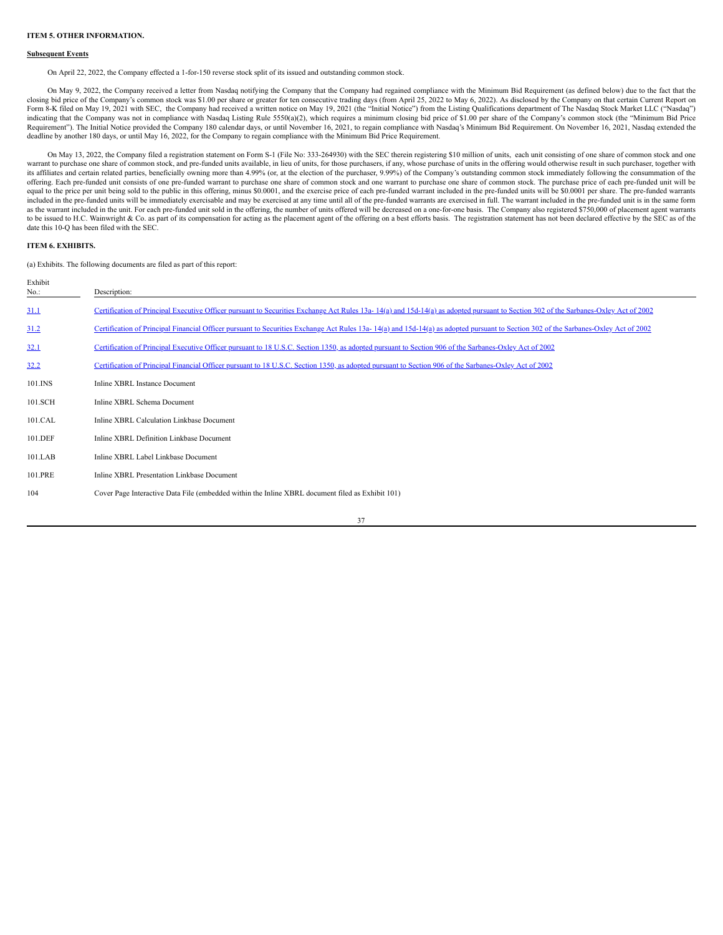#### <span id="page-36-0"></span>**Subsequent Events**

On April 22, 2022, the Company effected a 1-for-150 reverse stock split of its issued and outstanding common stock.

On May 9, 2022, the Company received a letter from Nasdaq notifying the Company that the Company had regained compliance with the Minimum Bid Requirement (as defined below) due to the fact that the closing bid price of the Company's common stock was \$1.00 per share or greater for ten consecutive trading days (from April 25, 2022 to May 6, 2022). As disclosed by the Company on that certain Current Report on Form 8-K filed on May 19, 2021 with SEC, the Company had received a written notice on May 19, 2021 (the "Initial Notice") from the Listing Qualifications department of The Nasdaq Stock Market LLC ("Nasdaq") indicating that the Company was not in compliance with Nasdaq Listing Rule 5550(a)(2), which requires a minimum closing bid price of \$1.00 per share of the Company's common stock (the "Minimum Bid Price Requirement"). The Initial Notice provided the Company 180 calendar days, or until November 16, 2021, to regain compliance with Nasdaq's Minimum Bid Requirement. On November 16, 2021, Nasdaq extended the deadline by another 180 days, or until May 16, 2022, for the Company to regain compliance with the Minimum Bid Price Requirement.

On May 13, 2022, the Company filed a registration statement on Form S-1 (File No: 333-264930) with the SEC therein registering \$10 million of units, each unit consisting of one share of common stock and one warrant to purchase one share of common stock, and pre-funded units available, in lieu of units, for those purchasers, if any, whose purchase of units in the offering would otherwise result in such purchaser, together with offering. Each pre-funded unit consists of one pre-funded warrant to purchase one share of common stock and one warrant to purchase one share of common stock. The purchase price of each pre-funded unit will be equal to the price per unit being sold to the public in this offering, minus \$0.0001, and the exercise price of each pre-funded warrant included in the pre-funded units will be \$0.0001 per share. The pre-funded warrants included in the pre-funded units will be immediately exercisable and may be exercised at any time until all of the pre-funded warrants are exercised in full. The warrant included in the pre-funded unit is in the same form as the warrant included in the unit. For each pre-funded unit sold in the offering, the number of units offered will be decreased on a one-for-one basis. The Company also registered \$750,000 of placement agent warrants to be issued to H.C. Wainwright & Co. as part of its compensation for acting as the placement agent of the offering on a best efforts basis. The registration statement has not been declared effective by the SEC as of the date this 10-Q has been filed with the SEC.

# <span id="page-36-1"></span>**ITEM 6. EXHIBITS.**

(a) Exhibits. The following documents are filed as part of this report:

| Exhibit<br>No. | Description:                                                                                                                                                                        |
|----------------|-------------------------------------------------------------------------------------------------------------------------------------------------------------------------------------|
| 31.1           | Certification of Principal Executive Officer pursuant to Securities Exchange Act Rules 13a-14(a) and 15d-14(a) as adopted pursuant to Section 302 of the Sarbanes-Oxley Act of 2002 |
| 31.2           | Certification of Principal Financial Officer pursuant to Securities Exchange Act Rules 13a-14(a) and 15d-14(a) as adopted pursuant to Section 302 of the Sarbanes-Oxley Act of 2002 |
| 32.1           | Certification of Principal Executive Officer pursuant to 18 U.S.C. Section 1350, as adopted pursuant to Section 906 of the Sarbanes-Oxley Act of 2002                               |
| 32.2           | Certification of Principal Financial Officer pursuant to 18 U.S.C. Section 1350, as adopted pursuant to Section 906 of the Sarbanes-Oxley Act of 2002                               |
| 101.INS        | Inline XBRL Instance Document                                                                                                                                                       |
| 101.SCH        | Inline XBRL Schema Document                                                                                                                                                         |
| 101.CAL        | Inline XBRL Calculation Linkbase Document                                                                                                                                           |
| 101.DEF        | Inline XBRL Definition Linkbase Document                                                                                                                                            |
| $101$ .LAB     | Inline XBRL Label Linkbase Document                                                                                                                                                 |
| 101.PRE        | Inline XBRL Presentation Linkbase Document                                                                                                                                          |
| 104            | Cover Page Interactive Data File (embedded within the Inline XBRL document filed as Exhibit 101)                                                                                    |
|                | 37                                                                                                                                                                                  |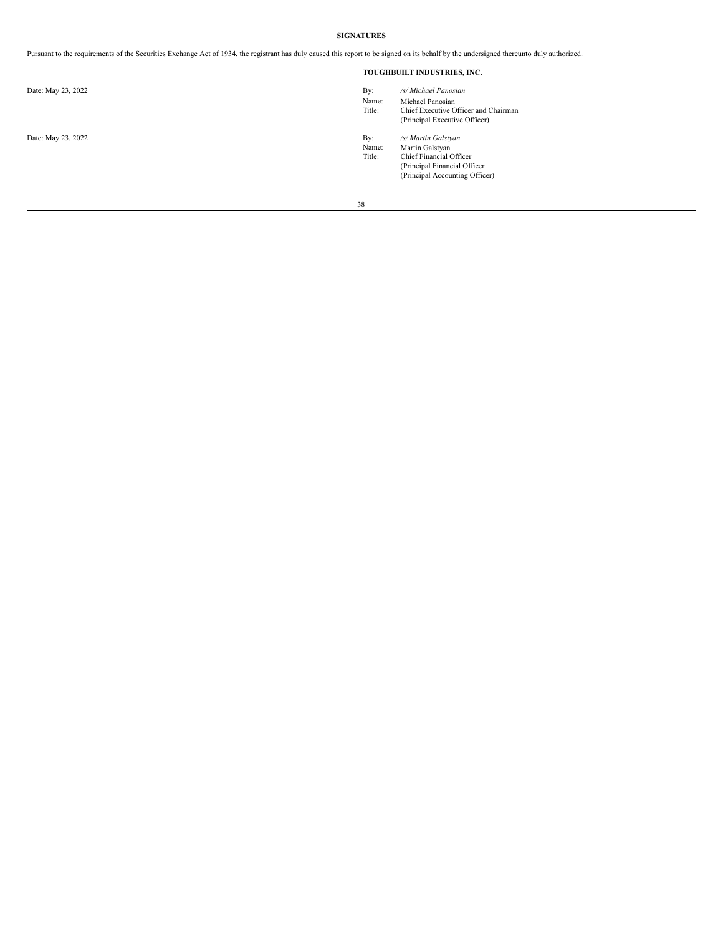# <span id="page-37-0"></span>**SIGNATURES**

Pursuant to the requirements of the Securities Exchange Act of 1934, the registrant has duly caused this report to be signed on its behalf by the undersigned thereunto duly authorized.

# **TOUGHBUILT INDUSTRIES, INC.** Date: May 23, 2022 By: */s/ Michael Panosian* Name: Michael Panosian Title: Chief Executive Officer and Chairman (Principal Executive Officer) Date: May 23, 2022<br>
Date: May 23, 2022<br>
Martin Galstyan<br>
Mame: Martin Galstyan<br>
Title: Chief Financial Officer<br>
(Principal Financial Officer)<br>
(Principal Accounting Officer) 38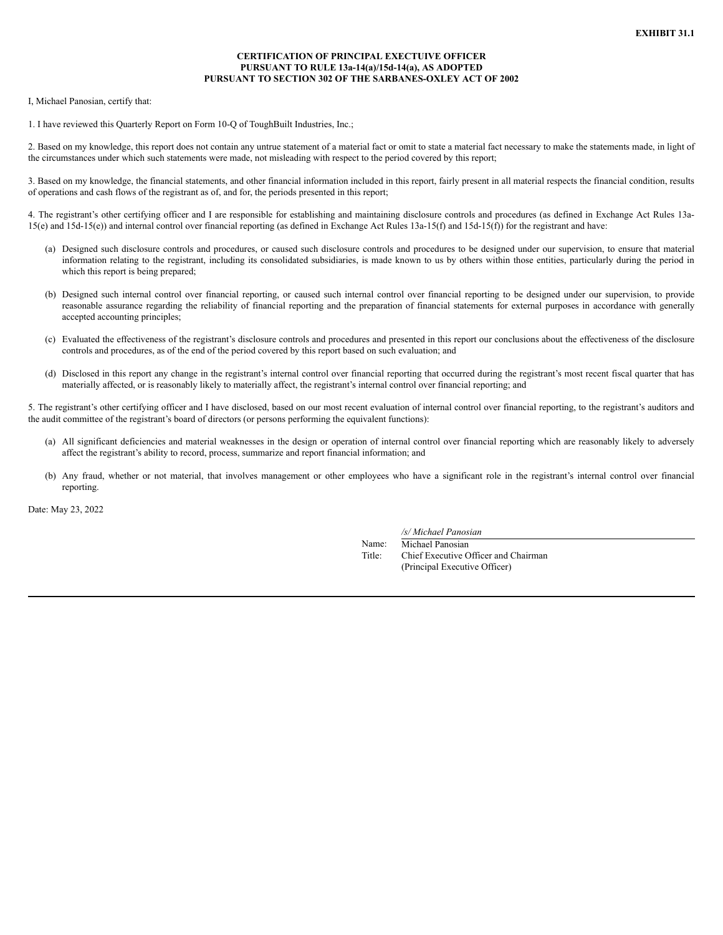# **CERTIFICATION OF PRINCIPAL EXECTUIVE OFFICER PURSUANT TO RULE 13a-14(a)/15d-14(a), AS ADOPTED PURSUANT TO SECTION 302 OF THE SARBANES-OXLEY ACT OF 2002**

I, Michael Panosian, certify that:

1. I have reviewed this Quarterly Report on Form 10-Q of ToughBuilt Industries, Inc.;

2. Based on my knowledge, this report does not contain any untrue statement of a material fact or omit to state a material fact necessary to make the statements made, in light of the circumstances under which such statements were made, not misleading with respect to the period covered by this report;

3. Based on my knowledge, the financial statements, and other financial information included in this report, fairly present in all material respects the financial condition, results of operations and cash flows of the registrant as of, and for, the periods presented in this report;

4. The registrant's other certifying officer and I are responsible for establishing and maintaining disclosure controls and procedures (as defined in Exchange Act Rules 13a-15(e) and 15d-15(e)) and internal control over financial reporting (as defined in Exchange Act Rules 13a-15(f) and 15d-15(f)) for the registrant and have:

- (a) Designed such disclosure controls and procedures, or caused such disclosure controls and procedures to be designed under our supervision, to ensure that material information relating to the registrant, including its consolidated subsidiaries, is made known to us by others within those entities, particularly during the period in which this report is being prepared;
- (b) Designed such internal control over financial reporting, or caused such internal control over financial reporting to be designed under our supervision, to provide reasonable assurance regarding the reliability of financial reporting and the preparation of financial statements for external purposes in accordance with generally accepted accounting principles;
- (c) Evaluated the effectiveness of the registrant's disclosure controls and procedures and presented in this report our conclusions about the effectiveness of the disclosure controls and procedures, as of the end of the period covered by this report based on such evaluation; and
- (d) Disclosed in this report any change in the registrant's internal control over financial reporting that occurred during the registrant's most recent fiscal quarter that has materially affected, or is reasonably likely to materially affect, the registrant's internal control over financial reporting; and

5. The registrant's other certifying officer and I have disclosed, based on our most recent evaluation of internal control over financial reporting, to the registrant's auditors and the audit committee of the registrant's board of directors (or persons performing the equivalent functions):

- (a) All significant deficiencies and material weaknesses in the design or operation of internal control over financial reporting which are reasonably likely to adversely affect the registrant's ability to record, process, summarize and report financial information; and
- (b) Any fraud, whether or not material, that involves management or other employees who have a significant role in the registrant's internal control over financial reporting.

Date: May 23, 2022

*/s/ Michael Panosian*

Name: Michael Panosian Title: Chief Executive Officer and Chairman (Principal Executive Officer)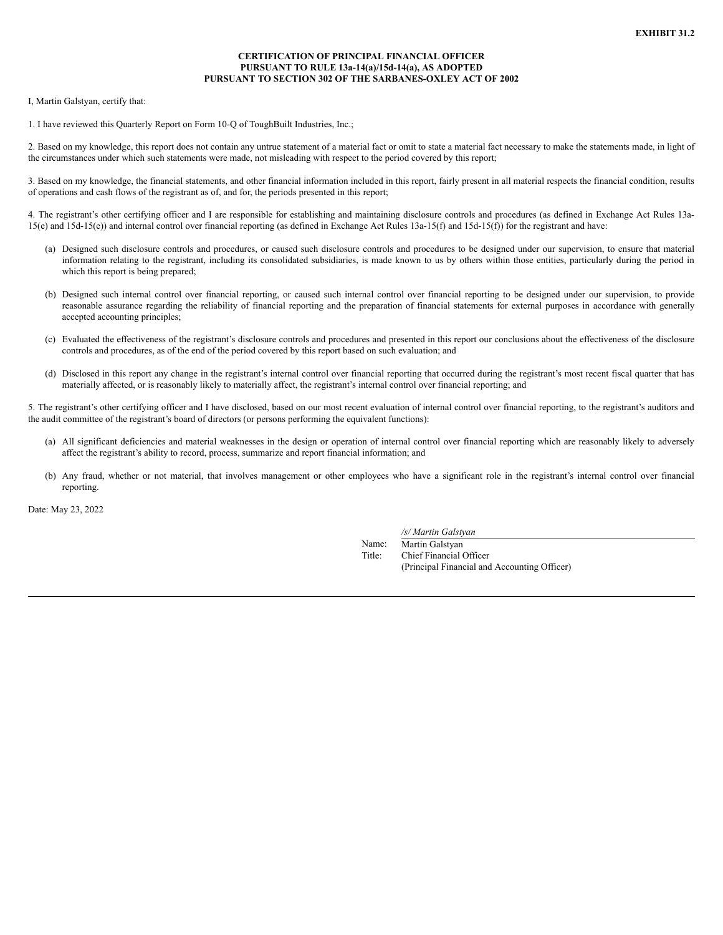# **CERTIFICATION OF PRINCIPAL FINANCIAL OFFICER PURSUANT TO RULE 13a-14(a)/15d-14(a), AS ADOPTED PURSUANT TO SECTION 302 OF THE SARBANES-OXLEY ACT OF 2002**

I, Martin Galstyan, certify that:

1. I have reviewed this Quarterly Report on Form 10-Q of ToughBuilt Industries, Inc.;

2. Based on my knowledge, this report does not contain any untrue statement of a material fact or omit to state a material fact necessary to make the statements made, in light of the circumstances under which such statements were made, not misleading with respect to the period covered by this report;

3. Based on my knowledge, the financial statements, and other financial information included in this report, fairly present in all material respects the financial condition, results of operations and cash flows of the registrant as of, and for, the periods presented in this report;

4. The registrant's other certifying officer and I are responsible for establishing and maintaining disclosure controls and procedures (as defined in Exchange Act Rules 13a-15(e) and 15d-15(e)) and internal control over financial reporting (as defined in Exchange Act Rules 13a-15(f) and 15d-15(f)) for the registrant and have:

- (a) Designed such disclosure controls and procedures, or caused such disclosure controls and procedures to be designed under our supervision, to ensure that material information relating to the registrant, including its consolidated subsidiaries, is made known to us by others within those entities, particularly during the period in which this report is being prepared;
- (b) Designed such internal control over financial reporting, or caused such internal control over financial reporting to be designed under our supervision, to provide reasonable assurance regarding the reliability of financial reporting and the preparation of financial statements for external purposes in accordance with generally accepted accounting principles;
- (c) Evaluated the effectiveness of the registrant's disclosure controls and procedures and presented in this report our conclusions about the effectiveness of the disclosure controls and procedures, as of the end of the period covered by this report based on such evaluation; and
- (d) Disclosed in this report any change in the registrant's internal control over financial reporting that occurred during the registrant's most recent fiscal quarter that has materially affected, or is reasonably likely to materially affect, the registrant's internal control over financial reporting; and

5. The registrant's other certifying officer and I have disclosed, based on our most recent evaluation of internal control over financial reporting, to the registrant's auditors and the audit committee of the registrant's board of directors (or persons performing the equivalent functions):

- (a) All significant deficiencies and material weaknesses in the design or operation of internal control over financial reporting which are reasonably likely to adversely affect the registrant's ability to record, process, summarize and report financial information; and
- (b) Any fraud, whether or not material, that involves management or other employees who have a significant role in the registrant's internal control over financial reporting.

Date: May 23, 2022

*/s/ Martin Galstyan*

Name: Martin Galstyan Title: Chief Financial Officer (Principal Financial and Accounting Officer)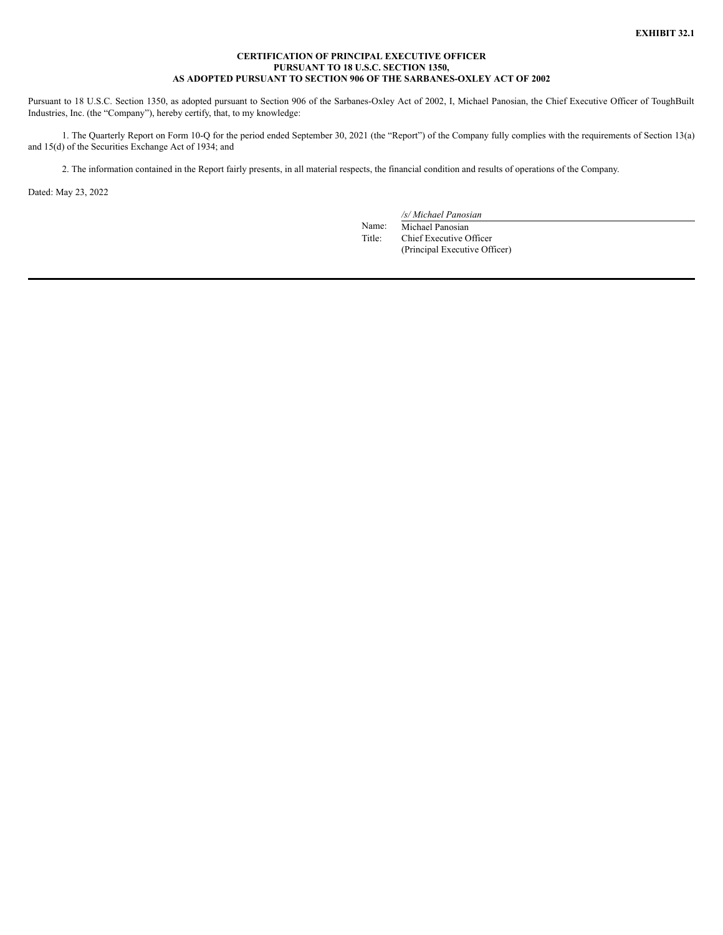# **CERTIFICATION OF PRINCIPAL EXECUTIVE OFFICER PURSUANT TO 18 U.S.C. SECTION 1350, AS ADOPTED PURSUANT TO SECTION 906 OF THE SARBANES-OXLEY ACT OF 2002**

Pursuant to 18 U.S.C. Section 1350, as adopted pursuant to Section 906 of the Sarbanes-Oxley Act of 2002, I, Michael Panosian, the Chief Executive Officer of ToughBuilt Industries, Inc. (the "Company"), hereby certify, that, to my knowledge:

1. The Quarterly Report on Form 10-Q for the period ended September 30, 2021 (the "Report") of the Company fully complies with the requirements of Section 13(a) and 15(d) of the Securities Exchange Act of 1934; and

2. The information contained in the Report fairly presents, in all material respects, the financial condition and results of operations of the Company.

Dated: May 23, 2022

*/s/ Michael Panosian*

Name: Michael Panosian Title: Chief Executive Officer (Principal Executive Officer)